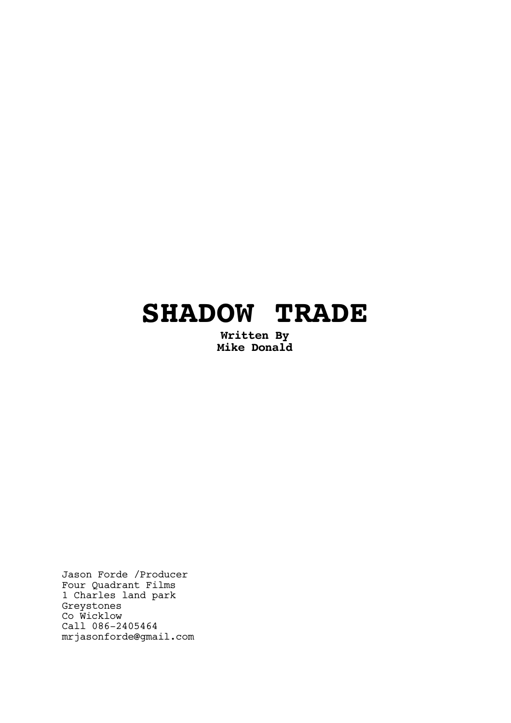# **SHADOW TRADE**

**Written By Mike Donald**

Jason Forde /Producer Four Quadrant Films 1 Charles land park Greystones Co Wicklow Call 086-2405464 mrjasonforde@gmail.com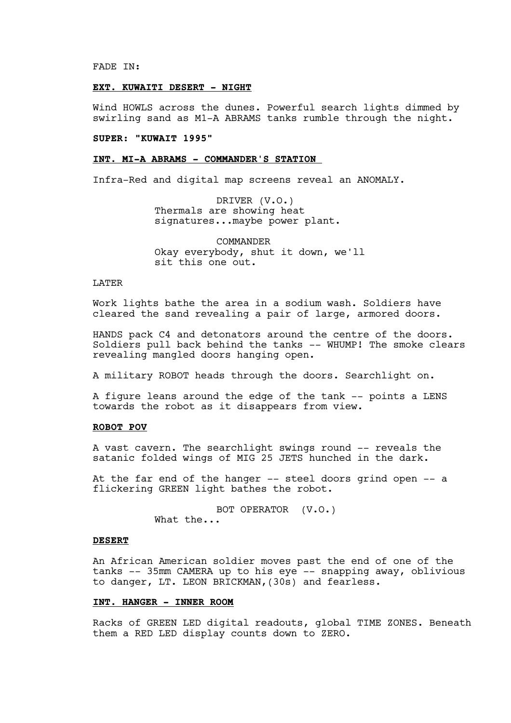FADE IN:

# **EXT. KUWAITI DESERT - NIGHT**

Wind HOWLS across the dunes. Powerful search lights dimmed by swirling sand as M1-A ABRAMS tanks rumble through the night.

# **SUPER: "KUWAIT 1995"**

#### **INT. MI-A ABRAMS - COMMANDER'S STATION**

Infra-Red and digital map screens reveal an ANOMALY.

DRIVER (V.O.) Thermals are showing heat signatures...maybe power plant.

COMMANDER Okay everybody, shut it down, we'll sit this one out.

#### LATER

Work lights bathe the area in a sodium wash. Soldiers have cleared the sand revealing a pair of large, armored doors.

HANDS pack C4 and detonators around the centre of the doors. Soldiers pull back behind the tanks -- WHUMP! The smoke clears revealing mangled doors hanging open.

A military ROBOT heads through the doors. Searchlight on.

A figure leans around the edge of the tank -- points a LENS towards the robot as it disappears from view.

## **ROBOT POV**

A vast cavern. The searchlight swings round -- reveals the satanic folded wings of MIG 25 JETS hunched in the dark.

At the far end of the hanger -- steel doors grind open -- a flickering GREEN light bathes the robot.

> BOT OPERATOR (V.O.) What the...

#### **DESERT**

An African American soldier moves past the end of one of the tanks -- 35mm CAMERA up to his eye -- snapping away, oblivious to danger, LT. LEON BRICKMAN,(30s) and fearless.

#### **INT. HANGER - INNER ROOM**

Racks of GREEN LED digital readouts, global TIME ZONES. Beneath them a RED LED display counts down to ZERO.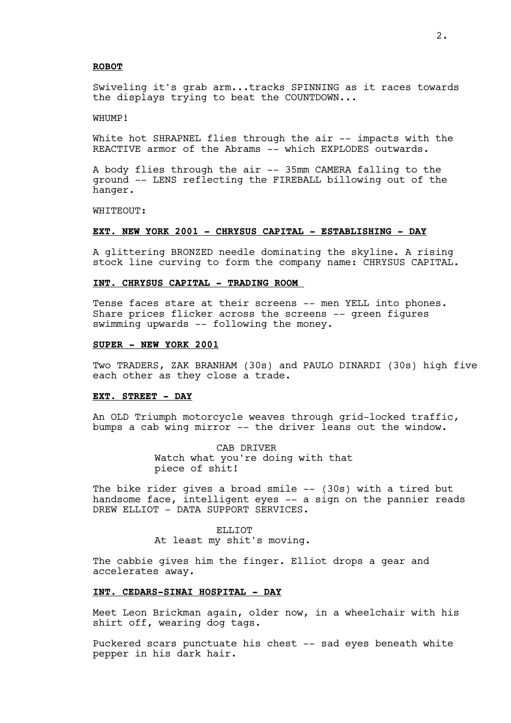#### **ROBOT**

Swiveling it's grab arm...tracks SPINNING as it races towards the displays trying to beat the COUNTDOWN...

#### WHUMP!

White hot SHRAPNEL flies through the air -- impacts with the REACTIVE armor of the Abrams -- which EXPLODES outwards.

A body flies through the air -- 35mm CAMERA falling to the ground -- LENS reflecting the FIREBALL billowing out of the hanger.

WHITEOUT:

#### **EXT. NEW YORK 2001 - CHRYSUS CAPITAL - ESTABLISHING - DAY**

A glittering BRONZED needle dominating the skyline. A rising stock line curving to form the company name: CHRYSUS CAPITAL.

# **INT. CHRYSUS CAPITAL - TRADING ROOM**

Tense faces stare at their screens -- men YELL into phones. Share prices flicker across the screens -- green figures swimming upwards -- following the money.

#### **SUPER - NEW YORK 2001**

Two TRADERS, ZAK BRANHAM (30s) and PAULO DINARDI (30s) high five each other as they close a trade.

#### **EXT. STREET - DAY**

An OLD Triumph motorcycle weaves through grid-locked traffic, bumps a cab wing mirror -- the driver leans out the window.

> CAB DRIVER Watch what you're doing with that piece of shit!

The bike rider gives a broad smile -- (30s) with a tired but handsome face, intelligent eyes -- a sign on the pannier reads DREW ELLIOT - DATA SUPPORT SERVICES.

> ELLIOT At least my shit's moving.

The cabbie gives him the finger. Elliot drops a gear and accelerates away.

#### **INT. CEDARS-SINAI HOSPITAL - DAY**

Meet Leon Brickman again, older now, in a wheelchair with his shirt off, wearing dog tags.

Puckered scars punctuate his chest -- sad eyes beneath white pepper in his dark hair.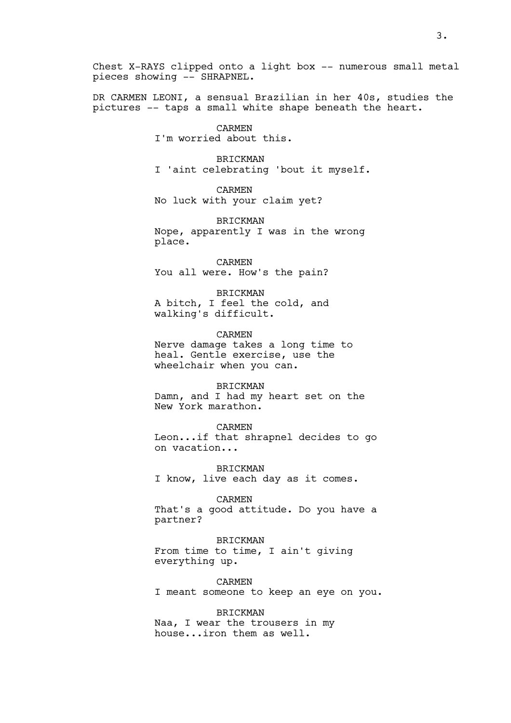Chest X-RAYS clipped onto a light box -- numerous small metal pieces showing -- SHRAPNEL.

DR CARMEN LEONI, a sensual Brazilian in her 40s, studies the pictures -- taps a small white shape beneath the heart.

> CARMEN I'm worried about this.

BRICKMAN I 'aint celebrating 'bout it myself.

CARMEN No luck with your claim yet?

BRICKMAN Nope, apparently I was in the wrong place.

CARMEN You all were. How's the pain?

BRICKMAN A bitch, I feel the cold, and walking's difficult.

CARMEN Nerve damage takes a long time to heal. Gentle exercise, use the wheelchair when you can.

BRICKMAN Damn, and I had my heart set on the New York marathon.

CARMEN Leon...if that shrapnel decides to go on vacation...

BRICKMAN I know, live each day as it comes.

CARMEN That's a good attitude. Do you have a partner?

BRICKMAN From time to time, I ain't giving everything up.

CARMEN I meant someone to keep an eye on you.

BRICKMAN Naa, I wear the trousers in my house...iron them as well.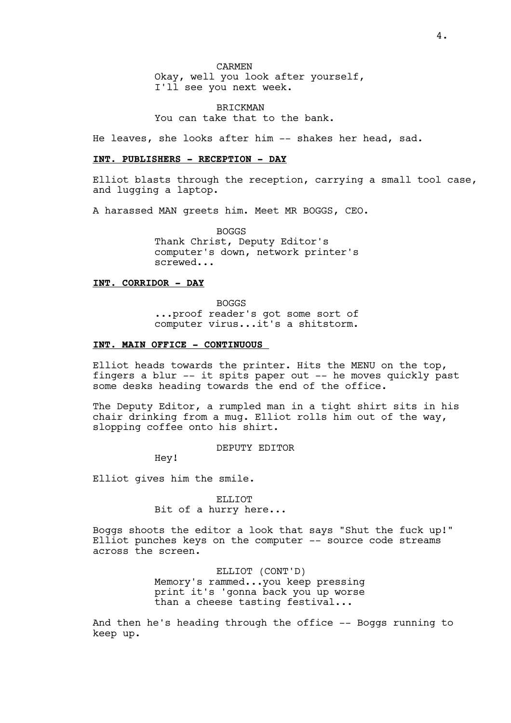CARMEN

Okay, well you look after yourself, I'll see you next week.

BRICKMAN You can take that to the bank.

He leaves, she looks after him -- shakes her head, sad.

#### **INT. PUBLISHERS - RECEPTION - DAY**

Elliot blasts through the reception, carrying a small tool case, and lugging a laptop.

A harassed MAN greets him. Meet MR BOGGS, CEO.

BOGGS Thank Christ, Deputy Editor's computer's down, network printer's screwed...

# **INT. CORRIDOR - DAY**

BOGGS ...proof reader's got some sort of computer virus...it's a shitstorm.

## **INT. MAIN OFFICE - CONTINUOUS**

Elliot heads towards the printer. Hits the MENU on the top, fingers a blur -- it spits paper out -- he moves quickly past some desks heading towards the end of the office.

The Deputy Editor, a rumpled man in a tight shirt sits in his chair drinking from a mug. Elliot rolls him out of the way, slopping coffee onto his shirt.

DEPUTY EDITOR

Hey!

Elliot gives him the smile.

ELLIOT Bit of a hurry here...

Boggs shoots the editor a look that says "Shut the fuck up!" Elliot punches keys on the computer -- source code streams across the screen.

> ELLIOT (CONT'D) Memory's rammed...you keep pressing print it's 'gonna back you up worse than a cheese tasting festival...

And then he's heading through the office -- Boggs running to keep up.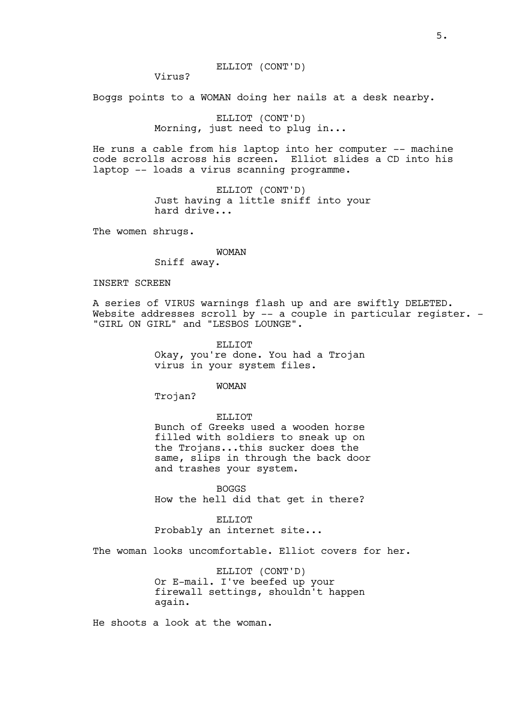Virus?

Boggs points to a WOMAN doing her nails at a desk nearby.

ELLIOT (CONT'D) Morning, just need to plug in...

He runs a cable from his laptop into her computer -- machine code scrolls across his screen. Elliot slides a CD into his laptop -- loads a virus scanning programme.

> ELLIOT (CONT'D) Just having a little sniff into your hard drive...

The women shrugs.

#### WOMAN

Sniff away.

## INSERT SCREEN

A series of VIRUS warnings flash up and are swiftly DELETED. Website addresses scroll by -- a couple in particular register. -"GIRL ON GIRL" and "LESBOS LOUNGE".

> ELLIOT Okay, you're done. You had a Trojan virus in your system files.

> > WOMAN

Trojan?

ELLIOT

Bunch of Greeks used a wooden horse filled with soldiers to sneak up on the Trojans...this sucker does the same, slips in through the back door and trashes your system.

BOGGS How the hell did that get in there?

ELLIOT Probably an internet site...

The woman looks uncomfortable. Elliot covers for her.

ELLIOT (CONT'D) Or E-mail. I've beefed up your firewall settings, shouldn't happen again.

He shoots a look at the woman.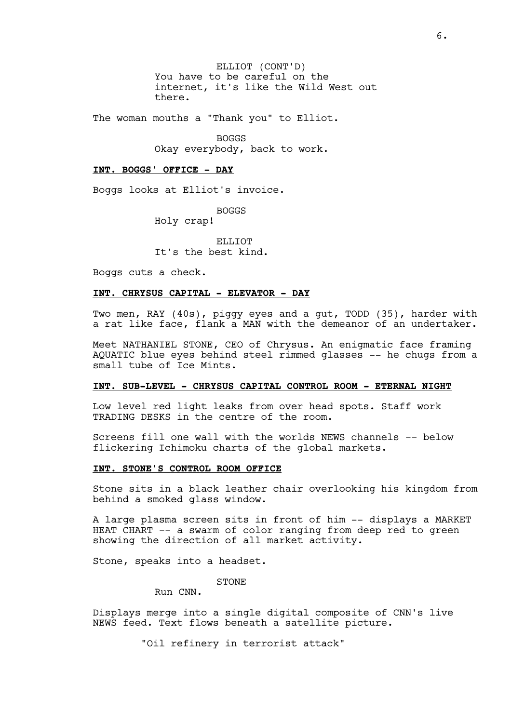ELLIOT (CONT'D) You have to be careful on the internet, it's like the Wild West out there.

The woman mouths a "Thank you" to Elliot.

BOGGS Okay everybody, back to work.

#### **INT. BOGGS' OFFICE - DAY**

Boggs looks at Elliot's invoice.

BOGGS

Holy crap!

ELLIOT It's the best kind.

Boggs cuts a check.

#### **INT. CHRYSUS CAPITAL - ELEVATOR - DAY**

Two men, RAY (40s), piggy eyes and a gut, TODD (35), harder with a rat like face, flank a MAN with the demeanor of an undertaker.

Meet NATHANIEL STONE, CEO of Chrysus. An enigmatic face framing AQUATIC blue eyes behind steel rimmed glasses -- he chugs from a small tube of Ice Mints.

#### **INT. SUB-LEVEL - CHRYSUS CAPITAL CONTROL ROOM - ETERNAL NIGHT**

Low level red light leaks from over head spots. Staff work TRADING DESKS in the centre of the room.

Screens fill one wall with the worlds NEWS channels -- below flickering Ichimoku charts of the global markets.

#### **INT. STONE'S CONTROL ROOM OFFICE**

Stone sits in a black leather chair overlooking his kingdom from behind a smoked glass window.

A large plasma screen sits in front of him -- displays a MARKET HEAT CHART -- a swarm of color ranging from deep red to green showing the direction of all market activity.

Stone, speaks into a headset.

STONE

Run CNN.

Displays merge into a single digital composite of CNN's live NEWS feed. Text flows beneath a satellite picture.

"Oil refinery in terrorist attack"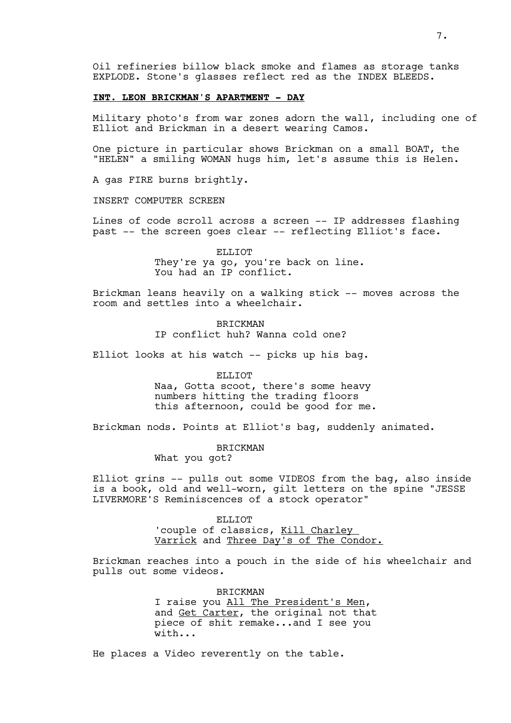Oil refineries billow black smoke and flames as storage tanks EXPLODE. Stone's glasses reflect red as the INDEX BLEEDS.

#### **INT. LEON BRICKMAN'S APARTMENT - DAY**

Military photo's from war zones adorn the wall, including one of Elliot and Brickman in a desert wearing Camos.

One picture in particular shows Brickman on a small BOAT, the "HELEN" a smiling WOMAN hugs him, let's assume this is Helen.

A gas FIRE burns brightly.

INSERT COMPUTER SCREEN

Lines of code scroll across a screen -- IP addresses flashing past -- the screen goes clear -- reflecting Elliot's face.

> ELLIOT They're ya go, you're back on line. You had an IP conflict.

Brickman leans heavily on a walking stick -- moves across the room and settles into a wheelchair.

> BRICKMAN IP conflict huh? Wanna cold one?

Elliot looks at his watch -- picks up his bag.

ELLIOT

Naa, Gotta scoot, there's some heavy numbers hitting the trading floors this afternoon, could be good for me.

Brickman nods. Points at Elliot's bag, suddenly animated.

BRICKMAN

What you got?

Elliot grins -- pulls out some VIDEOS from the bag, also inside is a book, old and well-worn, gilt letters on the spine "JESSE LIVERMORE'S Reminiscences of a stock operator"

> ELLIOT 'couple of classics, Kill Charley Varrick and Three Day's of The Condor.

Brickman reaches into a pouch in the side of his wheelchair and pulls out some videos.

> BRICKMAN I raise you All The President's Men, and Get Carter, the original not that piece of shit remake...and I see you with...

He places a Video reverently on the table.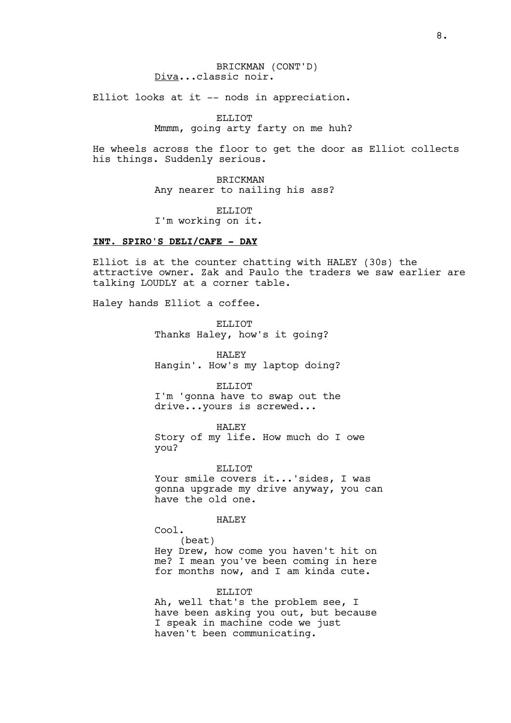# BRICKMAN (CONT'D) Diva...classic noir.

Elliot looks at it -- nods in appreciation.

ELLIOT Mmmm, going arty farty on me huh?

He wheels across the floor to get the door as Elliot collects his things. Suddenly serious.

> BRICKMAN Any nearer to nailing his ass?

ELLIOT I'm working on it.

# **INT. SPIRO'S DELI/CAFE - DAY**

Elliot is at the counter chatting with HALEY (30s) the attractive owner. Zak and Paulo the traders we saw earlier are talking LOUDLY at a corner table.

Haley hands Elliot a coffee.

ELLIOT Thanks Haley, how's it going?

HALEY Hangin'. How's my laptop doing?

ELLIOT I'm 'gonna have to swap out the drive...yours is screwed...

HALEY Story of my life. How much do I owe you?

ELLIOT Your smile covers it...'sides, I was gonna upgrade my drive anyway, you can have the old one.

HALEY

Cool.

(beat) Hey Drew, how come you haven't hit on me? I mean you've been coming in here for months now, and I am kinda cute.

ELLIOT

Ah, well that's the problem see, I have been asking you out, but because I speak in machine code we just haven't been communicating.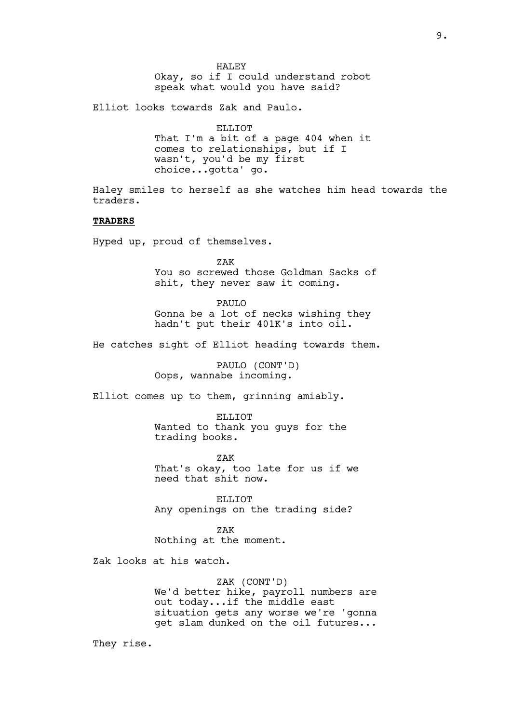HALEY Okay, so if I could understand robot speak what would you have said?

Elliot looks towards Zak and Paulo.

ELLIOT That I'm a bit of a page 404 when it comes to relationships, but if I wasn't, you'd be my first choice...gotta' go.

Haley smiles to herself as she watches him head towards the traders.

# **TRADERS**

Hyped up, proud of themselves.

ZAK You so screwed those Goldman Sacks of shit, they never saw it coming.

PAULO Gonna be a lot of necks wishing they hadn't put their 401K's into oil.

He catches sight of Elliot heading towards them.

PAULO (CONT'D) Oops, wannabe incoming.

Elliot comes up to them, grinning amiably.

ELLIOT Wanted to thank you guys for the trading books.

ZAK That's okay, too late for us if we need that shit now.

ELLIOT Any openings on the trading side?

ZAK Nothing at the moment.

Zak looks at his watch.

ZAK (CONT'D) We'd better hike, payroll numbers are out today...if the middle east situation gets any worse we're 'gonna get slam dunked on the oil futures...

They rise.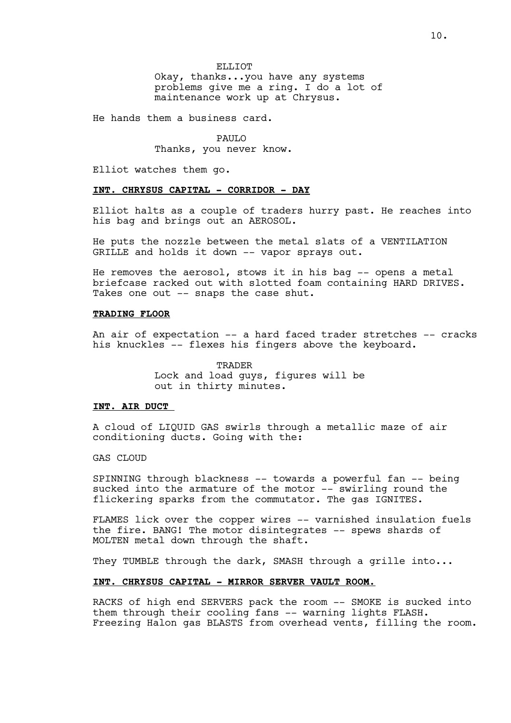ELLIOT Okay, thanks...you have any systems problems give me a ring. I do a lot of maintenance work up at Chrysus.

He hands them a business card.

PAUL<sub>O</sub> Thanks, you never know.

Elliot watches them go.

#### **INT. CHRYSUS CAPITAL - CORRIDOR - DAY**

Elliot halts as a couple of traders hurry past. He reaches into his bag and brings out an AEROSOL.

He puts the nozzle between the metal slats of a VENTILATION GRILLE and holds it down -- vapor sprays out.

He removes the aerosol, stows it in his bag -- opens a metal briefcase racked out with slotted foam containing HARD DRIVES. Takes one out -- snaps the case shut.

#### **TRADING FLOOR**

An air of expectation -- a hard faced trader stretches -- cracks his knuckles -- flexes his fingers above the keyboard.

> **TRADER** Lock and load guys, figures will be out in thirty minutes.

#### **INT. AIR DUCT**

A cloud of LIQUID GAS swirls through a metallic maze of air conditioning ducts. Going with the:

#### GAS CLOUD

SPINNING through blackness -- towards a powerful fan -- being sucked into the armature of the motor -- swirling round the flickering sparks from the commutator. The gas IGNITES.

FLAMES lick over the copper wires -- varnished insulation fuels the fire. BANG! The motor disintegrates -- spews shards of MOLTEN metal down through the shaft.

They TUMBLE through the dark, SMASH through a grille into...

#### **INT. CHRYSUS CAPITAL - MIRROR SERVER VAULT ROOM.**

RACKS of high end SERVERS pack the room -- SMOKE is sucked into them through their cooling fans -- warning lights FLASH. Freezing Halon gas BLASTS from overhead vents, filling the room.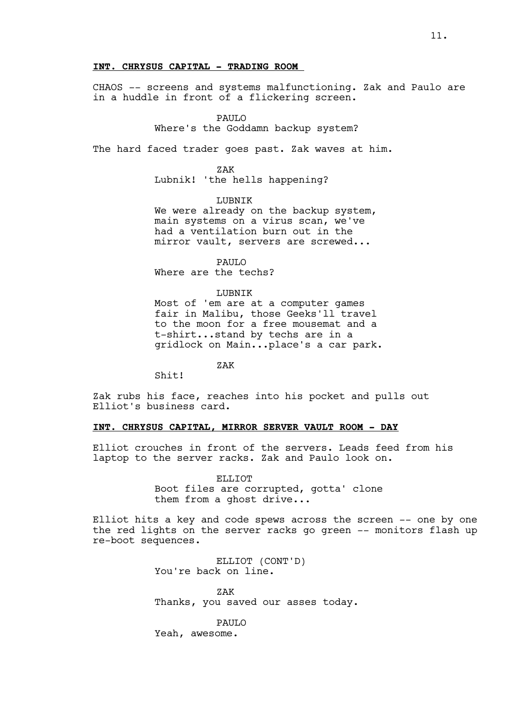# **INT. CHRYSUS CAPITAL - TRADING ROOM**

CHAOS -- screens and systems malfunctioning. Zak and Paulo are in a huddle in front of a flickering screen.

PAULO

Where's the Goddamn backup system?

The hard faced trader goes past. Zak waves at him.

ZAK

Lubnik! 'the hells happening?

LUBNIK

We were already on the backup system, main systems on a virus scan, we've had a ventilation burn out in the mirror vault, servers are screwed...

PAULO

Where are the techs?

# LUBNIK

Most of 'em are at a computer games fair in Malibu, those Geeks'll travel to the moon for a free mousemat and a t-shirt...stand by techs are in a gridlock on Main...place's a car park.

ZAK

Shit!

Zak rubs his face, reaches into his pocket and pulls out Elliot's business card.

# **INT. CHRYSUS CAPITAL, MIRROR SERVER VAULT ROOM - DAY**

Elliot crouches in front of the servers. Leads feed from his laptop to the server racks. Zak and Paulo look on.

> ELLIOT Boot files are corrupted, gotta' clone them from a ghost drive...

Elliot hits a key and code spews across the screen -- one by one the red lights on the server racks go green -- monitors flash up re-boot sequences.

> ELLIOT (CONT'D) You're back on line.

ZAK Thanks, you saved our asses today.

PAULO Yeah, awesome.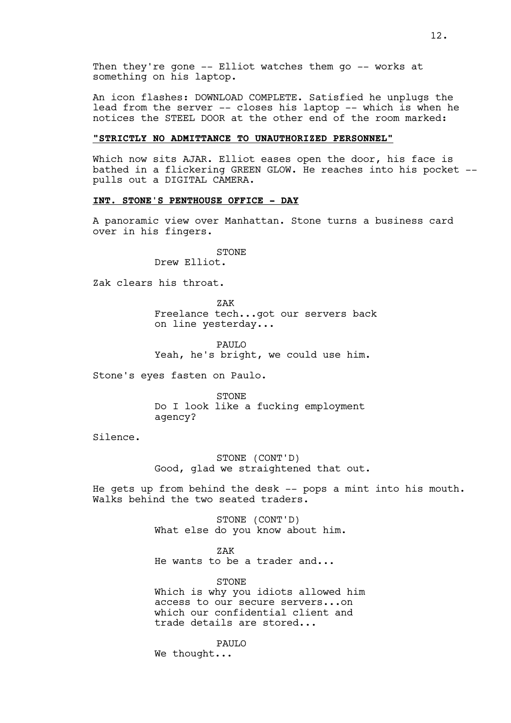An icon flashes: DOWNLOAD COMPLETE. Satisfied he unplugs the lead from the server -- closes his laptop -- which is when he notices the STEEL DOOR at the other end of the room marked:

# **"STRICTLY NO ADMITTANCE TO UNAUTHORIZED PERSONNEL"**

Which now sits AJAR. Elliot eases open the door, his face is bathed in a flickering GREEN GLOW. He reaches into his pocket - pulls out a DIGITAL CAMERA.

# **INT. STONE'S PENTHOUSE OFFICE - DAY**

A panoramic view over Manhattan. Stone turns a business card over in his fingers.

STONE

Drew Elliot.

Zak clears his throat.

ZAK Freelance tech...got our servers back on line yesterday...

PAUL<sub>O</sub> Yeah, he's bright, we could use him.

Stone's eyes fasten on Paulo.

STONE Do I look like a fucking employment agency?

Silence.

STONE (CONT'D) Good, glad we straightened that out.

He gets up from behind the desk -- pops a mint into his mouth. Walks behind the two seated traders.

> STONE (CONT'D) What else do you know about him.

ZAK He wants to be a trader and...

STONE Which is why you idiots allowed him access to our secure servers...on which our confidential client and trade details are stored...

**PAULO** We thought...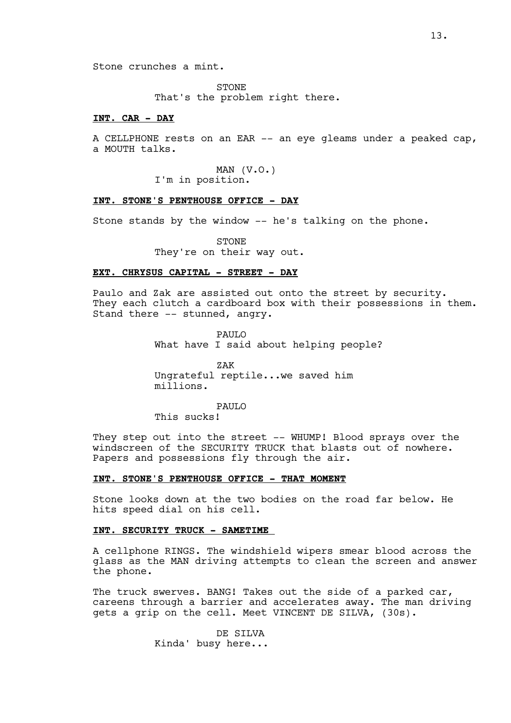Stone crunches a mint.

STONE That's the problem right there.

# **INT. CAR - DAY**

A CELLPHONE rests on an EAR -- an eye gleams under a peaked cap, a MOUTH talks.

> MAN (V.O.) I'm in position.

**INT. STONE'S PENTHOUSE OFFICE - DAY**

Stone stands by the window -- he's talking on the phone.

STONE They're on their way out.

#### **EXT. CHRYSUS CAPITAL - STREET - DAY**

Paulo and Zak are assisted out onto the street by security. They each clutch a cardboard box with their possessions in them. Stand there -- stunned, angry.

> PAULO What have I said about helping people?

ZAK Ungrateful reptile...we saved him millions.

PAULO This sucks!

They step out into the street -- WHUMP! Blood sprays over the windscreen of the SECURITY TRUCK that blasts out of nowhere. Papers and possessions fly through the air.

# **INT. STONE'S PENTHOUSE OFFICE - THAT MOMENT**

Stone looks down at the two bodies on the road far below. He hits speed dial on his cell.

# **INT. SECURITY TRUCK - SAMETIME**

A cellphone RINGS. The windshield wipers smear blood across the glass as the MAN driving attempts to clean the screen and answer the phone.

The truck swerves. BANG! Takes out the side of a parked car, careens through a barrier and accelerates away. The man driving gets a grip on the cell. Meet VINCENT DE SILVA, (30s).

> DE SILVA Kinda' busy here...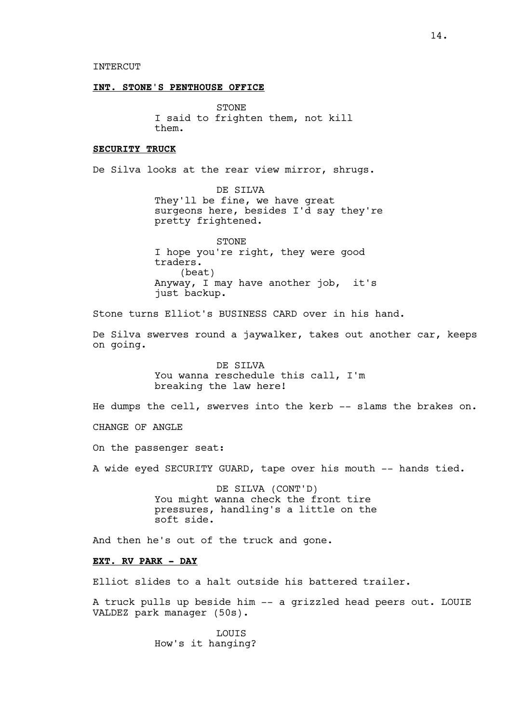#### **INT. STONE'S PENTHOUSE OFFICE**

STONE I said to frighten them, not kill them.

# **SECURITY TRUCK**

De Silva looks at the rear view mirror, shrugs.

DE SILVA They'll be fine, we have great surgeons here, besides I'd say they're pretty frightened.

STONE I hope you're right, they were good traders. (beat) Anyway, I may have another job, it's just backup.

Stone turns Elliot's BUSINESS CARD over in his hand.

De Silva swerves round a jaywalker, takes out another car, keeps on going.

> DE SILVA You wanna reschedule this call, I'm breaking the law here!

He dumps the cell, swerves into the kerb  $-$  slams the brakes on.

CHANGE OF ANGLE

On the passenger seat:

A wide eyed SECURITY GUARD, tape over his mouth -- hands tied.

DE SILVA (CONT'D) You might wanna check the front tire pressures, handling's a little on the soft side.

And then he's out of the truck and gone.

#### **EXT. RV PARK - DAY**

Elliot slides to a halt outside his battered trailer.

A truck pulls up beside him -- a grizzled head peers out. LOUIE VALDEZ park manager (50s).

> LOUIS How's it hanging?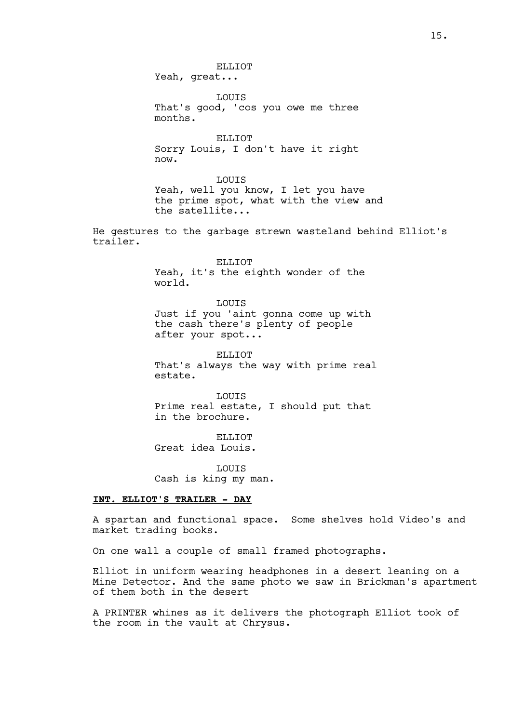ELLIOT Yeah, great...

LOUIS That's good, 'cos you owe me three months.

ELLIOT Sorry Louis, I don't have it right now.

LOUIS Yeah, well you know, I let you have the prime spot, what with the view and the satellite...

He gestures to the garbage strewn wasteland behind Elliot's trailer.

> ELLIOT Yeah, it's the eighth wonder of the world.

LOUIS Just if you 'aint gonna come up with the cash there's plenty of people after your spot...

ELLIOT That's always the way with prime real estate.

LOUIS Prime real estate, I should put that in the brochure.

ELLIOT Great idea Louis.

LOUIS Cash is king my man.

# **INT. ELLIOT'S TRAILER - DAY**

A spartan and functional space. Some shelves hold Video's and market trading books.

On one wall a couple of small framed photographs.

Elliot in uniform wearing headphones in a desert leaning on a Mine Detector. And the same photo we saw in Brickman's apartment of them both in the desert

A PRINTER whines as it delivers the photograph Elliot took of the room in the vault at Chrysus.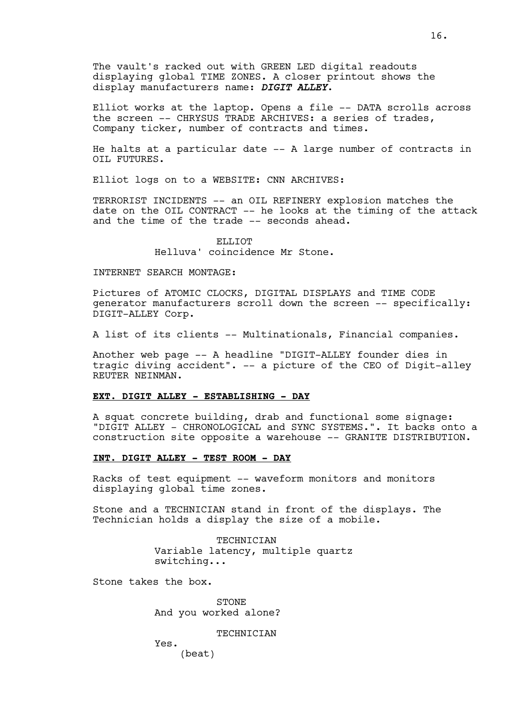The vault's racked out with GREEN LED digital readouts displaying global TIME ZONES. A closer printout shows the display manufacturers name: *DIGIT ALLEY*.

Elliot works at the laptop. Opens a file -- DATA scrolls across the screen -- CHRYSUS TRADE ARCHIVES: a series of trades, Company ticker, number of contracts and times.

He halts at a particular date -- A large number of contracts in OIL FUTURES.

Elliot logs on to a WEBSITE: CNN ARCHIVES:

TERRORIST INCIDENTS -- an OIL REFINERY explosion matches the date on the OIL CONTRACT -- he looks at the timing of the attack and the time of the trade -- seconds ahead.

> ELLIOT Helluva' coincidence Mr Stone.

#### INTERNET SEARCH MONTAGE:

Pictures of ATOMIC CLOCKS, DIGITAL DISPLAYS and TIME CODE generator manufacturers scroll down the screen -- specifically: DIGIT-ALLEY Corp.

A list of its clients -- Multinationals, Financial companies.

Another web page -- A headline "DIGIT-ALLEY founder dies in tragic diving accident". -- a picture of the CEO of Digit-alley REUTER NEINMAN.

#### **EXT. DIGIT ALLEY - ESTABLISHING - DAY**

A squat concrete building, drab and functional some signage: "DIGIT ALLEY - CHRONOLOGICAL and SYNC SYSTEMS.". It backs onto a construction site opposite a warehouse -- GRANITE DISTRIBUTION.

# **INT. DIGIT ALLEY - TEST ROOM - DAY**

Racks of test equipment -- waveform monitors and monitors displaying global time zones.

Stone and a TECHNICIAN stand in front of the displays. The Technician holds a display the size of a mobile.

> **TECHNICIAN** Variable latency, multiple quartz switching...

Stone takes the box.

**STONE** And you worked alone?

TECHNICIAN

Yes.

(beat)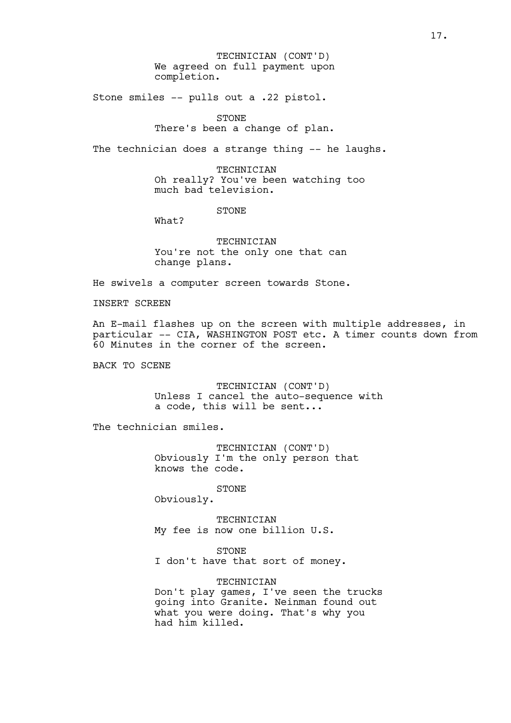We agreed on full payment upon completion. TECHNICIAN (CONT'D)

Stone smiles -- pulls out a .22 pistol.

STONE There's been a change of plan.

The technician does a strange thing -- he laughs.

TECHNICIAN Oh really? You've been watching too much bad television.

STONE

What?

**TECHNICIAN** You're not the only one that can change plans.

He swivels a computer screen towards Stone.

INSERT SCREEN

An E-mail flashes up on the screen with multiple addresses, in particular -- CIA, WASHINGTON POST etc. A timer counts down from 60 Minutes in the corner of the screen.

BACK TO SCENE

TECHNICIAN (CONT'D) Unless I cancel the auto-sequence with a code, this will be sent...

The technician smiles.

TECHNICIAN (CONT'D) Obviously I'm the only person that knows the code.

STONE

Obviously.

TECHNICIAN My fee is now one billion U.S.

STONE

I don't have that sort of money.

**TECHNICIAN** Don't play games, I've seen the trucks going into Granite. Neinman found out what you were doing. That's why you had him killed.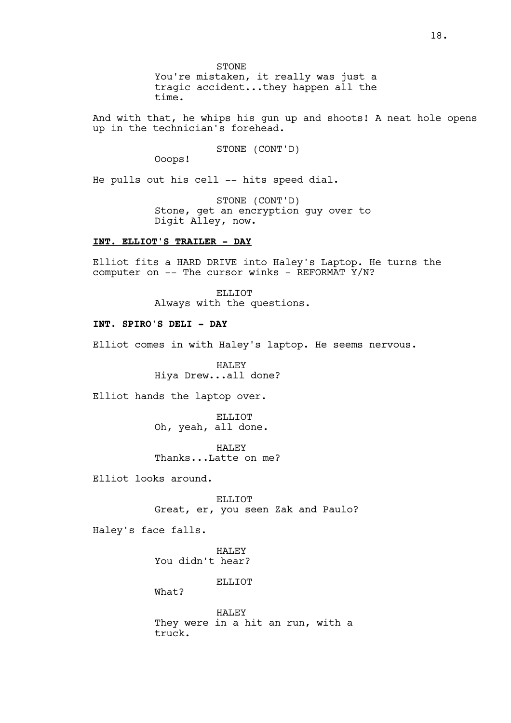STONE You're mistaken, it really was just a tragic accident...they happen all the time.

And with that, he whips his gun up and shoots! A neat hole opens up in the technician's forehead.

STONE (CONT'D)

Ooops!

He pulls out his cell -- hits speed dial.

STONE (CONT'D) Stone, get an encryption guy over to Digit Alley, now.

# **INT. ELLIOT'S TRAILER - DAY**

Elliot fits a HARD DRIVE into Haley's Laptop. He turns the computer on  $--$  The cursor winks - REFORMAT Y/N?

> ELLIOT Always with the questions.

# **INT. SPIRO'S DELI - DAY**

Elliot comes in with Haley's laptop. He seems nervous.

HALEY Hiya Drew...all done?

Elliot hands the laptop over.

ELLIOT Oh, yeah, all done.

HALEY Thanks...Latte on me?

Elliot looks around.

ELLIOT Great, er, you seen Zak and Paulo?

Haley's face falls.

HALEY You didn't hear?

ELLIOT

What?

HALEY They were in a hit an run, with a truck.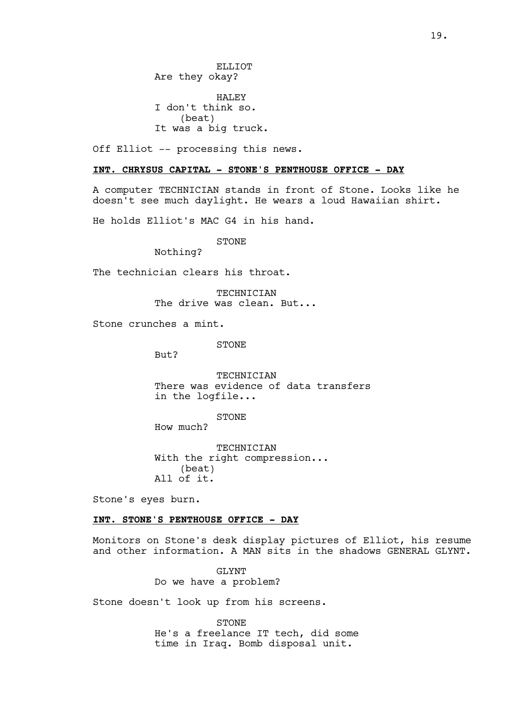ELLIOT Are they okay? HALEY I don't think so. (beat) It was a big truck.

Off Elliot -- processing this news.

# **INT. CHRYSUS CAPITAL - STONE'S PENTHOUSE OFFICE - DAY**

A computer TECHNICIAN stands in front of Stone. Looks like he doesn't see much daylight. He wears a loud Hawaiian shirt.

He holds Elliot's MAC G4 in his hand.

STONE

Nothing?

The technician clears his throat.

TECHNICIAN The drive was clean. But...

Stone crunches a mint.

STONE

But?

TECHNICIAN There was evidence of data transfers in the logfile...

STONE

How much?

TECHNICIAN With the right compression... (beat) All of it.

Stone's eyes burn.

# **INT. STONE'S PENTHOUSE OFFICE - DAY**

Monitors on Stone's desk display pictures of Elliot, his resume and other information. A MAN sits in the shadows GENERAL GLYNT.

> GT.YNT Do we have a problem?

Stone doesn't look up from his screens.

STONE He's a freelance IT tech, did some time in Iraq. Bomb disposal unit.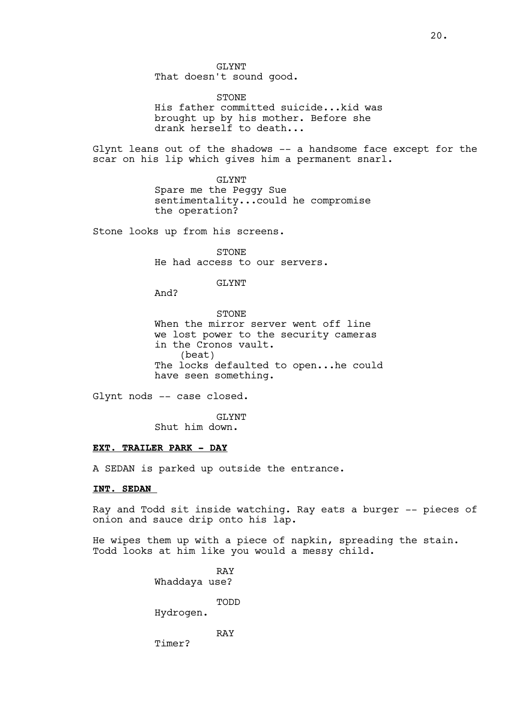GLYNT That doesn't sound good.

STONE His father committed suicide...kid was brought up by his mother. Before she drank herself to death...

Glynt leans out of the shadows -- a handsome face except for the scar on his lip which gives him a permanent snarl.

> GLYNT Spare me the Peggy Sue sentimentality...could he compromise the operation?

Stone looks up from his screens.

STONE He had access to our servers.

GLYNT

And?

STONE When the mirror server went off line we lost power to the security cameras in the Cronos vault. (beat) The locks defaulted to open...he could have seen something.

Glynt nods -- case closed.

GLYNT

Shut him down.

# **EXT. TRAILER PARK - DAY**

A SEDAN is parked up outside the entrance.

#### **INT. SEDAN**

Ray and Todd sit inside watching. Ray eats a burger -- pieces of onion and sauce drip onto his lap.

He wipes them up with a piece of napkin, spreading the stain. Todd looks at him like you would a messy child.

> RAY Whaddaya use? TODD Hydrogen. RAY

Timer?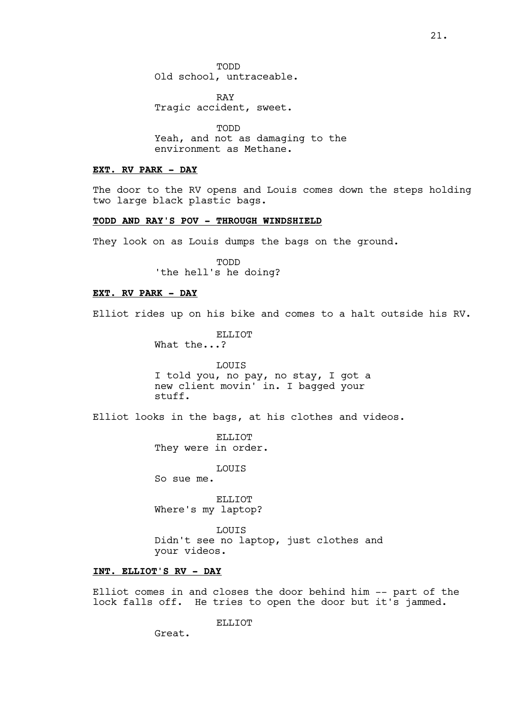TODD Old school, untraceable.

RAY Tragic accident, sweet.

TODD Yeah, and not as damaging to the environment as Methane.

# **EXT. RV PARK - DAY**

The door to the RV opens and Louis comes down the steps holding two large black plastic bags.

# **TODD AND RAY'S POV - THROUGH WINDSHIELD**

They look on as Louis dumps the bags on the ground.

TODD 'the hell's he doing?

## **EXT. RV PARK - DAY**

Elliot rides up on his bike and comes to a halt outside his RV.

ELLIOT What the...?

LOUIS I told you, no pay, no stay, I got a new client movin' in. I bagged your stuff.

Elliot looks in the bags, at his clothes and videos.

ELLIOT They were in order.

LOUIS

So sue me.

ELLIOT Where's my laptop?

LOUIS Didn't see no laptop, just clothes and your videos.

# **INT. ELLIOT'S RV - DAY**

Elliot comes in and closes the door behind him -- part of the lock falls off. He tries to open the door but it's jammed.

ELLIOT

Great.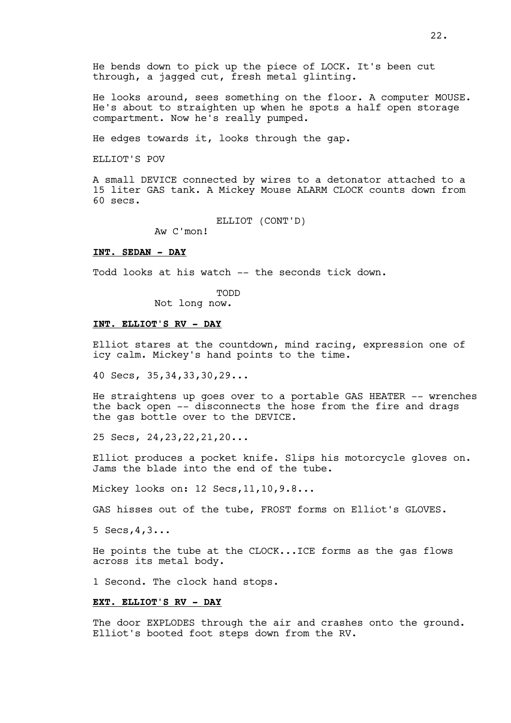He bends down to pick up the piece of LOCK. It's been cut through, a jagged cut, fresh metal glinting.

He looks around, sees something on the floor. A computer MOUSE. He's about to straighten up when he spots a half open storage compartment. Now he's really pumped.

He edges towards it, looks through the gap.

ELLIOT'S POV

A small DEVICE connected by wires to a detonator attached to a 15 liter GAS tank. A Mickey Mouse ALARM CLOCK counts down from 60 secs.

ELLIOT (CONT'D)

Aw C'mon!

#### **INT. SEDAN - DAY**

Todd looks at his watch -- the seconds tick down.

TODD

Not long now.

#### **INT. ELLIOT'S RV - DAY**

Elliot stares at the countdown, mind racing, expression one of icy calm. Mickey's hand points to the time.

40 Secs, 35,34,33,30,29...

He straightens up goes over to a portable GAS HEATER -- wrenches the back open -- disconnects the hose from the fire and drags the gas bottle over to the DEVICE.

25 Secs, 24,23,22,21,20...

Elliot produces a pocket knife. Slips his motorcycle gloves on. Jams the blade into the end of the tube.

Mickey looks on: 12 Secs,11,10,9.8...

GAS hisses out of the tube, FROST forms on Elliot's GLOVES.

5 Secs,4,3...

He points the tube at the CLOCK...ICE forms as the gas flows across its metal body.

1 Second. The clock hand stops.

## **EXT. ELLIOT'S RV - DAY**

The door EXPLODES through the air and crashes onto the ground. Elliot's booted foot steps down from the RV.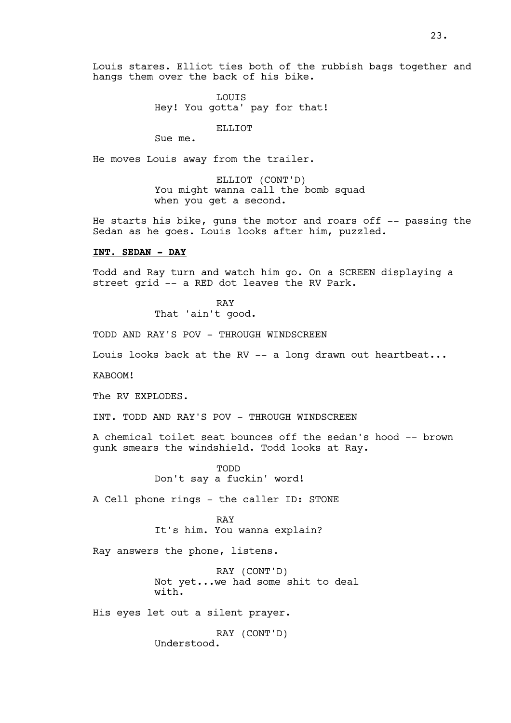Louis stares. Elliot ties both of the rubbish bags together and hangs them over the back of his bike.

> LOUIS Hey! You gotta' pay for that!

> > ELLIOT

Sue me.

He moves Louis away from the trailer.

ELLIOT (CONT'D) You might wanna call the bomb squad when you get a second.

He starts his bike, guns the motor and roars off -- passing the Sedan as he goes. Louis looks after him, puzzled.

#### **INT. SEDAN - DAY**

Todd and Ray turn and watch him go. On a SCREEN displaying a street grid -- a RED dot leaves the RV Park.

> RAY That 'ain't good.

TODD AND RAY'S POV - THROUGH WINDSCREEN

Louis looks back at the RV -- a long drawn out heartbeat...

KABOOM!

The RV EXPLODES.

INT. TODD AND RAY'S POV - THROUGH WINDSCREEN

A chemical toilet seat bounces off the sedan's hood -- brown gunk smears the windshield. Todd looks at Ray.

> TODD Don't say a fuckin' word!

A Cell phone rings - the caller ID: STONE

RAY

It's him. You wanna explain?

Ray answers the phone, listens.

RAY (CONT'D) Not yet...we had some shit to deal with.

His eyes let out a silent prayer.

RAY (CONT'D) Understood.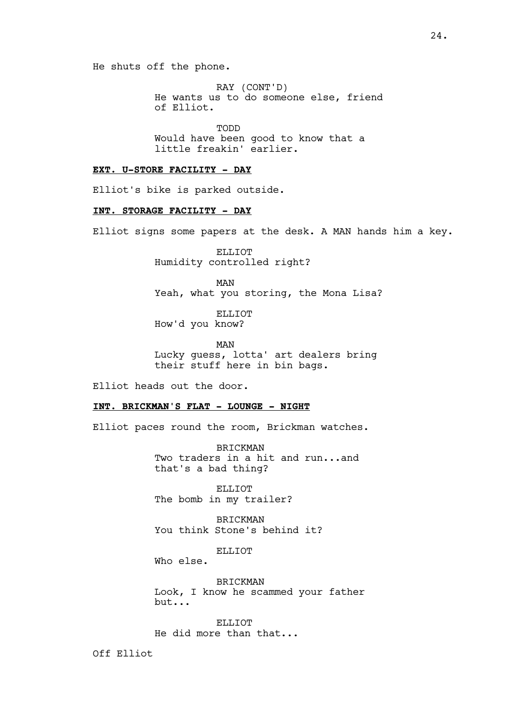He shuts off the phone.

RAY (CONT'D) He wants us to do someone else, friend of Elliot.

TODD Would have been good to know that a little freakin' earlier.

# **EXT. U-STORE FACILITY - DAY**

Elliot's bike is parked outside.

# **INT. STORAGE FACILITY - DAY**

Elliot signs some papers at the desk. A MAN hands him a key.

ELLIOT Humidity controlled right?

MAN Yeah, what you storing, the Mona Lisa?

ELLIOT How'd you know?

MAN Lucky guess, lotta' art dealers bring their stuff here in bin bags.

Elliot heads out the door.

#### **INT. BRICKMAN'S FLAT - LOUNGE - NIGHT**

Elliot paces round the room, Brickman watches.

BRICKMAN Two traders in a hit and run...and that's a bad thing?

ELLIOT The bomb in my trailer?

BRICKMAN You think Stone's behind it?

ELLIOT

Who else.

BRICKMAN Look, I know he scammed your father but...

ELLIOT He did more than that...

Off Elliot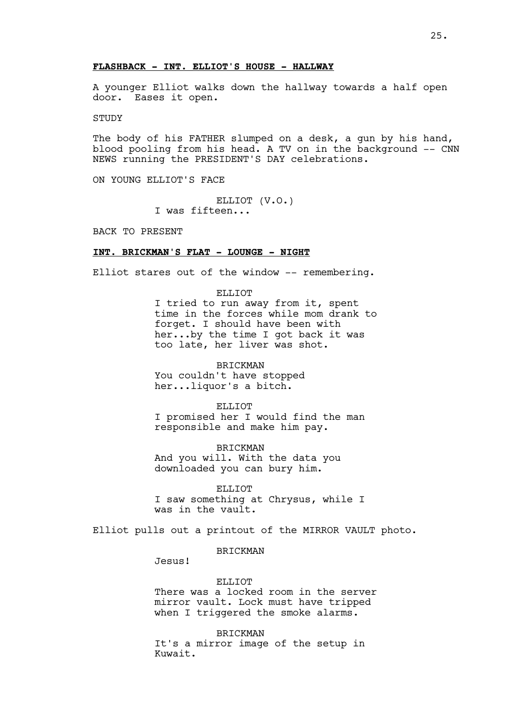#### **FLASHBACK - INT. ELLIOT'S HOUSE - HALLWAY**

A younger Elliot walks down the hallway towards a half open door. Eases it open.

STUDY

The body of his FATHER slumped on a desk, a gun by his hand, blood pooling from his head. A TV on in the background -- CNN NEWS running the PRESIDENT'S DAY celebrations.

ON YOUNG ELLIOT'S FACE

ELLIOT (V.O.) I was fifteen...

BACK TO PRESENT

# **INT. BRICKMAN'S FLAT - LOUNGE - NIGHT**

Elliot stares out of the window -- remembering.

ELLIOT I tried to run away from it, spent time in the forces while mom drank to forget. I should have been with her...by the time I got back it was too late, her liver was shot.

BRICKMAN You couldn't have stopped her...liquor's a bitch.

ELLIOT

I promised her I would find the man responsible and make him pay.

BRICKMAN And you will. With the data you downloaded you can bury him.

ELLIOT I saw something at Chrysus, while I was in the vault.

Elliot pulls out a printout of the MIRROR VAULT photo.

# BRICKMAN

Jesus!

ELLIOT There was a locked room in the server mirror vault. Lock must have tripped when I triggered the smoke alarms.

BRICKMAN It's a mirror image of the setup in Kuwait.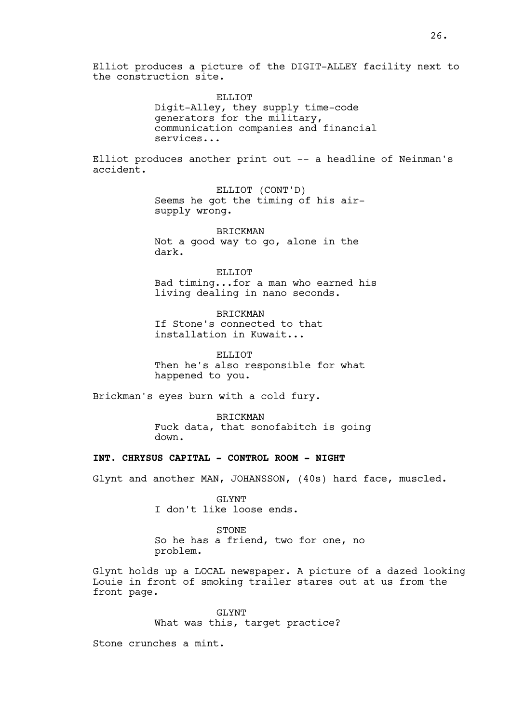Elliot produces a picture of the DIGIT-ALLEY facility next to the construction site.

> ELLIOT Digit-Alley, they supply time-code generators for the military, communication companies and financial services...

Elliot produces another print out -- a headline of Neinman's accident.

> ELLIOT (CONT'D) Seems he got the timing of his airsupply wrong.

BRICKMAN Not a good way to go, alone in the dark.

ELLIOT Bad timing...for a man who earned his living dealing in nano seconds.

BRICKMAN If Stone's connected to that installation in Kuwait...

ELLIOT Then he's also responsible for what happened to you.

Brickman's eyes burn with a cold fury.

BRICKMAN Fuck data, that sonofabitch is going down.

# **INT. CHRYSUS CAPITAL - CONTROL ROOM - NIGHT**

Glynt and another MAN, JOHANSSON, (40s) hard face, muscled.

GLYNT I don't like loose ends.

STONE So he has a friend, two for one, no problem.

Glynt holds up a LOCAL newspaper. A picture of a dazed looking Louie in front of smoking trailer stares out at us from the front page.

> GLYNT What was this, target practice?

Stone crunches a mint.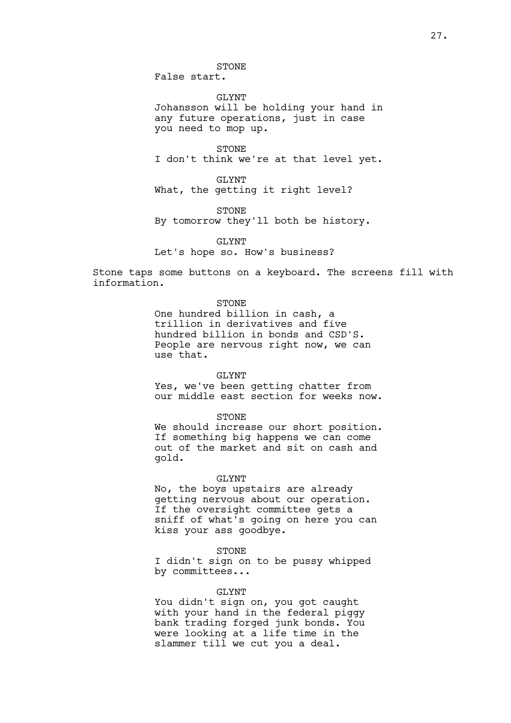STONE

False start.

GLYNT Johansson will be holding your hand in any future operations, just in case you need to mop up.

STONE I don't think we're at that level yet.

GLYNT What, the getting it right level?

STONE

By tomorrow they'll both be history.

GLYNT

Let's hope so. How's business?

Stone taps some buttons on a keyboard. The screens fill with information.

#### STONE

One hundred billion in cash, a trillion in derivatives and five hundred billion in bonds and CSD'S. People are nervous right now, we can use that.

#### GLYNT

Yes, we've been getting chatter from our middle east section for weeks now.

#### STONE

We should increase our short position. If something big happens we can come out of the market and sit on cash and gold.

#### GLYNT

No, the boys upstairs are already getting nervous about our operation. If the oversight committee gets a sniff of what's going on here you can kiss your ass goodbye.

#### STONE

I didn't sign on to be pussy whipped by committees...

#### GLYNT

You didn't sign on, you got caught with your hand in the federal piggy bank trading forged junk bonds. You were looking at a life time in the slammer till we cut you a deal.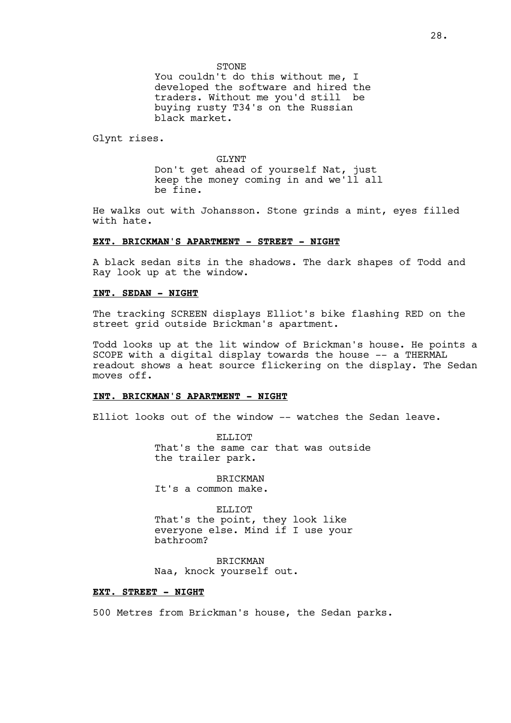You couldn't do this without me, I developed the software and hired the traders. Without me you'd still be buying rusty T34's on the Russian black market.

Glynt rises.

GLYNT Don't get ahead of yourself Nat, just keep the money coming in and we'll all be fine.

He walks out with Johansson. Stone grinds a mint, eyes filled with hate.

#### **EXT. BRICKMAN'S APARTMENT - STREET - NIGHT**

A black sedan sits in the shadows. The dark shapes of Todd and Ray look up at the window.

#### **INT. SEDAN - NIGHT**

The tracking SCREEN displays Elliot's bike flashing RED on the street grid outside Brickman's apartment.

Todd looks up at the lit window of Brickman's house. He points a SCOPE with a digital display towards the house -- a THERMAL readout shows a heat source flickering on the display. The Sedan moves off.

#### **INT. BRICKMAN'S APARTMENT - NIGHT**

Elliot looks out of the window -- watches the Sedan leave.

ELLIOT That's the same car that was outside the trailer park.

BRICKMAN It's a common make.

ELLIOT That's the point, they look like everyone else. Mind if I use your bathroom?

BRICKMAN Naa, knock yourself out.

## **EXT. STREET - NIGHT**

500 Metres from Brickman's house, the Sedan parks.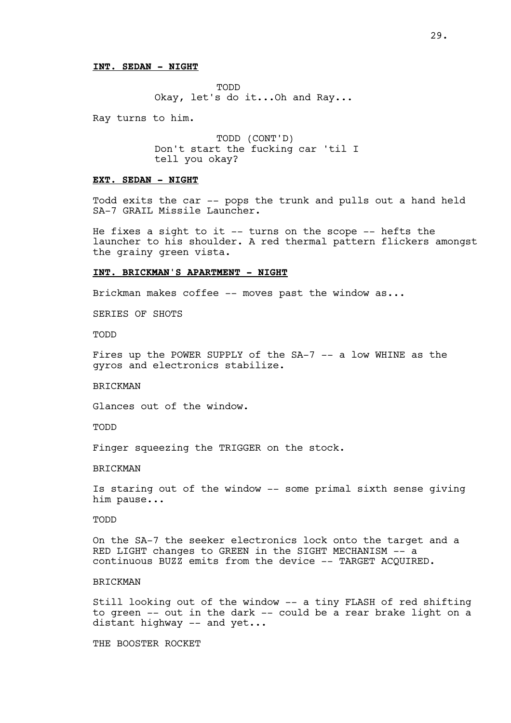## **INT. SEDAN - NIGHT**

TODD Okay, let's do it...Oh and Ray...

Ray turns to him.

TODD (CONT'D) Don't start the fucking car 'til I tell you okay?

#### **EXT. SEDAN - NIGHT**

Todd exits the car -- pops the trunk and pulls out a hand held SA-7 GRAIL Missile Launcher.

He fixes a sight to it  $--$  turns on the scope  $--$  hefts the launcher to his shoulder. A red thermal pattern flickers amongst the grainy green vista.

#### **INT. BRICKMAN'S APARTMENT - NIGHT**

Brickman makes coffee -- moves past the window as...

SERIES OF SHOTS

TODD

Fires up the POWER SUPPLY of the SA-7 -- a low WHINE as the gyros and electronics stabilize.

BRICKMAN

Glances out of the window.

TODD

Finger squeezing the TRIGGER on the stock.

BRICKMAN

Is staring out of the window -- some primal sixth sense giving him pause...

TODD

On the SA-7 the seeker electronics lock onto the target and a RED LIGHT changes to GREEN in the SIGHT MECHANISM -- a continuous BUZZ emits from the device -- TARGET ACQUIRED.

# **BRICKMAN**

Still looking out of the window -- a tiny FLASH of red shifting to green -- out in the dark -- could be a rear brake light on a distant highway -- and yet...

THE BOOSTER ROCKET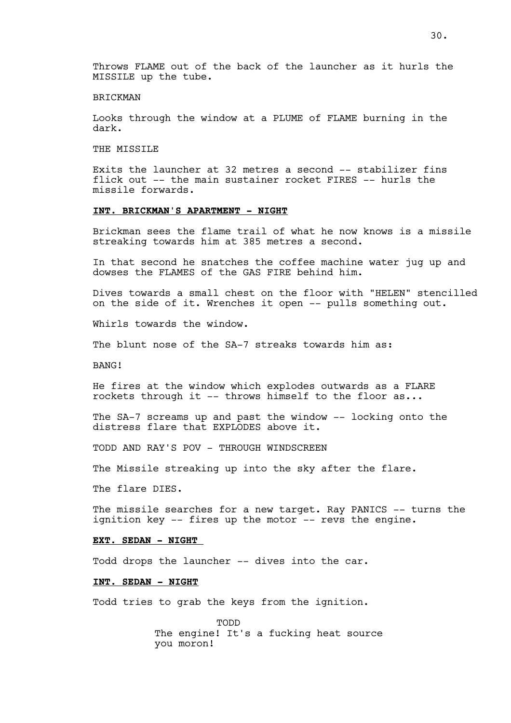Throws FLAME out of the back of the launcher as it hurls the MISSILE up the tube.

## BRICKMAN

Looks through the window at a PLUME of FLAME burning in the dark.

THE MISSILE

Exits the launcher at 32 metres a second -- stabilizer fins flick out -- the main sustainer rocket FIRES -- hurls the missile forwards.

# **INT. BRICKMAN'S APARTMENT - NIGHT**

Brickman sees the flame trail of what he now knows is a missile streaking towards him at 385 metres a second.

In that second he snatches the coffee machine water jug up and dowses the FLAMES of the GAS FIRE behind him.

Dives towards a small chest on the floor with "HELEN" stencilled on the side of it. Wrenches it open -- pulls something out.

Whirls towards the window.

The blunt nose of the SA-7 streaks towards him as:

BANG!

He fires at the window which explodes outwards as a FLARE rockets through it -- throws himself to the floor as...

The SA-7 screams up and past the window -- locking onto the distress flare that EXPLODES above it.

TODD AND RAY'S POV - THROUGH WINDSCREEN

The Missile streaking up into the sky after the flare.

The flare DIES.

The missile searches for a new target. Ray PANICS -- turns the ignition key -- fires up the motor -- revs the engine.

## **EXT. SEDAN - NIGHT**

Todd drops the launcher -- dives into the car.

#### **INT. SEDAN - NIGHT**

Todd tries to grab the keys from the ignition.

TODD The engine! It's a fucking heat source you moron!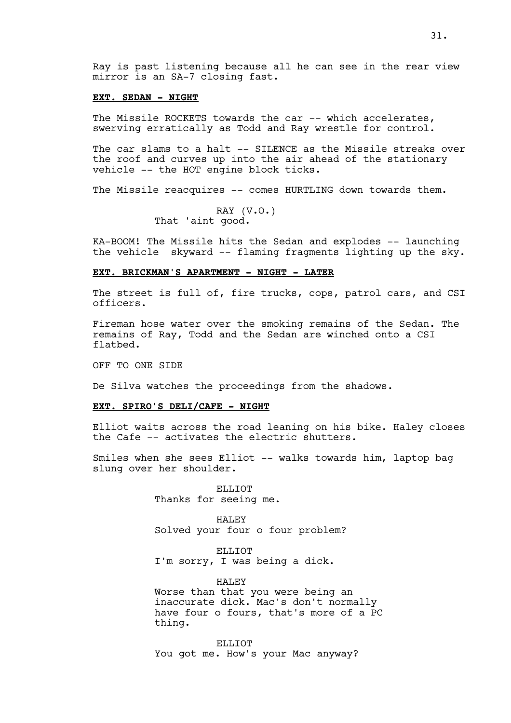Ray is past listening because all he can see in the rear view mirror is an SA-7 closing fast.

#### **EXT. SEDAN - NIGHT**

The Missile ROCKETS towards the car -- which accelerates, swerving erratically as Todd and Ray wrestle for control.

The car slams to a halt -- SILENCE as the Missile streaks over the roof and curves up into the air ahead of the stationary vehicle -- the HOT engine block ticks.

The Missile reacquires -- comes HURTLING down towards them.

RAY (V.O.) That 'aint good.

KA-BOOM! The Missile hits the Sedan and explodes -- launching the vehicle skyward -- flaming fragments lighting up the sky.

# **EXT. BRICKMAN'S APARTMENT - NIGHT - LATER**

The street is full of, fire trucks, cops, patrol cars, and CSI officers.

Fireman hose water over the smoking remains of the Sedan. The remains of Ray, Todd and the Sedan are winched onto a CSI flatbed.

OFF TO ONE SIDE

De Silva watches the proceedings from the shadows.

#### **EXT. SPIRO'S DELI/CAFE - NIGHT**

Elliot waits across the road leaning on his bike. Haley closes the Cafe -- activates the electric shutters.

Smiles when she sees Elliot -- walks towards him, laptop bag slung over her shoulder.

> ELLIOT Thanks for seeing me.

HALEY Solved your four o four problem?

ELLIOT. I'm sorry, I was being a dick.

HALEY Worse than that you were being an inaccurate dick. Mac's don't normally have four o fours, that's more of a PC thing.

ELLIOT You got me. How's your Mac anyway?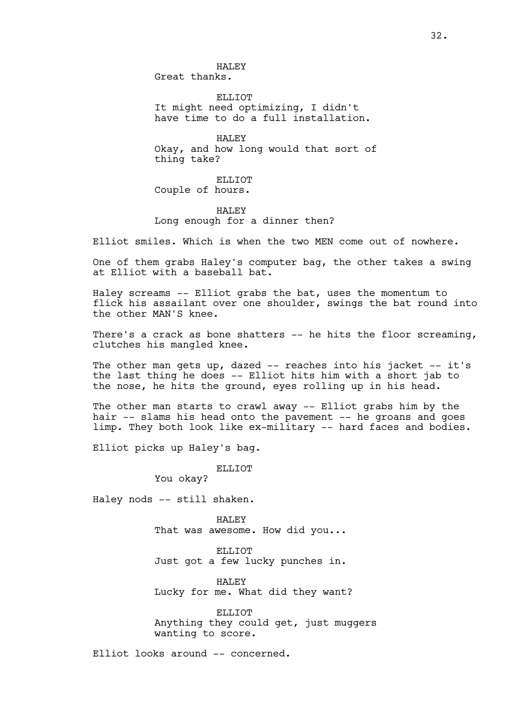HALEY Great thanks.

ELLIOT It might need optimizing, I didn't have time to do a full installation.

HALEY Okay, and how long would that sort of thing take?

ELLIOT Couple of hours.

HALEY Long enough for a dinner then?

Elliot smiles. Which is when the two MEN come out of nowhere.

One of them grabs Haley's computer bag, the other takes a swing at Elliot with a baseball bat.

Haley screams -- Elliot grabs the bat, uses the momentum to flick his assailant over one shoulder, swings the bat round into the other MAN'S knee.

There's a crack as bone shatters -- he hits the floor screaming, clutches his mangled knee.

The other man gets up, dazed -- reaches into his jacket -- it's the last thing he does -- Elliot hits him with a short jab to the nose, he hits the ground, eyes rolling up in his head.

The other man starts to crawl away -- Elliot grabs him by the hair -- slams his head onto the pavement -- he groans and goes limp. They both look like ex-military -- hard faces and bodies.

Elliot picks up Haley's bag.

ELLIOT

You okay?

Haley nods -- still shaken.

HALEY That was awesome. How did you...

ELLIOT Just got a few lucky punches in.

HALEY Lucky for me. What did they want?

ELLIOT Anything they could get, just muggers wanting to score.

Elliot looks around -- concerned.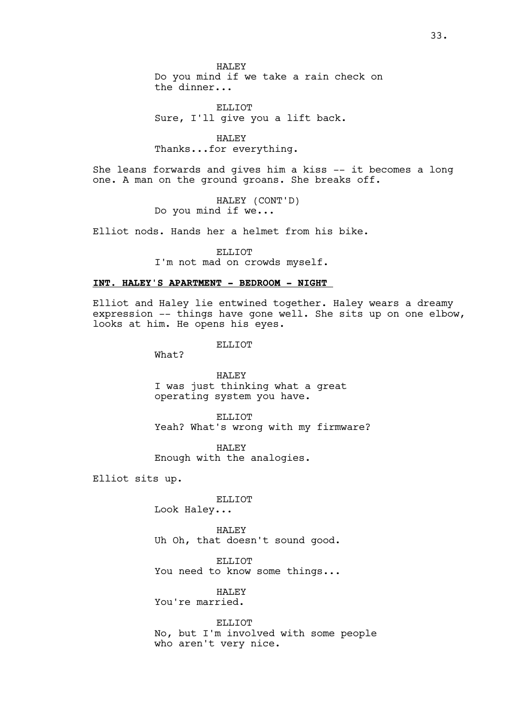HALEY Do you mind if we take a rain check on the dinner...

ELLIOT Sure, I'll give you a lift back.

HALEY Thanks...for everything.

She leans forwards and gives him a kiss -- it becomes a long one. A man on the ground groans. She breaks off.

> HALEY (CONT'D) Do you mind if we...

Elliot nods. Hands her a helmet from his bike.

ELLIOT

I'm not mad on crowds myself.

# **INT. HALEY'S APARTMENT - BEDROOM - NIGHT**

Elliot and Haley lie entwined together. Haley wears a dreamy expression -- things have gone well. She sits up on one elbow, looks at him. He opens his eyes.

ELLIOT

What?

HALEY I was just thinking what a great operating system you have.

ELLIOT Yeah? What's wrong with my firmware?

HALEY Enough with the analogies.

Elliot sits up.

ELLIOT Look Haley...

HALEY

Uh Oh, that doesn't sound good.

ELLIOT You need to know some things...

HALEY You're married.

ELLIOT No, but I'm involved with some people who aren't very nice.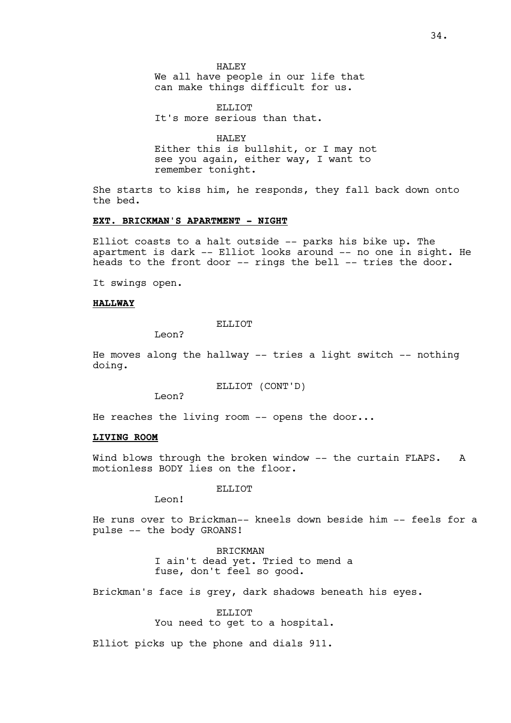#### HALEY

We all have people in our life that can make things difficult for us.

ELLIOT It's more serious than that.

HALEY Either this is bullshit, or I may not see you again, either way, I want to remember tonight.

She starts to kiss him, he responds, they fall back down onto the bed.

#### **EXT. BRICKMAN'S APARTMENT - NIGHT**

Elliot coasts to a halt outside -- parks his bike up. The apartment is dark -- Elliot looks around -- no one in sight. He heads to the front door -- rings the bell -- tries the door.

It swings open.

#### **HALLWAY**

ELLIOT

Leon?

He moves along the hallway -- tries a light switch -- nothing doing.

ELLIOT (CONT'D)

Leon?

He reaches the living room -- opens the door...

# **LIVING ROOM**

Wind blows through the broken window -- the curtain FLAPS. A motionless BODY lies on the floor.

#### ELLIOT

Leon!

He runs over to Brickman-- kneels down beside him -- feels for a pulse -- the body GROANS!

> **BRICKMAN** I ain't dead yet. Tried to mend a fuse, don't feel so good.

Brickman's face is grey, dark shadows beneath his eyes.

ELLIOT You need to get to a hospital.

Elliot picks up the phone and dials 911.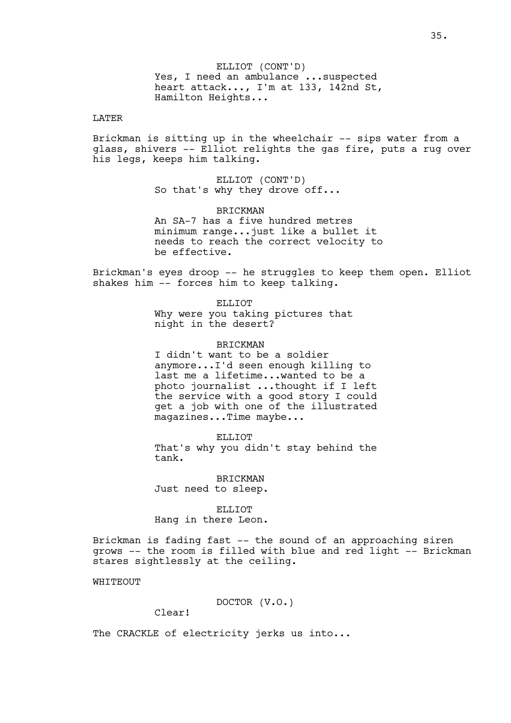ELLIOT (CONT'D) Yes, I need an ambulance ...suspected heart attack..., I'm at 133, 142nd St, Hamilton Heights...

# LATER

Brickman is sitting up in the wheelchair -- sips water from a glass, shivers -- Elliot relights the gas fire, puts a rug over his legs, keeps him talking.

> ELLIOT (CONT'D) So that's why they drove off...

**BRICKMAN** An SA-7 has a five hundred metres minimum range...just like a bullet it needs to reach the correct velocity to be effective.

Brickman's eyes droop -- he struggles to keep them open. Elliot shakes him -- forces him to keep talking.

> ELLIOT Why were you taking pictures that night in the desert?

#### BRICKMAN

I didn't want to be a soldier anymore...I'd seen enough killing to last me a lifetime...wanted to be a photo journalist ...thought if I left the service with a good story I could get a job with one of the illustrated magazines...Time maybe...

ELLIOT That's why you didn't stay behind the tank.

BRICKMAN Just need to sleep.

ELLIOT Hang in there Leon.

Brickman is fading fast -- the sound of an approaching siren grows -- the room is filled with blue and red light -- Brickman stares sightlessly at the ceiling.

WHITTEOUT

DOCTOR (V.O.)

Clear!

The CRACKLE of electricity jerks us into...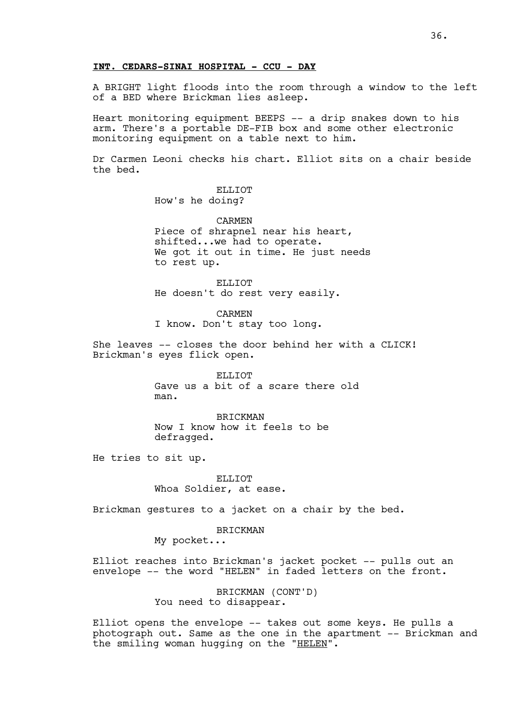## **INT. CEDARS-SINAI HOSPITAL - CCU - DAY**

A BRIGHT light floods into the room through a window to the left of a BED where Brickman lies asleep.

Heart monitoring equipment BEEPS -- a drip snakes down to his arm. There's a portable DE-FIB box and some other electronic monitoring equipment on a table next to him.

Dr Carmen Leoni checks his chart. Elliot sits on a chair beside the bed.

> ELLIOT How's he doing?

CARMEN Piece of shrapnel near his heart, shifted...we had to operate. We got it out in time. He just needs to rest up.

ELLIOT He doesn't do rest very easily.

CARMEN I know. Don't stay too long.

She leaves -- closes the door behind her with a CLICK! Brickman's eyes flick open.

> ELLIOT Gave us a bit of a scare there old man.

BRICKMAN Now I know how it feels to be defragged.

He tries to sit up.

ELLIOT Whoa Soldier, at ease.

Brickman gestures to a jacket on a chair by the bed.

BRICKMAN

My pocket...

Elliot reaches into Brickman's jacket pocket -- pulls out an envelope -- the word "HELEN" in faded letters on the front.

> BRICKMAN (CONT'D) You need to disappear.

Elliot opens the envelope -- takes out some keys. He pulls a photograph out. Same as the one in the apartment -- Brickman and the smiling woman hugging on the "HELEN".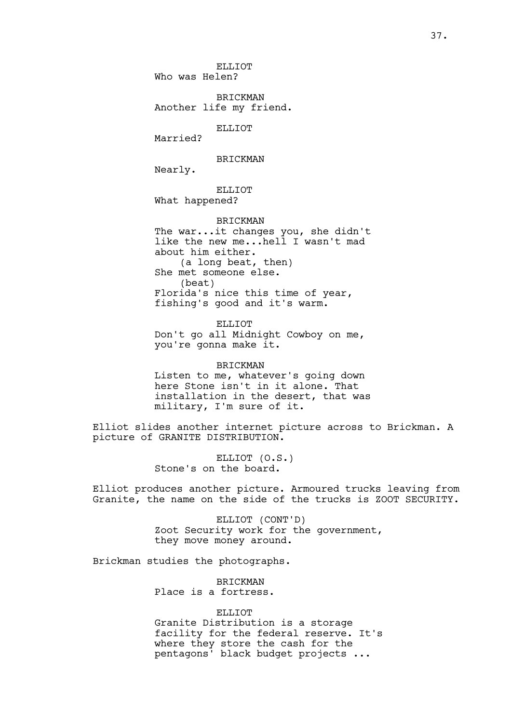ELLIOT Who was Helen?

BRICKMAN Another life my friend.

ELLIOT

Married?

BRICKMAN

Nearly.

ELLIOT What happened?

BRICKMAN The war...it changes you, she didn't like the new me...hell I wasn't mad about him either. (a long beat, then) She met someone else. (beat) Florida's nice this time of year, fishing's good and it's warm.

ELLIOT Don't go all Midnight Cowboy on me, you're gonna make it.

BRICKMAN Listen to me, whatever's going down here Stone isn't in it alone. That installation in the desert, that was

Elliot slides another internet picture across to Brickman. A picture of GRANITE DISTRIBUTION.

> ELLIOT (O.S.) Stone's on the board.

military, I'm sure of it.

Elliot produces another picture. Armoured trucks leaving from Granite, the name on the side of the trucks is ZOOT SECURITY.

> ELLIOT (CONT'D) Zoot Security work for the government, they move money around.

Brickman studies the photographs.

BRICKMAN Place is a fortress.

ELLIOT.

Granite Distribution is a storage facility for the federal reserve. It's where they store the cash for the pentagons' black budget projects ...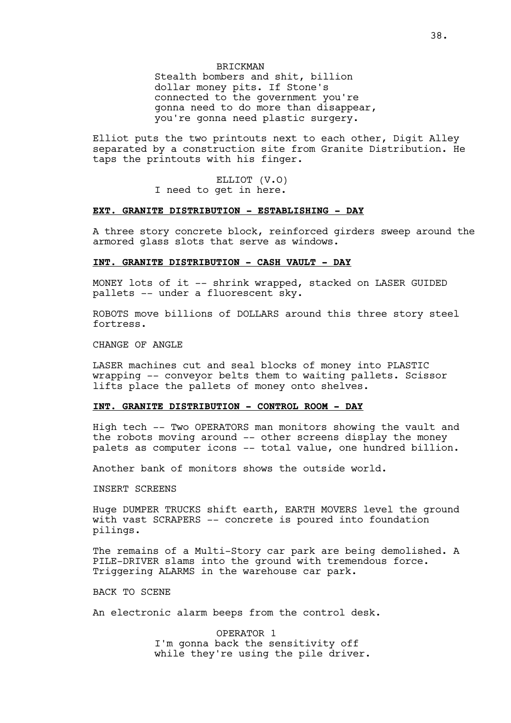## BRICKMAN

Stealth bombers and shit, billion dollar money pits. If Stone's connected to the government you're gonna need to do more than disappear, you're gonna need plastic surgery.

Elliot puts the two printouts next to each other, Digit Alley separated by a construction site from Granite Distribution. He taps the printouts with his finger.

> ELLIOT (V.O) I need to get in here.

# **EXT. GRANITE DISTRIBUTION - ESTABLISHING - DAY**

A three story concrete block, reinforced girders sweep around the armored glass slots that serve as windows.

## **INT. GRANITE DISTRIBUTION - CASH VAULT - DAY**

MONEY lots of it -- shrink wrapped, stacked on LASER GUIDED pallets -- under a fluorescent sky.

ROBOTS move billions of DOLLARS around this three story steel fortress.

CHANGE OF ANGLE

LASER machines cut and seal blocks of money into PLASTIC wrapping -- conveyor belts them to waiting pallets. Scissor lifts place the pallets of money onto shelves.

## **INT. GRANITE DISTRIBUTION - CONTROL ROOM - DAY**

High tech -- Two OPERATORS man monitors showing the vault and the robots moving around -- other screens display the money palets as computer icons -- total value, one hundred billion.

Another bank of monitors shows the outside world.

### INSERT SCREENS

Huge DUMPER TRUCKS shift earth, EARTH MOVERS level the ground with vast SCRAPERS -- concrete is poured into foundation pilings.

The remains of a Multi-Story car park are being demolished. A PILE-DRIVER slams into the ground with tremendous force. Triggering ALARMS in the warehouse car park.

BACK TO SCENE

An electronic alarm beeps from the control desk.

OPERATOR 1 I'm gonna back the sensitivity off while they're using the pile driver.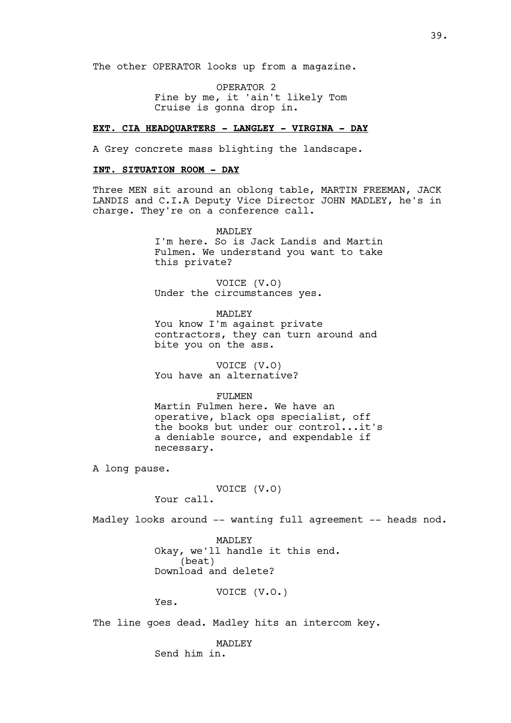The other OPERATOR looks up from a magazine.

OPERATOR 2 Fine by me, it 'ain't likely Tom Cruise is gonna drop in.

## **EXT. CIA HEADQUARTERS - LANGLEY - VIRGINA - DAY**

A Grey concrete mass blighting the landscape.

## **INT. SITUATION ROOM - DAY**

Three MEN sit around an oblong table, MARTIN FREEMAN, JACK LANDIS and C.I.A Deputy Vice Director JOHN MADLEY, he's in charge. They're on a conference call.

> MADLEY I'm here. So is Jack Landis and Martin Fulmen. We understand you want to take this private?

VOICE (V.O) Under the circumstances yes.

MADLEY

You know I'm against private contractors, they can turn around and bite you on the ass.

VOICE (V.O) You have an alternative?

#### FULMEN

Martin Fulmen here. We have an operative, black ops specialist, off the books but under our control...it's a deniable source, and expendable if necessary.

A long pause.

VOICE (V.O) Your call.

Madley looks around -- wanting full agreement -- heads nod.

**MADLEY** Okay, we'll handle it this end. (beat) Download and delete?

VOICE (V.O.)

Yes.

The line goes dead. Madley hits an intercom key.

MADLEY Send him in.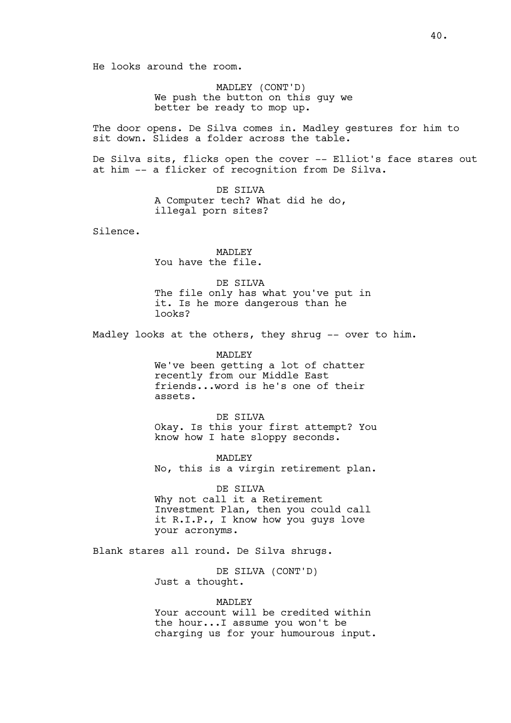He looks around the room.

MADLEY (CONT'D) We push the button on this guy we better be ready to mop up.

The door opens. De Silva comes in. Madley gestures for him to sit down. Slides a folder across the table.

De Silva sits, flicks open the cover -- Elliot's face stares out at him -- a flicker of recognition from De Silva.

> DE SILVA A Computer tech? What did he do, illegal porn sites?

Silence.

MADLEY You have the file.

DE SILVA The file only has what you've put in it. Is he more dangerous than he looks?

Madley looks at the others, they shrug -- over to him.

MADLEY We've been getting a lot of chatter recently from our Middle East friends...word is he's one of their assets.

DE SILVA Okay. Is this your first attempt? You know how I hate sloppy seconds.

MADLEY No, this is a virgin retirement plan.

DE SILVA Why not call it a Retirement Investment Plan, then you could call it R.I.P., I know how you guys love your acronyms.

Blank stares all round. De Silva shrugs.

DE SILVA (CONT'D) Just a thought.

# MADLEY

Your account will be credited within the hour...I assume you won't be charging us for your humourous input.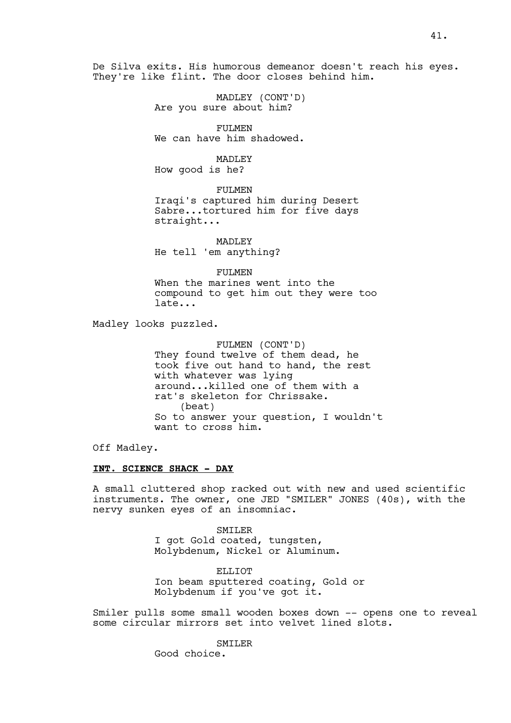De Silva exits. His humorous demeanor doesn't reach his eyes. They're like flint. The door closes behind him.

> MADLEY (CONT'D) Are you sure about him?

FULMEN We can have him shadowed.

MADLEY

How good is he?

FULMEN Iraqi's captured him during Desert Sabre...tortured him for five days straight...

MADLEY He tell 'em anything?

FULMEN

When the marines went into the compound to get him out they were too late...

Madley looks puzzled.

FULMEN (CONT'D) They found twelve of them dead, he took five out hand to hand, the rest with whatever was lying around...killed one of them with a rat's skeleton for Chrissake. (beat) So to answer your question, I wouldn't want to cross him.

Off Madley.

## **INT. SCIENCE SHACK - DAY**

A small cluttered shop racked out with new and used scientific instruments. The owner, one JED "SMILER" JONES (40s), with the nervy sunken eyes of an insomniac.

> SMILER I got Gold coated, tungsten, Molybdenum, Nickel or Aluminum.

ELLIOT. Ion beam sputtered coating, Gold or Molybdenum if you've got it.

Smiler pulls some small wooden boxes down -- opens one to reveal some circular mirrors set into velvet lined slots.

**SMILER** 

Good choice.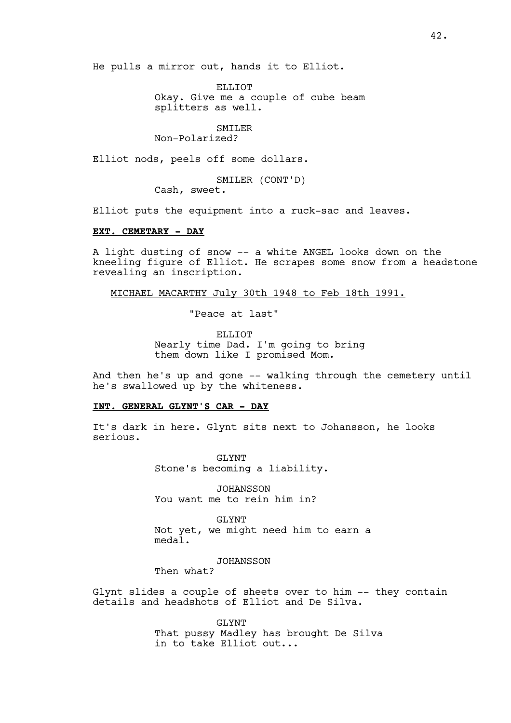He pulls a mirror out, hands it to Elliot.

ELLIOT Okay. Give me a couple of cube beam splitters as well.

SMILER

Non-Polarized?

Elliot nods, peels off some dollars.

SMILER (CONT'D)

Cash, sweet.

Elliot puts the equipment into a ruck-sac and leaves.

## **EXT. CEMETARY - DAY**

A light dusting of snow -- a white ANGEL looks down on the kneeling figure of Elliot. He scrapes some snow from a headstone revealing an inscription.

MICHAEL MACARTHY July 30th 1948 to Feb 18th 1991.

"Peace at last"

ELLIOT Nearly time Dad. I'm going to bring them down like I promised Mom.

And then he's up and gone -- walking through the cemetery until he's swallowed up by the whiteness.

#### **INT. GENERAL GLYNT'S CAR - DAY**

It's dark in here. Glynt sits next to Johansson, he looks serious.

> GLYNT Stone's becoming a liability.

JOHANSSON You want me to rein him in?

GLYNT Not yet, we might need him to earn a meda<sup>1</sup>.

JOHANSSON

Then what?

Glynt slides a couple of sheets over to him -- they contain details and headshots of Elliot and De Silva.

> GLYNT That pussy Madley has brought De Silva in to take Elliot out...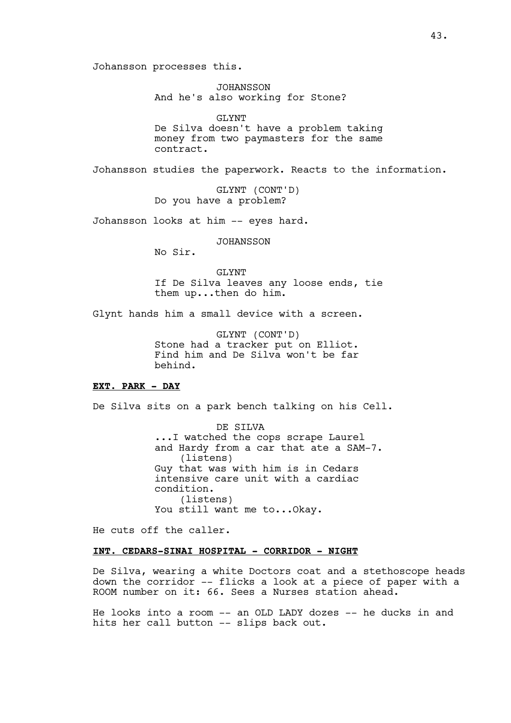Johansson processes this.

JOHANSSON And he's also working for Stone?

GLYNT

De Silva doesn't have a problem taking money from two paymasters for the same contract.

Johansson studies the paperwork. Reacts to the information.

GLYNT (CONT'D) Do you have a problem?

Johansson looks at him -- eyes hard.

**JOHANSSON** 

No Sir.

GLYNT If De Silva leaves any loose ends, tie them up...then do him.

Glynt hands him a small device with a screen.

GLYNT (CONT'D) Stone had a tracker put on Elliot. Find him and De Silva won't be far behind.

# **EXT. PARK - DAY**

De Silva sits on a park bench talking on his Cell.

DE SILVA ...I watched the cops scrape Laurel and Hardy from a car that ate a SAM-7. (listens) Guy that was with him is in Cedars intensive care unit with a cardiac condition. (listens) You still want me to...Okay.

He cuts off the caller.

# **INT. CEDARS-SINAI HOSPITAL - CORRIDOR - NIGHT**

De Silva, wearing a white Doctors coat and a stethoscope heads down the corridor -- flicks a look at a piece of paper with a ROOM number on it: 66. Sees a Nurses station ahead.

He looks into a room -- an OLD LADY dozes -- he ducks in and hits her call button -- slips back out.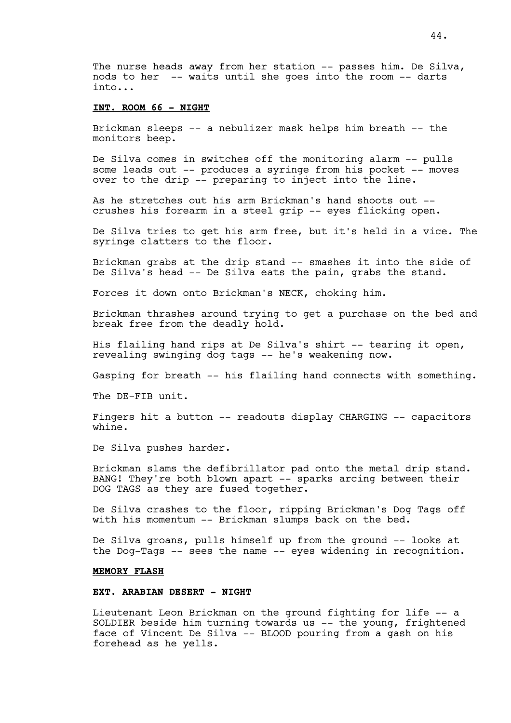The nurse heads away from her station -- passes him. De Silva, nods to her -- waits until she goes into the room -- darts into...

## **INT. ROOM 66 - NIGHT**

Brickman sleeps -- a nebulizer mask helps him breath -- the monitors beep.

De Silva comes in switches off the monitoring alarm -- pulls some leads out -- produces a syringe from his pocket -- moves over to the drip -- preparing to inject into the line.

As he stretches out his arm Brickman's hand shoots out - crushes his forearm in a steel grip -- eyes flicking open.

De Silva tries to get his arm free, but it's held in a vice. The syringe clatters to the floor.

Brickman grabs at the drip stand -- smashes it into the side of De Silva's head -- De Silva eats the pain, grabs the stand.

Forces it down onto Brickman's NECK, choking him.

Brickman thrashes around trying to get a purchase on the bed and break free from the deadly hold.

His flailing hand rips at De Silva's shirt -- tearing it open, revealing swinging dog tags -- he's weakening now.

Gasping for breath -- his flailing hand connects with something.

The DE-FIB unit.

Fingers hit a button -- readouts display CHARGING -- capacitors whine.

De Silva pushes harder.

Brickman slams the defibrillator pad onto the metal drip stand. BANG! They're both blown apart -- sparks arcing between their DOG TAGS as they are fused together.

De Silva crashes to the floor, ripping Brickman's Dog Tags off with his momentum -- Brickman slumps back on the bed.

De Silva groans, pulls himself up from the ground -- looks at the Dog-Tags -- sees the name -- eyes widening in recognition.

## **MEMORY FLASH**

### **EXT. ARABIAN DESERT - NIGHT**

Lieutenant Leon Brickman on the ground fighting for life -- a SOLDIER beside him turning towards us -- the young, frightened face of Vincent De Silva -- BLOOD pouring from a gash on his forehead as he yells.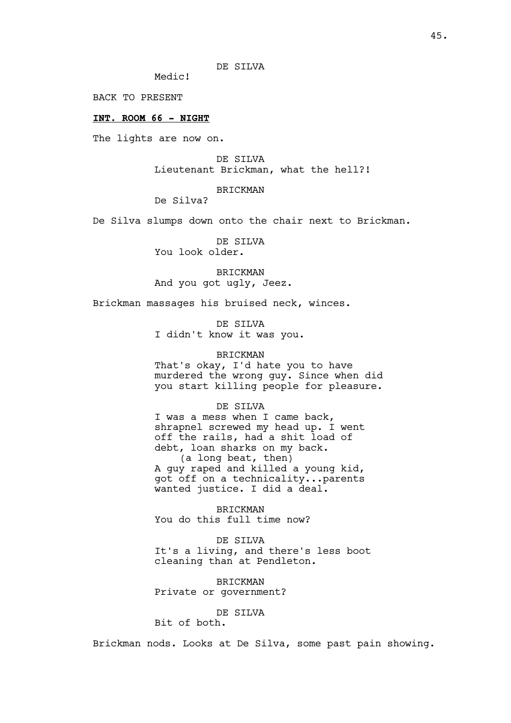DE SILVA

Medic!

BACK TO PRESENT

## **INT. ROOM 66 - NIGHT**

The lights are now on.

DE SILVA Lieutenant Brickman, what the hell?!

#### BRICKMAN

De Silva?

De Silva slumps down onto the chair next to Brickman.

DE SILVA You look older.

BRICKMAN And you got ugly, Jeez.

Brickman massages his bruised neck, winces.

DE SILVA I didn't know it was you.

# BRICKMAN

That's okay, I'd hate you to have murdered the wrong guy. Since when did you start killing people for pleasure.

DE SILVA

I was a mess when I came back, shrapnel screwed my head up. I went off the rails, had a shit load of debt, loan sharks on my back. (a long beat, then) A guy raped and killed a young kid, got off on a technicality...parents wanted justice. I did a deal.

BRICKMAN You do this full time now?

DE SILVA It's a living, and there's less boot cleaning than at Pendleton.

BRICKMAN Private or government?

# DE SILVA

Bit of both.

Brickman nods. Looks at De Silva, some past pain showing.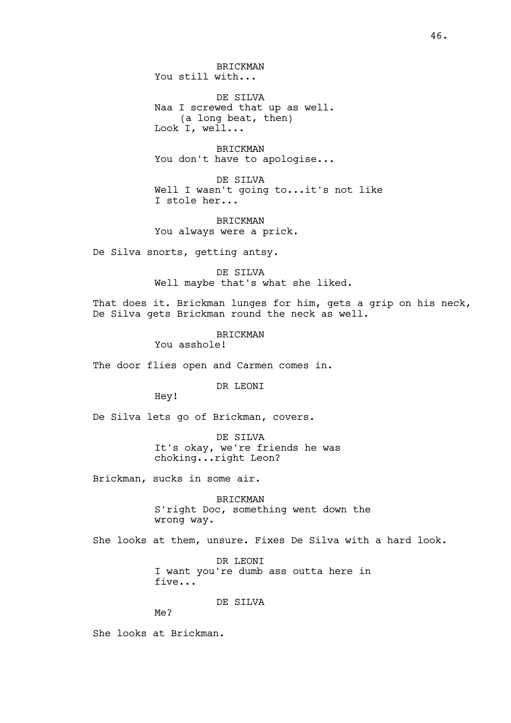46.

BRICKMAN You still with...

DE SILVA Naa I screwed that up as well. (a long beat, then) Look I, well...

BRICKMAN You don't have to apologise...

DE SILVA Well I wasn't going to...it's not like I stole her...

BRICKMAN You always were a prick.

De Silva snorts, getting antsy.

DE SILVA Well maybe that's what she liked.

That does it. Brickman lunges for him, gets a grip on his neck, De Silva gets Brickman round the neck as well.

BRICKMAN

You asshole!

The door flies open and Carmen comes in.

DR LEONI

Hey!

De Silva lets go of Brickman, covers.

DE SILVA It's okay, we're friends he was choking...right Leon?

Brickman, sucks in some air.

BRICKMAN S'right Doc, something went down the wrong way.

She looks at them, unsure. Fixes De Silva with a hard look.

DR LEONI I want you're dumb ass outta here in five...

DE SILVA

Me?

She looks at Brickman.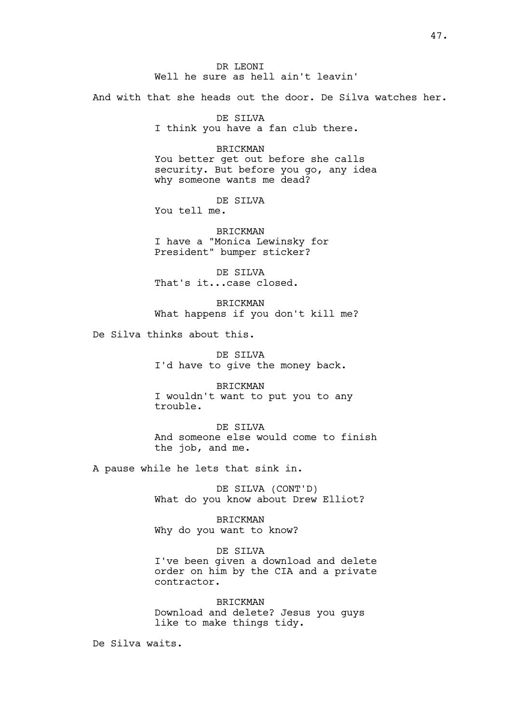DR LEONI Well he sure as hell ain't leavin'

And with that she heads out the door. De Silva watches her.

DE SILVA I think you have a fan club there.

BRICKMAN You better get out before she calls security. But before you go, any idea why someone wants me dead?

DE SILVA

You tell me.

BRICKMAN I have a "Monica Lewinsky for President" bumper sticker?

DE SILVA That's it...case closed.

BRICKMAN What happens if you don't kill me?

De Silva thinks about this.

DE SILVA I'd have to give the money back.

BRICKMAN I wouldn't want to put you to any trouble.

DE SILVA And someone else would come to finish the job, and me.

A pause while he lets that sink in.

DE SILVA (CONT'D) What do you know about Drew Elliot?

BRICKMAN Why do you want to know?

DE SILVA I've been given a download and delete order on him by the CIA and a private contractor.

BRICKMAN Download and delete? Jesus you guys like to make things tidy.

De Silva waits.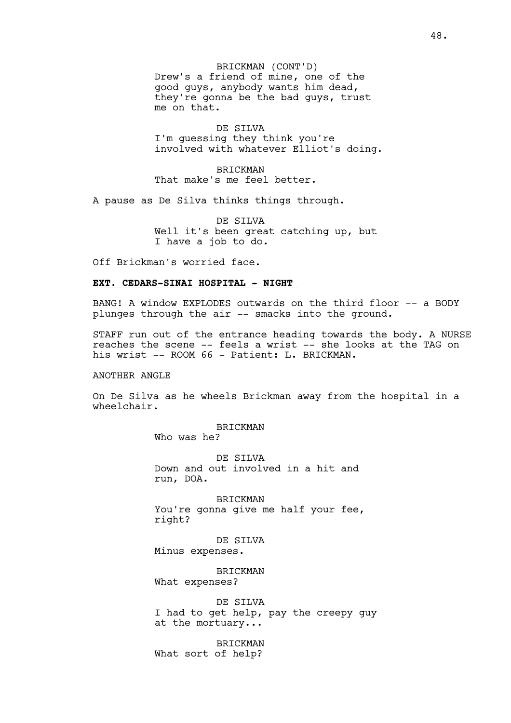BRICKMAN (CONT'D) Drew's a friend of mine, one of the good guys, anybody wants him dead, they're gonna be the bad guys, trust me on that.

DE SILVA I'm guessing they think you're involved with whatever Elliot's doing.

BRICKMAN That make's me feel better.

A pause as De Silva thinks things through.

DE SILVA Well it's been great catching up, but I have a job to do.

Off Brickman's worried face.

## **EXT. CEDARS-SINAI HOSPITAL - NIGHT**

BANG! A window EXPLODES outwards on the third floor -- a BODY plunges through the air -- smacks into the ground.

STAFF run out of the entrance heading towards the body. A NURSE reaches the scene -- feels a wrist -- she looks at the TAG on his wrist -- ROOM 66 - Patient: L. BRICKMAN.

#### ANOTHER ANGLE

On De Silva as he wheels Brickman away from the hospital in a wheelchair.

BRICKMAN

Who was he?

DE SILVA Down and out involved in a hit and run, DOA.

BRICKMAN You're gonna give me half your fee, right?

DE SILVA Minus expenses.

**BRICKMAN** What expenses?

DE SILVA I had to get help, pay the creepy guy at the mortuary...

BRICKMAN What sort of help?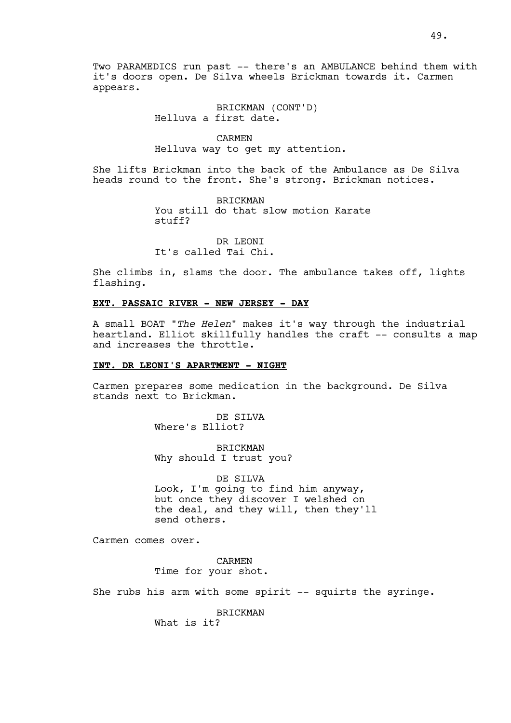BRICKMAN (CONT'D) Helluva a first date.

CARMEN

Helluva way to get my attention.

She lifts Brickman into the back of the Ambulance as De Silva heads round to the front. She's strong. Brickman notices.

> BRICKMAN You still do that slow motion Karate stuff?

DR LEONI It's called Tai Chi.

She climbs in, slams the door. The ambulance takes off, lights flashing.

### **EXT. PASSAIC RIVER - NEW JERSEY - DAY**

A small BOAT "*The Helen*" makes it's way through the industrial heartland. Elliot skillfully handles the craft -- consults a map and increases the throttle.

# **INT. DR LEONI'S APARTMENT - NIGHT**

Carmen prepares some medication in the background. De Silva stands next to Brickman.

> DE SILVA Where's Elliot?

BRICKMAN Why should I trust you?

DE SILVA Look, I'm going to find him anyway, but once they discover I welshed on the deal, and they will, then they'll send others.

Carmen comes over.

CARMEN Time for your shot.

She rubs his arm with some spirit -- squirts the syringe.

BRICKMAN

What is it?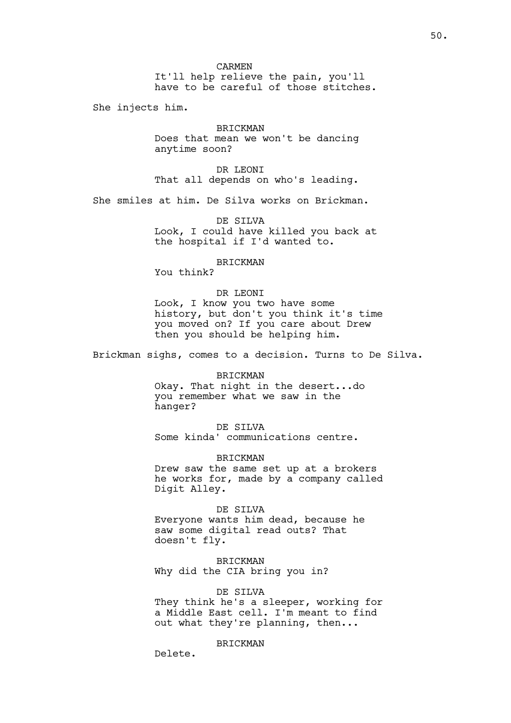CARMEN It'll help relieve the pain, you'll have to be careful of those stitches.

She injects him.

BRICKMAN Does that mean we won't be dancing anytime soon?

DR LEONI That all depends on who's leading.

She smiles at him. De Silva works on Brickman.

DE SILVA Look, I could have killed you back at the hospital if I'd wanted to.

BRICKMAN

You think?

### DR LEONI

Look, I know you two have some history, but don't you think it's time you moved on? If you care about Drew then you should be helping him.

Brickman sighs, comes to a decision. Turns to De Silva.

#### BRICKMAN

Okay. That night in the desert...do you remember what we saw in the hanger?

## DE SILVA

Some kinda' communications centre.

#### BRICKMAN

Drew saw the same set up at a brokers he works for, made by a company called Digit Alley.

### DE SILVA

Everyone wants him dead, because he saw some digital read outs? That doesn't fly.

BRICKMAN Why did the CIA bring you in?

### DE SILVA

They think he's a sleeper, working for a Middle East cell. I'm meant to find out what they're planning, then...

### BRICKMAN

Delete.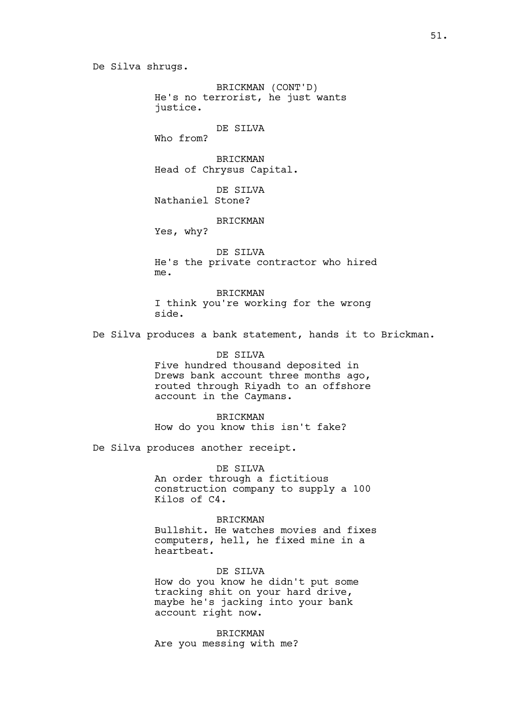De Silva shrugs.

BRICKMAN (CONT'D) He's no terrorist, he just wants justice.

# DE SILVA

Who from?

BRICKMAN Head of Chrysus Capital.

DE SILVA Nathaniel Stone?

### BRICKMAN

Yes, why?

DE SILVA He's the private contractor who hired me.

BRICKMAN I think you're working for the wrong side.

De Silva produces a bank statement, hands it to Brickman.

DE SILVA Five hundred thousand deposited in Drews bank account three months ago, routed through Riyadh to an offshore account in the Caymans.

BRICKMAN How do you know this isn't fake?

De Silva produces another receipt.

DE SILVA

An order through a fictitious construction company to supply a 100 Kilos of C4.

BRICKMAN Bullshit. He watches movies and fixes computers, hell, he fixed mine in a heartbeat.

DE STLVA How do you know he didn't put some tracking shit on your hard drive, maybe he's jacking into your bank account right now.

BRICKMAN Are you messing with me?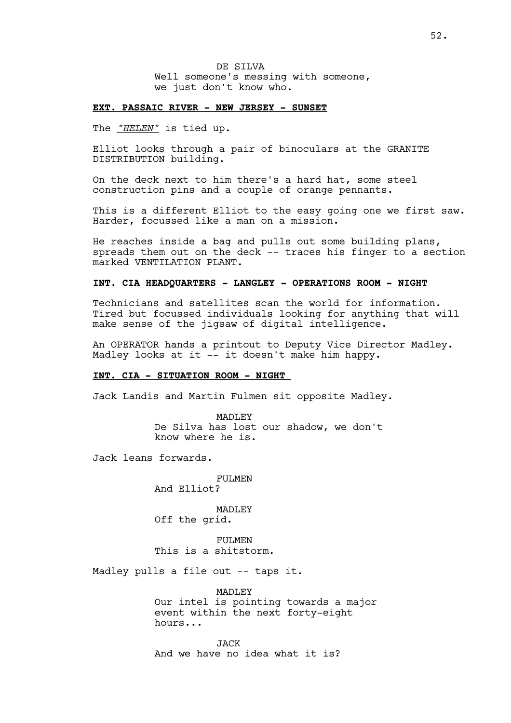DE SILVA Well someone's messing with someone, we just don't know who.

## **EXT. PASSAIC RIVER - NEW JERSEY - SUNSET**

The *"HELEN"* is tied up.

Elliot looks through a pair of binoculars at the GRANITE DISTRIBUTION building.

On the deck next to him there's a hard hat, some steel construction pins and a couple of orange pennants.

This is a different Elliot to the easy going one we first saw. Harder, focussed like a man on a mission.

He reaches inside a bag and pulls out some building plans, spreads them out on the deck -- traces his finger to a section marked VENTILATION PLANT.

# **INT. CIA HEADQUARTERS - LANGLEY - OPERATIONS ROOM - NIGHT**

Technicians and satellites scan the world for information. Tired but focussed individuals looking for anything that will make sense of the jigsaw of digital intelligence.

An OPERATOR hands a printout to Deputy Vice Director Madley. Madley looks at it -- it doesn't make him happy.

### **INT. CIA - SITUATION ROOM - NIGHT**

Jack Landis and Martin Fulmen sit opposite Madley.

MADLEY De Silva has lost our shadow, we don't know where he is.

Jack leans forwards.

FULMEN

And Elliot?

MADLEY Off the grid.

FULMEN This is a shitstorm.

Madley pulls a file out -- taps it.

MADLEY Our intel is pointing towards a major event within the next forty-eight hours...

JACK And we have no idea what it is?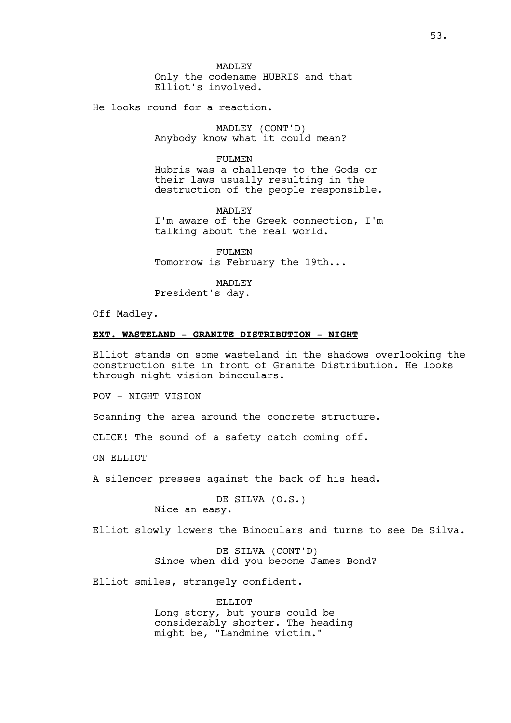MADLEY Only the codename HUBRIS and that Elliot's involved.

He looks round for a reaction.

MADLEY (CONT'D) Anybody know what it could mean?

FULMEN

Hubris was a challenge to the Gods or their laws usually resulting in the destruction of the people responsible.

MADLEY I'm aware of the Greek connection, I'm talking about the real world.

FULMEN Tomorrow is February the 19th...

MADLEY President's day.

Off Madley.

## **EXT. WASTELAND - GRANITE DISTRIBUTION - NIGHT**

Elliot stands on some wasteland in the shadows overlooking the construction site in front of Granite Distribution. He looks through night vision binoculars.

POV - NIGHT VISION

Scanning the area around the concrete structure.

CLICK! The sound of a safety catch coming off.

ON ELLIOT

A silencer presses against the back of his head.

DE SILVA (O.S.) Nice an easy.

Elliot slowly lowers the Binoculars and turns to see De Silva.

DE SILVA (CONT'D) Since when did you become James Bond?

Elliot smiles, strangely confident.

ELLIOT Long story, but yours could be considerably shorter. The heading might be, "Landmine victim."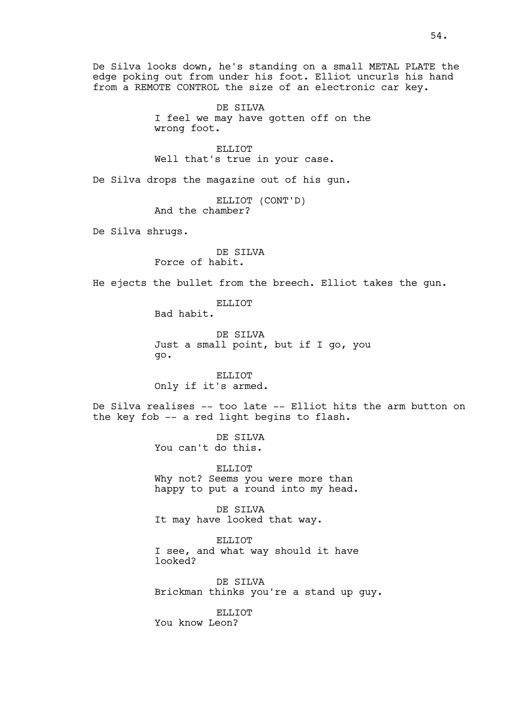De Silva looks down, he's standing on a small METAL PLATE the edge poking out from under his foot. Elliot uncurls his hand from a REMOTE CONTROL the size of an electronic car key.

> DE SILVA I feel we may have gotten off on the wrong foot.

ELLIOT Well that's true in your case.

De Silva drops the magazine out of his gun.

ELLIOT (CONT'D) And the chamber?

De Silva shrugs.

DE SILVA Force of habit.

He ejects the bullet from the breech. Elliot takes the gun.

ELLIOT Bad habit.

DE SILVA Just a small point, but if I go, you go.

ELLIOT Only if it's armed.

De Silva realises -- too late -- Elliot hits the arm button on the key fob -- a red light begins to flash.

> DE SILVA You can't do this.

ELLIOT Why not? Seems you were more than happy to put a round into my head.

DE SILVA It may have looked that way.

ELLIOT I see, and what way should it have looked?

DE SILVA Brickman thinks you're a stand up guy.

ELLIOT. You know Leon?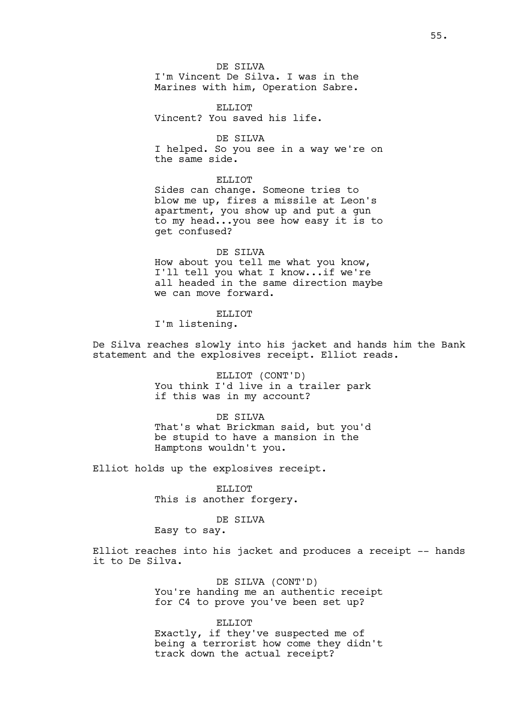### DE SILVA

I'm Vincent De Silva. I was in the Marines with him, Operation Sabre.

ELLIOT Vincent? You saved his life.

DE SILVA I helped. So you see in a way we're on the same side.

ELLIOT Sides can change. Someone tries to blow me up, fires a missile at Leon's apartment, you show up and put a gun to my head...you see how easy it is to get confused?

DE SILVA How about you tell me what you know, I'll tell you what I know...if we're all headed in the same direction maybe we can move forward.

## ELLIOT

I'm listening.

De Silva reaches slowly into his jacket and hands him the Bank statement and the explosives receipt. Elliot reads.

> ELLIOT (CONT'D) You think I'd live in a trailer park if this was in my account?

> DE SILVA That's what Brickman said, but you'd be stupid to have a mansion in the Hamptons wouldn't you.

Elliot holds up the explosives receipt.

ELLIOT This is another forgery.

### DE SILVA

Easy to say.

Elliot reaches into his jacket and produces a receipt -- hands it to De Silva.

> DE SILVA (CONT'D) You're handing me an authentic receipt for C4 to prove you've been set up?

> ELLIOT Exactly, if they've suspected me of being a terrorist how come they didn't track down the actual receipt?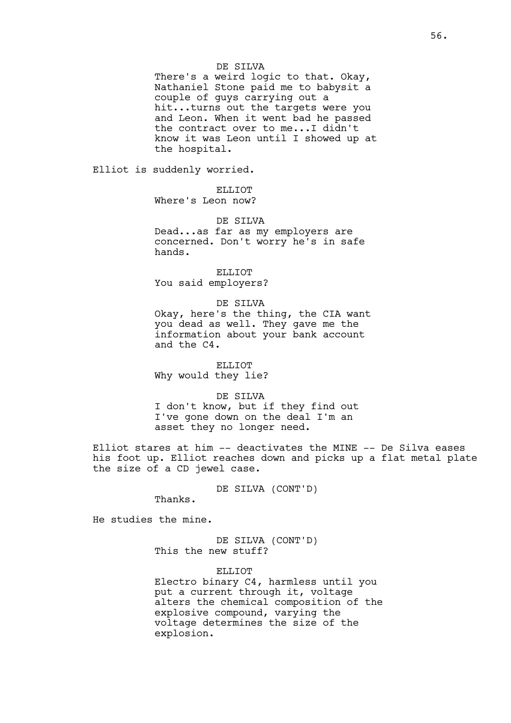## DE SILVA

There's a weird logic to that. Okay, Nathaniel Stone paid me to babysit a couple of guys carrying out a hit...turns out the targets were you and Leon. When it went bad he passed the contract over to me...I didn't know it was Leon until I showed up at the hospital.

Elliot is suddenly worried.

ELLIOT Where's Leon now?

DE SILVA

Dead...as far as my employers are concerned. Don't worry he's in safe hands.

ELLIOT You said employers?

DE SILVA

Okay, here's the thing, the CIA want you dead as well. They gave me the information about your bank account and the C4.

ELLIOT Why would they lie?

### DE SILVA

I don't know, but if they find out I've gone down on the deal I'm an asset they no longer need.

Elliot stares at him -- deactivates the MINE -- De Silva eases his foot up. Elliot reaches down and picks up a flat metal plate the size of a CD jewel case.

DE SILVA (CONT'D)

Thanks.

He studies the mine.

DE SILVA (CONT'D) This the new stuff?

ELLIOT Electro binary C4, harmless until you put a current through it, voltage

alters the chemical composition of the explosive compound, varying the voltage determines the size of the explosion.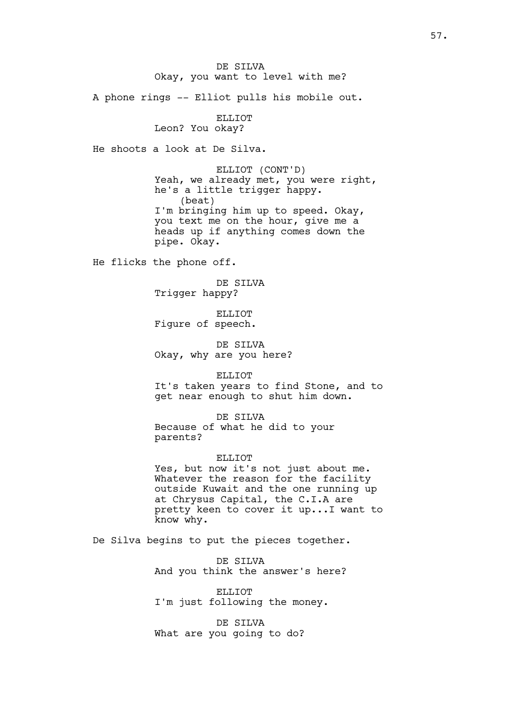DE SILVA Okay, you want to level with me?

A phone rings -- Elliot pulls his mobile out.

ELLIOT Leon? You okay?

He shoots a look at De Silva.

ELLIOT (CONT'D) Yeah, we already met, you were right, he's a little trigger happy. (beat) I'm bringing him up to speed. Okay, you text me on the hour, give me a heads up if anything comes down the pipe. Okay.

He flicks the phone off.

DE SILVA Trigger happy?

ELLIOT Figure of speech.

DE SILVA Okay, why are you here?

ELLIOT

It's taken years to find Stone, and to get near enough to shut him down.

DE SILVA

Because of what he did to your parents?

ELLIOT

Yes, but now it's not just about me. Whatever the reason for the facility outside Kuwait and the one running up at Chrysus Capital, the C.I.A are pretty keen to cover it up...I want to know why.

De Silva begins to put the pieces together.

DE SILVA And you think the answer's here?

ELLIOT I'm just following the money.

DE SILVA What are you going to do?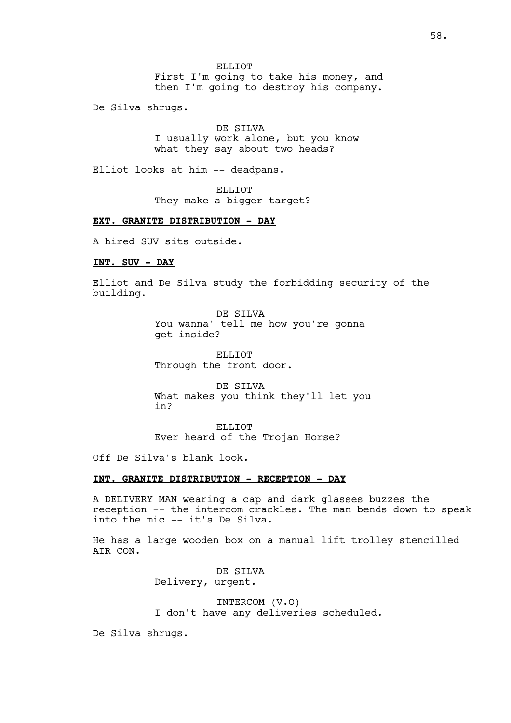ELLIOT First I'm going to take his money, and then I'm going to destroy his company.

De Silva shrugs.

DE SILVA I usually work alone, but you know what they say about two heads?

Elliot looks at him -- deadpans.

ELLIOT They make a bigger target?

# **EXT. GRANITE DISTRIBUTION - DAY**

A hired SUV sits outside.

# **INT. SUV - DAY**

Elliot and De Silva study the forbidding security of the building.

> DE SILVA You wanna' tell me how you're gonna get inside?

ELLIOT Through the front door.

DE SILVA What makes you think they'll let you in?

ELLIOT Ever heard of the Trojan Horse?

Off De Silva's blank look.

# **INT. GRANITE DISTRIBUTION - RECEPTION - DAY**

A DELIVERY MAN wearing a cap and dark glasses buzzes the reception -- the intercom crackles. The man bends down to speak into the mic -- it's De Silva.

He has a large wooden box on a manual lift trolley stencilled AIR CON.

> DE STIVA Delivery, urgent.

# INTERCOM (V.O) I don't have any deliveries scheduled.

De Silva shrugs.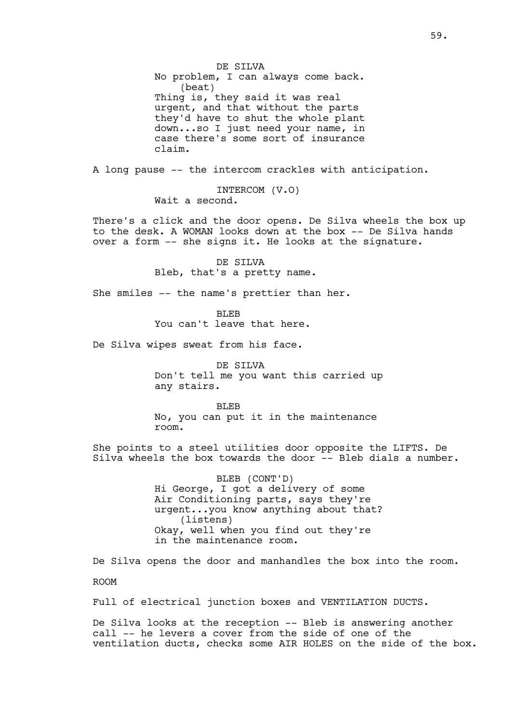DE SILVA No problem, I can always come back. (beat) Thing is, they said it was real urgent, and that without the parts they'd have to shut the whole plant down...so I just need your name, in case there's some sort of insurance claim.

A long pause -- the intercom crackles with anticipation.

INTERCOM (V.O) Wait a second.

There's a click and the door opens. De Silva wheels the box up to the desk. A WOMAN looks down at the box -- De Silva hands over a form -- she signs it. He looks at the signature.

> DE SILVA Bleb, that's a pretty name.

She smiles -- the name's prettier than her.

BLEB You can't leave that here.

De Silva wipes sweat from his face.

DE SILVA Don't tell me you want this carried up any stairs.

BLEB No, you can put it in the maintenance room.

She points to a steel utilities door opposite the LIFTS. De Silva wheels the box towards the door  $--$  Bleb dials a number.

> BLEB (CONT'D) Hi George, I got a delivery of some Air Conditioning parts, says they're urgent...you know anything about that? (listens) Okay, well when you find out they're in the maintenance room.

De Silva opens the door and manhandles the box into the room.

ROOM

Full of electrical junction boxes and VENTILATION DUCTS.

De Silva looks at the reception -- Bleb is answering another call -- he levers a cover from the side of one of the ventilation ducts, checks some AIR HOLES on the side of the box.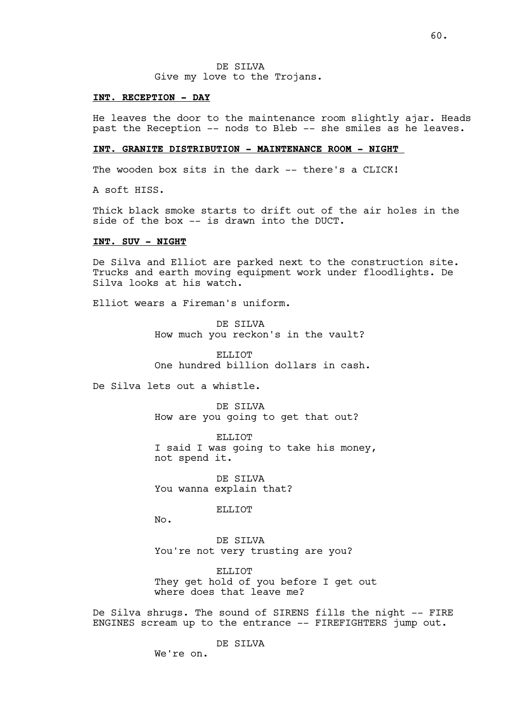DE SILVA Give my love to the Trojans.

### **INT. RECEPTION - DAY**

He leaves the door to the maintenance room slightly ajar. Heads past the Reception -- nods to Bleb -- she smiles as he leaves.

# **INT. GRANITE DISTRIBUTION - MAINTENANCE ROOM - NIGHT**

The wooden box sits in the dark -- there's a CLICK!

A soft HISS.

Thick black smoke starts to drift out of the air holes in the side of the box -- is drawn into the DUCT.

## **INT. SUV - NIGHT**

De Silva and Elliot are parked next to the construction site. Trucks and earth moving equipment work under floodlights. De Silva looks at his watch.

Elliot wears a Fireman's uniform.

DE SILVA How much you reckon's in the vault?

**ELLIOT** One hundred billion dollars in cash.

De Silva lets out a whistle.

DE SILVA How are you going to get that out?

ELLIOT I said I was going to take his money, not spend it.

DE SILVA You wanna explain that?

ELLIOT

No.

DE SILVA You're not very trusting are you?

ELLIOT They get hold of you before I get out where does that leave me?

De Silva shrugs. The sound of SIRENS fills the night -- FIRE ENGINES scream up to the entrance -- FIREFIGHTERS jump out.

DE SILVA

We're on.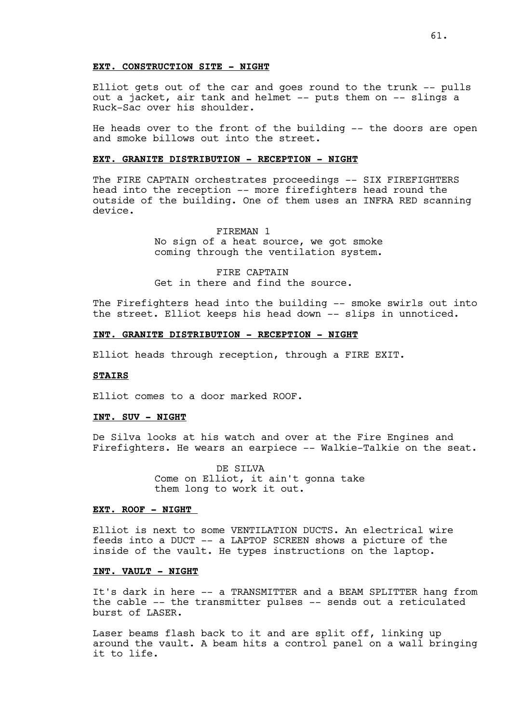Elliot gets out of the car and goes round to the trunk -- pulls out a jacket, air tank and helmet -- puts them on -- slings a Ruck-Sac over his shoulder.

He heads over to the front of the building -- the doors are open and smoke billows out into the street.

### **EXT. GRANITE DISTRIBUTION - RECEPTION - NIGHT**

The FIRE CAPTAIN orchestrates proceedings -- SIX FIREFIGHTERS head into the reception -- more firefighters head round the outside of the building. One of them uses an INFRA RED scanning device.

> FIREMAN 1 No sign of a heat source, we got smoke coming through the ventilation system.

FIRE CAPTAIN Get in there and find the source.

The Firefighters head into the building -- smoke swirls out into the street. Elliot keeps his head down -- slips in unnoticed.

# **INT. GRANITE DISTRIBUTION - RECEPTION - NIGHT**

Elliot heads through reception, through a FIRE EXIT.

## **STAIRS**

Elliot comes to a door marked ROOF.

### **INT. SUV - NIGHT**

De Silva looks at his watch and over at the Fire Engines and Firefighters. He wears an earpiece -- Walkie-Talkie on the seat.

> DE SILVA Come on Elliot, it ain't gonna take them long to work it out.

### **EXT. ROOF - NIGHT**

Elliot is next to some VENTILATION DUCTS. An electrical wire feeds into a DUCT -- a LAPTOP SCREEN shows a picture of the inside of the vault. He types instructions on the laptop.

# **INT. VAULT - NIGHT**

It's dark in here -- a TRANSMITTER and a BEAM SPLITTER hang from the cable -- the transmitter pulses -- sends out a reticulated burst of LASER.

Laser beams flash back to it and are split off, linking up around the vault. A beam hits a control panel on a wall bringing it to life.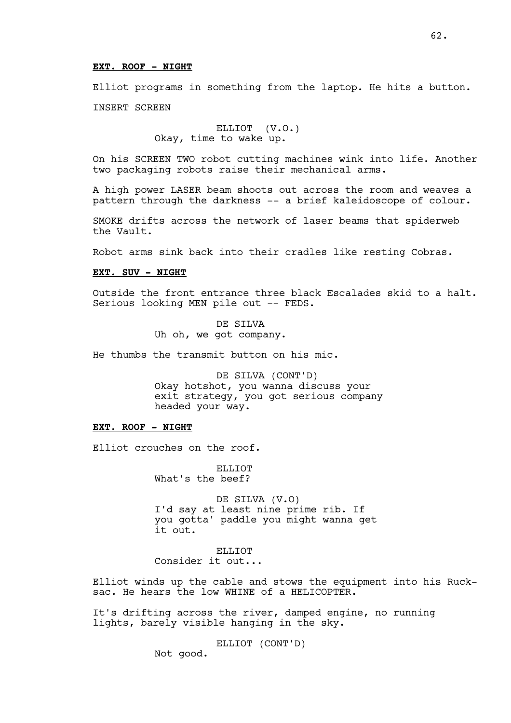## **EXT. ROOF - NIGHT**

Elliot programs in something from the laptop. He hits a button.

INSERT SCREEN

ELLIOT (V.O.) Okay, time to wake up.

On his SCREEN TWO robot cutting machines wink into life. Another two packaging robots raise their mechanical arms.

A high power LASER beam shoots out across the room and weaves a pattern through the darkness -- a brief kaleidoscope of colour.

SMOKE drifts across the network of laser beams that spiderweb the Vault.

Robot arms sink back into their cradles like resting Cobras.

## **EXT. SUV - NIGHT**

Outside the front entrance three black Escalades skid to a halt. Serious looking MEN pile out -- FEDS.

> DE SILVA Uh oh, we got company.

He thumbs the transmit button on his mic.

DE SILVA (CONT'D) Okay hotshot, you wanna discuss your exit strategy, you got serious company headed your way.

# **EXT. ROOF - NIGHT**

Elliot crouches on the roof.

ELLIOT What's the beef?

DE SILVA (V.O) I'd say at least nine prime rib. If you gotta' paddle you might wanna get it out.

ELLIOT

Consider it out...

Elliot winds up the cable and stows the equipment into his Rucksac. He hears the low WHINE of a HELICOPTER.

It's drifting across the river, damped engine, no running lights, barely visible hanging in the sky.

ELLIOT (CONT'D)

Not good.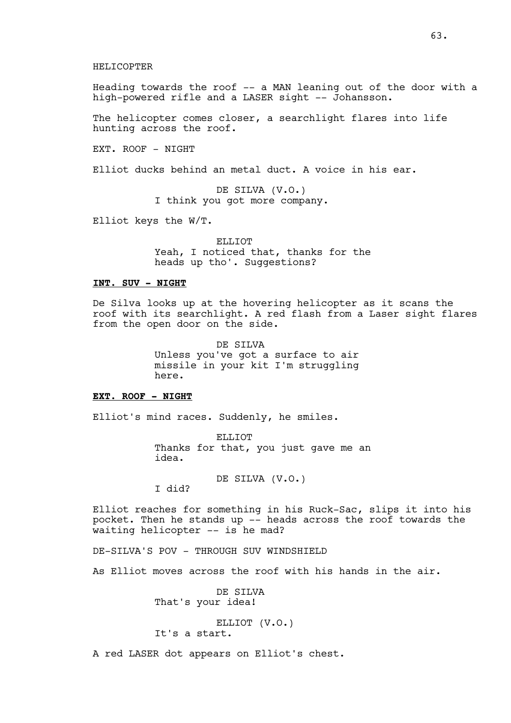Heading towards the roof -- a MAN leaning out of the door with a high-powered rifle and a LASER sight -- Johansson.

The helicopter comes closer, a searchlight flares into life hunting across the roof.

EXT. ROOF - NIGHT

HELICOPTER

Elliot ducks behind an metal duct. A voice in his ear.

DE SILVA (V.O.) I think you got more company.

Elliot keys the W/T.

ELLIOT Yeah, I noticed that, thanks for the heads up tho'. Suggestions?

## **INT. SUV - NIGHT**

De Silva looks up at the hovering helicopter as it scans the roof with its searchlight. A red flash from a Laser sight flares from the open door on the side.

> DE SILVA Unless you've got a surface to air missile in your kit I'm struggling here.

## **EXT. ROOF - NIGHT**

Elliot's mind races. Suddenly, he smiles.

ELLIOT Thanks for that, you just gave me an idea.

DE SILVA (V.O.)

I did?

Elliot reaches for something in his Ruck-Sac, slips it into his pocket. Then he stands up -- heads across the roof towards the waiting helicopter -- is he mad?

DE-SILVA'S POV - THROUGH SUV WINDSHIELD

As Elliot moves across the roof with his hands in the air.

DE SILVA That's your idea!

ELLIOT (V.O.) It's a start.

A red LASER dot appears on Elliot's chest.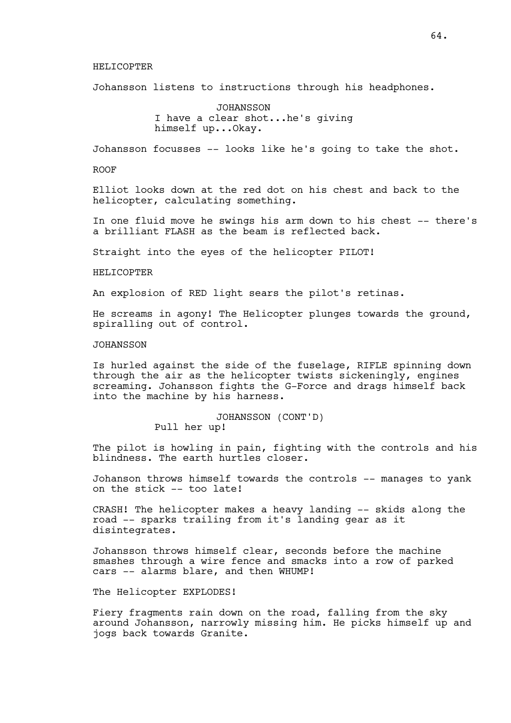### HELICOPTER

Johansson listens to instructions through his headphones.

JOHANSSON I have a clear shot...he's giving himself up...Okay.

Johansson focusses -- looks like he's going to take the shot.

ROOF

Elliot looks down at the red dot on his chest and back to the helicopter, calculating something.

In one fluid move he swings his arm down to his chest -- there's a brilliant FLASH as the beam is reflected back.

Straight into the eyes of the helicopter PILOT!

### HELICOPTER

An explosion of RED light sears the pilot's retinas.

He screams in agony! The Helicopter plunges towards the ground, spiralling out of control.

### **JOHANSSON**

Is hurled against the side of the fuselage, RIFLE spinning down through the air as the helicopter twists sickeningly, engines screaming. Johansson fights the G-Force and drags himself back into the machine by his harness.

### JOHANSSON (CONT'D)

Pull her up!

The pilot is howling in pain, fighting with the controls and his blindness. The earth hurtles closer.

Johanson throws himself towards the controls -- manages to yank on the stick -- too late!

CRASH! The helicopter makes a heavy landing -- skids along the road -- sparks trailing from it's landing gear as it disintegrates.

Johansson throws himself clear, seconds before the machine smashes through a wire fence and smacks into a row of parked cars -- alarms blare, and then WHUMP!

The Helicopter EXPLODES!

Fiery fragments rain down on the road, falling from the sky around Johansson, narrowly missing him. He picks himself up and jogs back towards Granite.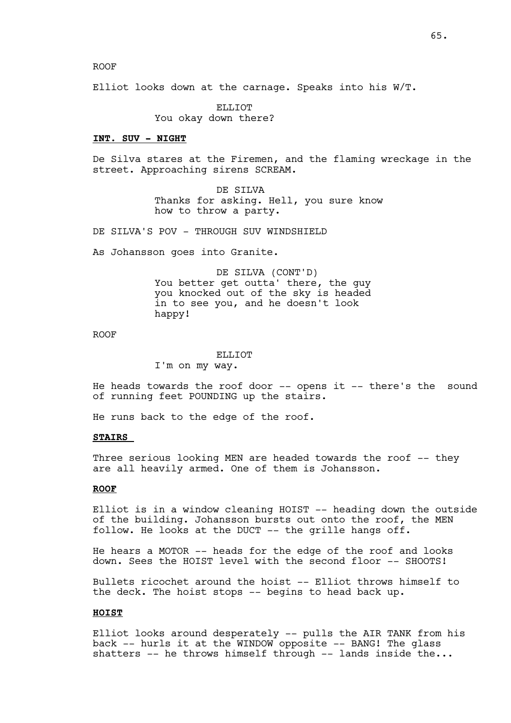Elliot looks down at the carnage. Speaks into his W/T.

ELLIOT You okay down there?

# **INT. SUV - NIGHT**

De Silva stares at the Firemen, and the flaming wreckage in the street. Approaching sirens SCREAM.

> DE SILVA Thanks for asking. Hell, you sure know how to throw a party.

DE SILVA'S POV - THROUGH SUV WINDSHIELD

As Johansson goes into Granite.

DE SILVA (CONT'D) You better get outta' there, the guy you knocked out of the sky is headed in to see you, and he doesn't look happy!

ROOF

### ELLIOT

I'm on my way.

He heads towards the roof door -- opens it -- there's the sound of running feet POUNDING up the stairs.

He runs back to the edge of the roof.

## **STAIRS**

Three serious looking MEN are headed towards the roof -- they are all heavily armed. One of them is Johansson.

### **ROOF**

Elliot is in a window cleaning HOIST -- heading down the outside of the building. Johansson bursts out onto the roof, the MEN follow. He looks at the DUCT -- the grille hangs off.

He hears a MOTOR -- heads for the edge of the roof and looks down. Sees the HOIST level with the second floor -- SHOOTS!

Bullets ricochet around the hoist -- Elliot throws himself to the deck. The hoist stops -- begins to head back up.

#### **HOIST**

Elliot looks around desperately -- pulls the AIR TANK from his back -- hurls it at the WINDOW opposite -- BANG! The glass shatters  $--$  he throws himself through  $--$  lands inside the...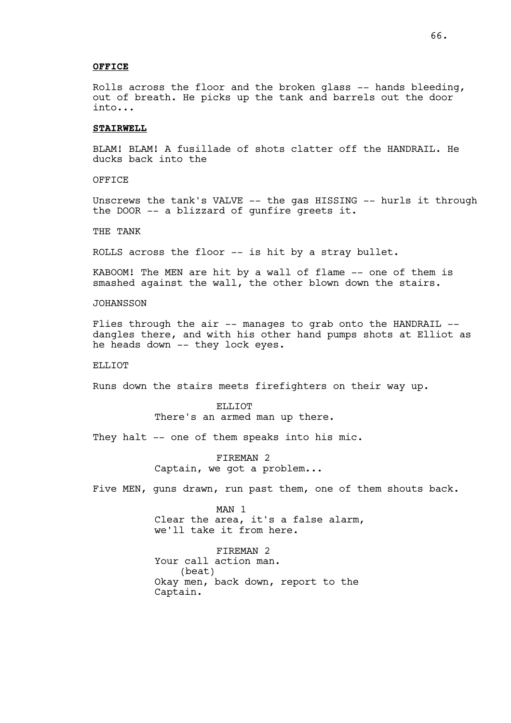## **OFFICE**

Rolls across the floor and the broken glass -- hands bleeding, out of breath. He picks up the tank and barrels out the door into...

## **STAIRWELL**

BLAM! BLAM! A fusillade of shots clatter off the HANDRAIL. He ducks back into the

OFFICE

Unscrews the tank's VALVE -- the gas HISSING -- hurls it through the DOOR -- a blizzard of gunfire greets it.

THE TANK

ROLLS across the floor -- is hit by a stray bullet.

KABOOM! The MEN are hit by a wall of flame -- one of them is smashed against the wall, the other blown down the stairs.

JOHANSSON

Flies through the air -- manages to grab onto the HANDRAIL -dangles there, and with his other hand pumps shots at Elliot as he heads down -- they lock eyes.

### ELLIOT

Runs down the stairs meets firefighters on their way up.

ELLIOT There's an armed man up there.

They halt -- one of them speaks into his mic.

FIREMAN 2 Captain, we got a problem...

Five MEN, guns drawn, run past them, one of them shouts back.

MAN 1 Clear the area, it's a false alarm, we'll take it from here.

FIREMAN<sub>2</sub> Your call action man. (beat) Okay men, back down, report to the Captain.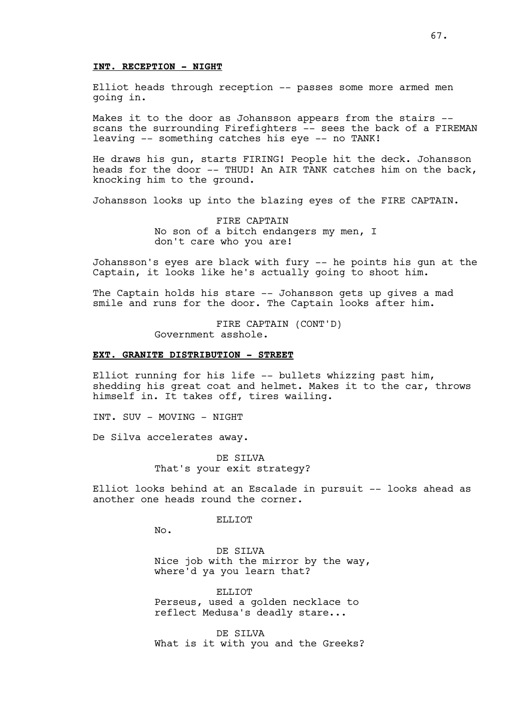#### **INT. RECEPTION - NIGHT**

Elliot heads through reception -- passes some more armed men going in.

Makes it to the door as Johansson appears from the stairs - scans the surrounding Firefighters -- sees the back of a FIREMAN leaving -- something catches his eye -- no TANK!

He draws his gun, starts FIRING! People hit the deck. Johansson heads for the door -- THUD! An AIR TANK catches him on the back, knocking him to the ground.

Johansson looks up into the blazing eyes of the FIRE CAPTAIN.

FIRE CAPTAIN No son of a bitch endangers my men, I don't care who you are!

Johansson's eyes are black with fury -- he points his gun at the Captain, it looks like he's actually going to shoot him.

The Captain holds his stare -- Johansson gets up gives a mad smile and runs for the door. The Captain looks after him.

> FIRE CAPTAIN (CONT'D) Government asshole.

## **EXT. GRANITE DISTRIBUTION - STREET**

Elliot running for his life -- bullets whizzing past him, shedding his great coat and helmet. Makes it to the car, throws himself in. It takes off, tires wailing.

INT. SUV - MOVING - NIGHT

De Silva accelerates away.

DE SILVA That's your exit strategy?

Elliot looks behind at an Escalade in pursuit -- looks ahead as another one heads round the corner.

ELLIOT

No.

DE SILVA Nice job with the mirror by the way, where'd ya you learn that?

ELLIOT Perseus, used a golden necklace to reflect Medusa's deadly stare...

DE SILVA What is it with you and the Greeks?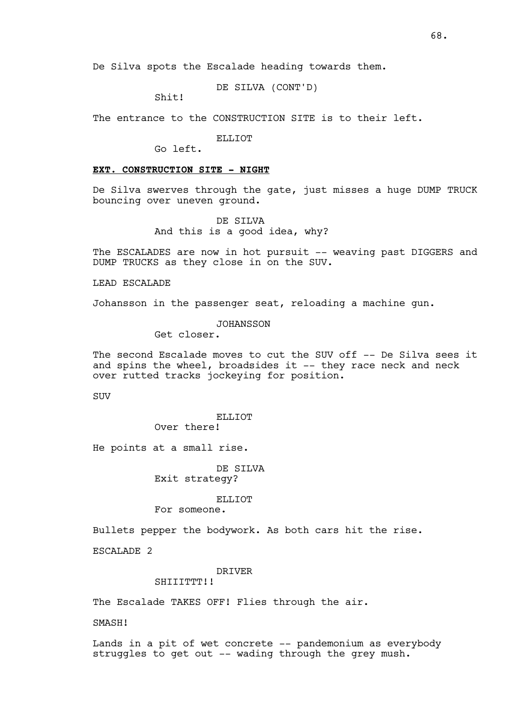DE SILVA (CONT'D)

Shit!

The entrance to the CONSTRUCTION SITE is to their left.

ELLIOT

Go left.

# **EXT. CONSTRUCTION SITE - NIGHT**

De Silva swerves through the gate, just misses a huge DUMP TRUCK bouncing over uneven ground.

> DE SILVA And this is a good idea, why?

The ESCALADES are now in hot pursuit -- weaving past DIGGERS and DUMP TRUCKS as they close in on the SUV.

LEAD ESCALADE

Johansson in the passenger seat, reloading a machine gun.

JOHANSSON

Get closer.

The second Escalade moves to cut the SUV off -- De Silva sees it and spins the wheel, broadsides it -- they race neck and neck over rutted tracks jockeying for position.

**SUV** 

ELLIOT Over there!

He points at a small rise.

DE SILVA Exit strategy?

## ELLIOT

For someone.

Bullets pepper the bodywork. As both cars hit the rise.

ESCALADE 2

DRIVER

SHIIITTTTT!!

The Escalade TAKES OFF! Flies through the air.

SMASH!

Lands in a pit of wet concrete -- pandemonium as everybody struggles to get out -- wading through the grey mush.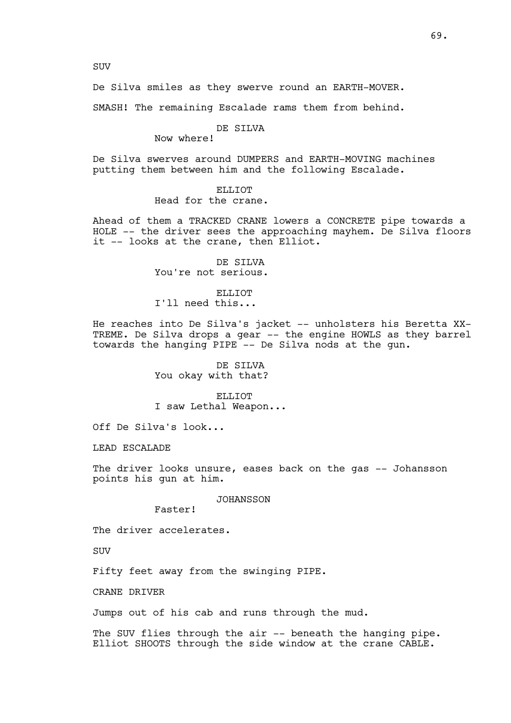SUV

De Silva smiles as they swerve round an EARTH-MOVER.

SMASH! The remaining Escalade rams them from behind.

# DE SILVA

Now where!

De Silva swerves around DUMPERS and EARTH-MOVING machines putting them between him and the following Escalade.

### ELLIOT

Head for the crane.

Ahead of them a TRACKED CRANE lowers a CONCRETE pipe towards a HOLE -- the driver sees the approaching mayhem. De Silva floors it -- looks at the crane, then Elliot.

> DE SILVA You're not serious.

ELLIOT I'll need this...

He reaches into De Silva's jacket -- unholsters his Beretta XX-TREME. De Silva drops a gear -- the engine HOWLS as they barrel towards the hanging PIPE -- De Silva nods at the gun.

> DE SILVA You okay with that?

ELLIOT I saw Lethal Weapon...

Off De Silva's look...

LEAD ESCALADE

The driver looks unsure, eases back on the gas -- Johansson points his gun at him.

### JOHANSSON

Faster!

The driver accelerates.

SUV

Fifty feet away from the swinging PIPE.

CRANE DRIVER

Jumps out of his cab and runs through the mud.

The SUV flies through the air -- beneath the hanging pipe. Elliot SHOOTS through the side window at the crane CABLE.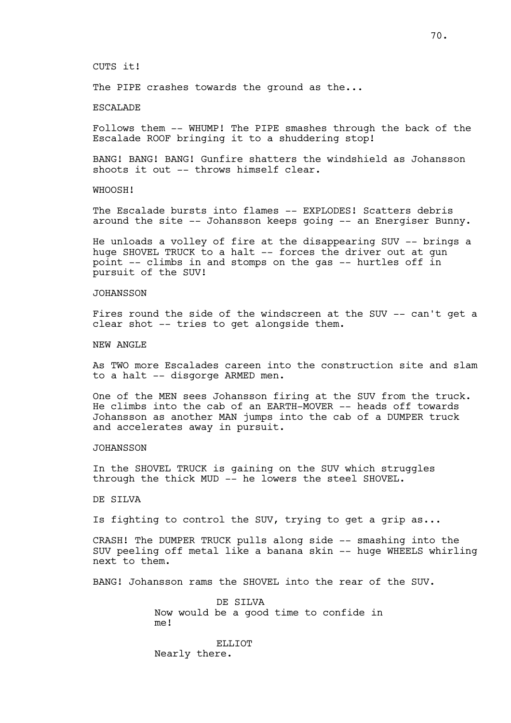CUTS it!

The PIPE crashes towards the ground as the...

# ESCALADE

Follows them -- WHUMP! The PIPE smashes through the back of the Escalade ROOF bringing it to a shuddering stop!

BANG! BANG! BANG! Gunfire shatters the windshield as Johansson shoots it out -- throws himself clear.

WHOOSH!

The Escalade bursts into flames -- EXPLODES! Scatters debris around the site -- Johansson keeps going -- an Energiser Bunny.

He unloads a volley of fire at the disappearing SUV -- brings a huge SHOVEL TRUCK to a halt -- forces the driver out at gun point -- climbs in and stomps on the gas -- hurtles off in pursuit of the SUV!

### **JOHANSSON**

Fires round the side of the windscreen at the SUV -- can't get a clear shot -- tries to get alongside them.

NEW ANGLE

As TWO more Escalades careen into the construction site and slam to a halt -- disgorge ARMED men.

One of the MEN sees Johansson firing at the SUV from the truck. He climbs into the cab of an EARTH-MOVER -- heads off towards Johansson as another MAN jumps into the cab of a DUMPER truck and accelerates away in pursuit.

## JOHANSSON

In the SHOVEL TRUCK is gaining on the SUV which struggles through the thick MUD -- he lowers the steel SHOVEL.

DE SILVA

Is fighting to control the SUV, trying to get a grip as...

CRASH! The DUMPER TRUCK pulls along side -- smashing into the SUV peeling off metal like a banana skin -- huge WHEELS whirling next to them.

BANG! Johansson rams the SHOVEL into the rear of the SUV.

DE SILVA Now would be a good time to confide in me!

ELLIOT Nearly there.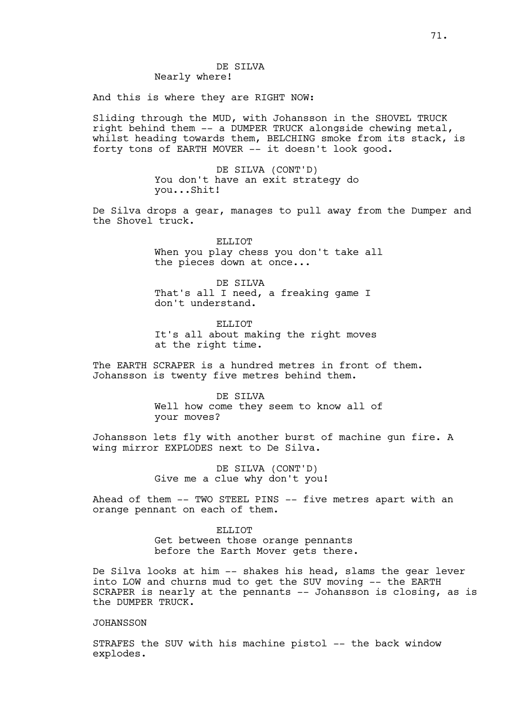# DE SILVA Nearly where!

And this is where they are RIGHT NOW:

Sliding through the MUD, with Johansson in the SHOVEL TRUCK right behind them -- a DUMPER TRUCK alongside chewing metal, whilst heading towards them, BELCHING smoke from its stack, is forty tons of EARTH MOVER -- it doesn't look good.

> DE SILVA (CONT'D) You don't have an exit strategy do you...Shit!

De Silva drops a gear, manages to pull away from the Dumper and the Shovel truck.

> ELLIOT When you play chess you don't take all the pieces down at once...

DE SILVA That's all I need, a freaking game I don't understand.

ELLIOT It's all about making the right moves at the right time.

The EARTH SCRAPER is a hundred metres in front of them. Johansson is twenty five metres behind them.

> DE SILVA Well how come they seem to know all of your moves?

Johansson lets fly with another burst of machine gun fire. A wing mirror EXPLODES next to De Silva.

> DE SILVA (CONT'D) Give me a clue why don't you!

Ahead of them -- TWO STEEL PINS -- five metres apart with an orange pennant on each of them.

> ELLIOT Get between those orange pennants before the Earth Mover gets there.

De Silva looks at him -- shakes his head, slams the gear lever into LOW and churns mud to get the SUV moving -- the EARTH SCRAPER is nearly at the pennants -- Johansson is closing, as is the DUMPER TRUCK.

## JOHANSSON

STRAFES the SUV with his machine pistol -- the back window explodes.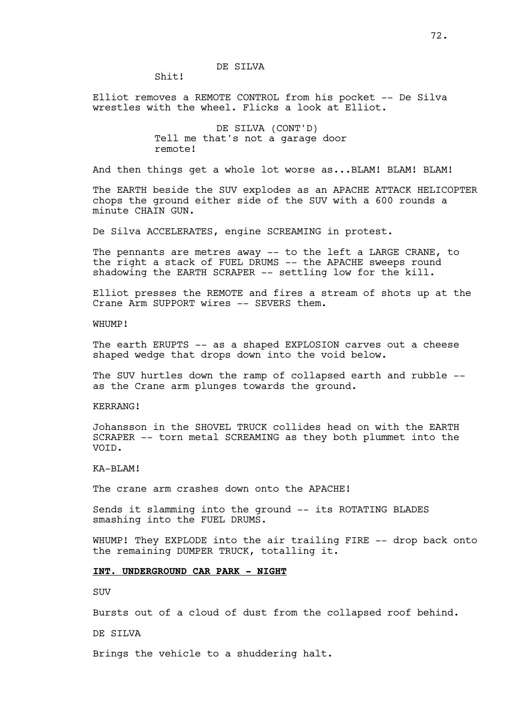# DE SILVA

Shit!

Elliot removes a REMOTE CONTROL from his pocket -- De Silva wrestles with the wheel. Flicks a look at Elliot.

> DE SILVA (CONT'D) Tell me that's not a garage door remote!

And then things get a whole lot worse as...BLAM! BLAM! BLAM!

The EARTH beside the SUV explodes as an APACHE ATTACK HELICOPTER chops the ground either side of the SUV with a 600 rounds a minute CHAIN GUN.

De Silva ACCELERATES, engine SCREAMING in protest.

The pennants are metres away -- to the left a LARGE CRANE, to the right a stack of FUEL DRUMS -- the APACHE sweeps round shadowing the EARTH SCRAPER -- settling low for the kill.

Elliot presses the REMOTE and fires a stream of shots up at the Crane Arm SUPPORT wires -- SEVERS them.

WHIIMP!

The earth ERUPTS -- as a shaped EXPLOSION carves out a cheese shaped wedge that drops down into the void below.

The SUV hurtles down the ramp of collapsed earth and rubble - as the Crane arm plunges towards the ground.

KERRANG!

Johansson in the SHOVEL TRUCK collides head on with the EARTH SCRAPER -- torn metal SCREAMING as they both plummet into the VOID.

KA-BLAM!

The crane arm crashes down onto the APACHE!

Sends it slamming into the ground -- its ROTATING BLADES smashing into the FUEL DRUMS.

WHUMP! They EXPLODE into the air trailing FIRE -- drop back onto the remaining DUMPER TRUCK, totalling it.

# **INT. UNDERGROUND CAR PARK - NIGHT**

SUV

Bursts out of a cloud of dust from the collapsed roof behind.

DE SILVA

Brings the vehicle to a shuddering halt.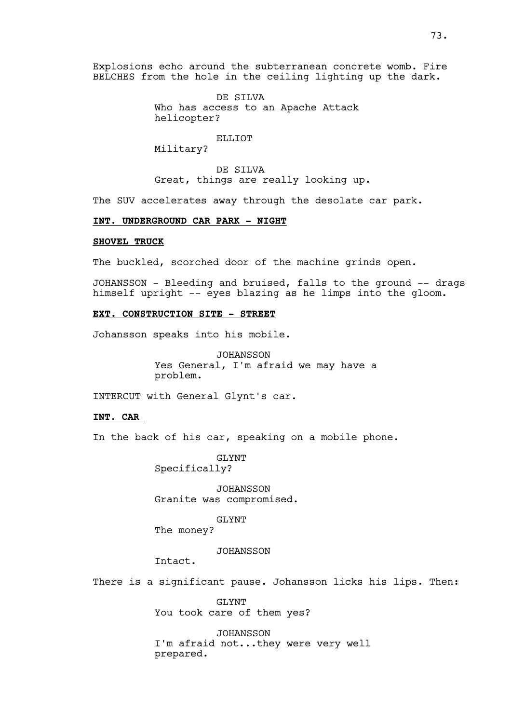Explosions echo around the subterranean concrete womb. Fire BELCHES from the hole in the ceiling lighting up the dark.

> DE SILVA Who has access to an Apache Attack helicopter?

### ELLIOT

Military?

DE SILVA Great, things are really looking up.

The SUV accelerates away through the desolate car park.

# **INT. UNDERGROUND CAR PARK - NIGHT**

# **SHOVEL TRUCK**

The buckled, scorched door of the machine grinds open.

JOHANSSON - Bleeding and bruised, falls to the ground -- drags himself upright -- eyes blazing as he limps into the gloom.

### **EXT. CONSTRUCTION SITE - STREET**

Johansson speaks into his mobile.

JOHANSSON Yes General, I'm afraid we may have a problem.

INTERCUT with General Glynt's car.

# **INT. CAR**

In the back of his car, speaking on a mobile phone.

GLYNT Specifically?

JOHANSSON Granite was compromised.

### GLYNT

The money?

# JOHANSSON

Intact.

There is a significant pause. Johansson licks his lips. Then:

GLYNT You took care of them yes?

JOHANSSON I'm afraid not...they were very well prepared.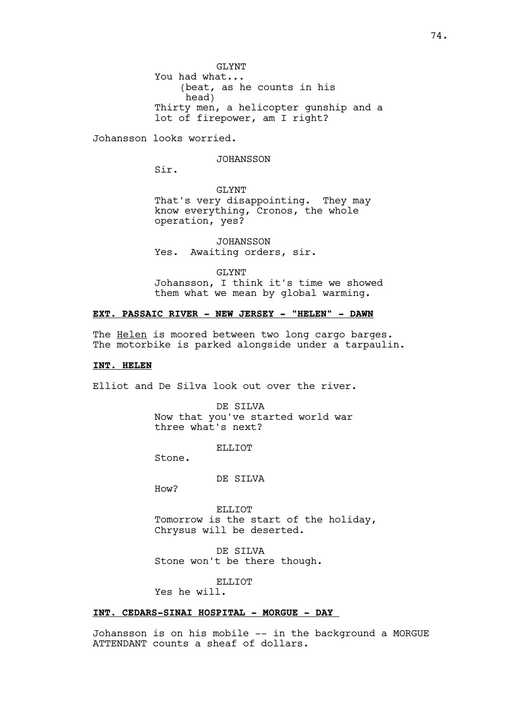GLYNT You had what... (beat, as he counts in his head) Thirty men, a helicopter gunship and a lot of firepower, am I right?

Johansson looks worried.

### JOHANSSON

Sir.

GLYNT That's very disappointing. They may know everything, Cronos, the whole operation, yes?

JOHANSSON Yes. Awaiting orders, sir.

GLYNT Johansson, I think it's time we showed them what we mean by global warming.

# **EXT. PASSAIC RIVER - NEW JERSEY - "HELEN" - DAWN**

The Helen is moored between two long cargo barges. The motorbike is parked alongside under a tarpaulin.

### **INT. HELEN**

Elliot and De Silva look out over the river.

DE SILVA Now that you've started world war three what's next?

ELLIOT

Stone.

DE SILVA

How?

ELLIOT Tomorrow is the start of the holiday, Chrysus will be deserted.

DE SILVA Stone won't be there though.

**ELLIOT** 

Yes he will.

# **INT. CEDARS-SINAI HOSPITAL - MORGUE - DAY**

Johansson is on his mobile -- in the background a MORGUE ATTENDANT counts a sheaf of dollars.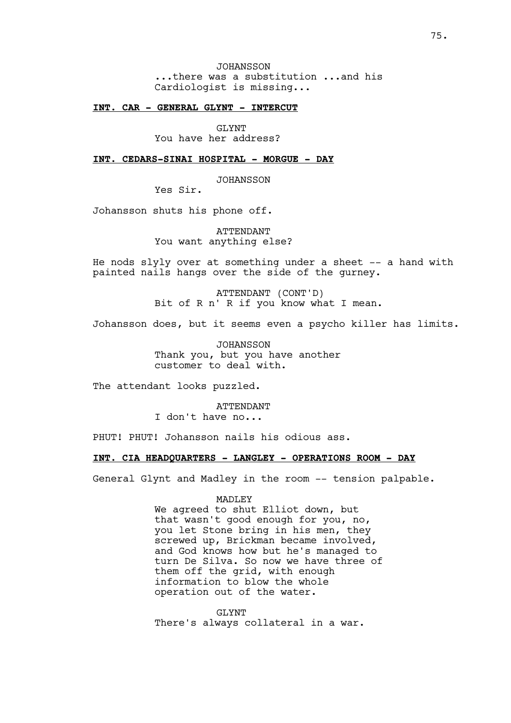JOHANSSON ...there was a substitution ...and his Cardiologist is missing...

### **INT. CAR - GENERAL GLYNT - INTERCUT**

GLYNT You have her address?

**INT. CEDARS-SINAI HOSPITAL - MORGUE - DAY**

JOHANSSON

Yes Sir.

Johansson shuts his phone off.

ATTENDANT You want anything else?

He nods slyly over at something under a sheet -- a hand with painted nails hangs over the side of the gurney.

> ATTENDANT (CONT'D) Bit of R n' R if you know what I mean.

Johansson does, but it seems even a psycho killer has limits.

JOHANSSON Thank you, but you have another customer to deal with.

The attendant looks puzzled.

ATTENDANT I don't have no...

PHUT! PHUT! Johansson nails his odious ass.

# **INT. CIA HEADQUARTERS - LANGLEY - OPERATIONS ROOM - DAY**

General Glynt and Madley in the room -- tension palpable.

### MADLEY

We agreed to shut Elliot down, but that wasn't good enough for you, no, you let Stone bring in his men, they screwed up, Brickman became involved, and God knows how but he's managed to turn De Silva. So now we have three of them off the grid, with enough information to blow the whole operation out of the water.

GLYNT There's always collateral in a war.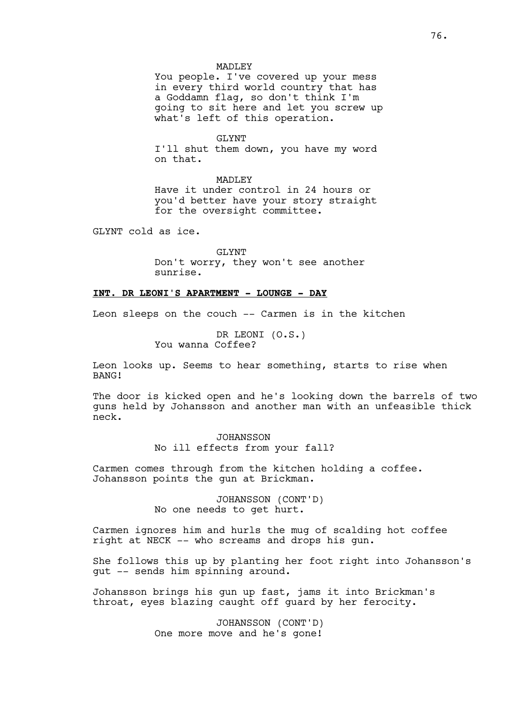### MADLEY

You people. I've covered up your mess in every third world country that has a Goddamn flag, so don't think I'm going to sit here and let you screw up what's left of this operation.

### GT.YNT

I'll shut them down, you have my word on that.

MADLEY Have it under control in 24 hours or you'd better have your story straight for the oversight committee.

GLYNT cold as ice.

GLYNT Don't worry, they won't see another sunrise.

# **INT. DR LEONI'S APARTMENT - LOUNGE - DAY**

Leon sleeps on the couch -- Carmen is in the kitchen

DR LEONI (O.S.) You wanna Coffee?

Leon looks up. Seems to hear something, starts to rise when BANG!

The door is kicked open and he's looking down the barrels of two guns held by Johansson and another man with an unfeasible thick neck.

> JOHANSSON No ill effects from your fall?

Carmen comes through from the kitchen holding a coffee. Johansson points the gun at Brickman.

> JOHANSSON (CONT'D) No one needs to get hurt.

Carmen ignores him and hurls the mug of scalding hot coffee right at NECK -- who screams and drops his gun.

She follows this up by planting her foot right into Johansson's gut -- sends him spinning around.

Johansson brings his gun up fast, jams it into Brickman's throat, eyes blazing caught off guard by her ferocity.

> JOHANSSON (CONT'D) One more move and he's gone!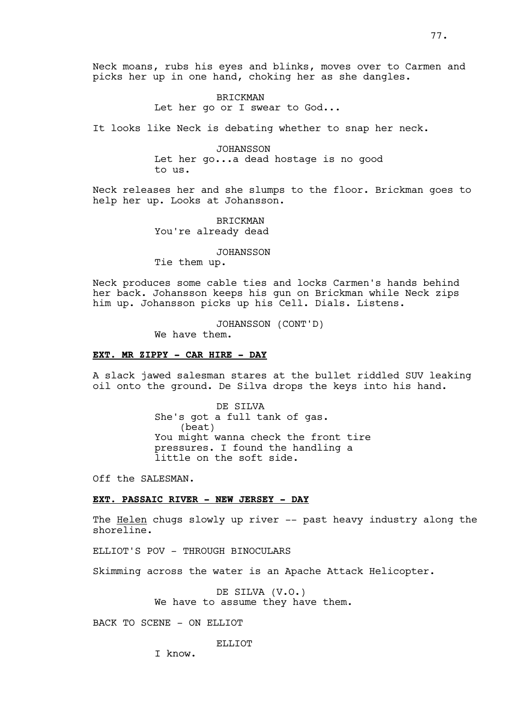BRICKMAN Let her go or I swear to God...

It looks like Neck is debating whether to snap her neck.

JOHANSSON Let her go...a dead hostage is no good to us.

Neck releases her and she slumps to the floor. Brickman goes to help her up. Looks at Johansson.

> BRICKMAN You're already dead

> > JOHANSSON

Tie them up.

Neck produces some cable ties and locks Carmen's hands behind her back. Johansson keeps his gun on Brickman while Neck zips him up. Johansson picks up his Cell. Dials. Listens.

JOHANSSON (CONT'D)

We have them.

### **EXT. MR ZIPPY - CAR HIRE - DAY**

A slack jawed salesman stares at the bullet riddled SUV leaking oil onto the ground. De Silva drops the keys into his hand.

> DE SILVA She's got a full tank of gas. (beat) You might wanna check the front tire pressures. I found the handling a little on the soft side.

Off the SALESMAN.

# **EXT. PASSAIC RIVER - NEW JERSEY - DAY**

The Helen chugs slowly up river -- past heavy industry along the shoreline.

ELLIOT'S POV - THROUGH BINOCULARS

Skimming across the water is an Apache Attack Helicopter.

DE SILVA (V.O.) We have to assume they have them.

BACK TO SCENE - ON ELLIOT

#### ELLIOT

I know.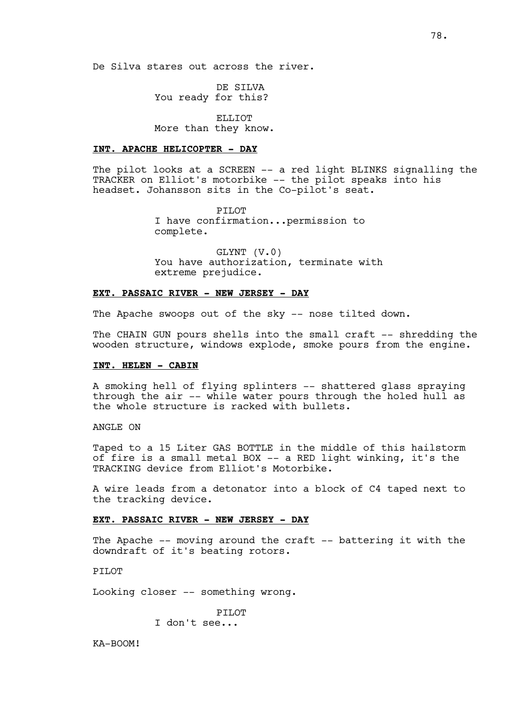De Silva stares out across the river.

DE SILVA You ready for this?

ELLIOT More than they know.

# **INT. APACHE HELICOPTER - DAY**

The pilot looks at a SCREEN -- a red light BLINKS signalling the TRACKER on Elliot's motorbike -- the pilot speaks into his headset. Johansson sits in the Co-pilot's seat.

> PILOT I have confirmation...permission to complete.

GLYNT (V.0) You have authorization, terminate with extreme prejudice.

# **EXT. PASSAIC RIVER - NEW JERSEY - DAY**

The Apache swoops out of the sky -- nose tilted down.

The CHAIN GUN pours shells into the small craft -- shredding the wooden structure, windows explode, smoke pours from the engine.

# **INT. HELEN - CABIN**

A smoking hell of flying splinters -- shattered glass spraying through the air -- while water pours through the holed hull as the whole structure is racked with bullets.

ANGLE ON

Taped to a 15 Liter GAS BOTTLE in the middle of this hailstorm of fire is a small metal BOX -- a RED light winking, it's the TRACKING device from Elliot's Motorbike.

A wire leads from a detonator into a block of C4 taped next to the tracking device.

### **EXT. PASSAIC RIVER - NEW JERSEY - DAY**

The Apache -- moving around the craft -- battering it with the downdraft of it's beating rotors.

PTLOT

Looking closer -- something wrong.

PTI<sub>0</sub>T I don't see...

KA-BOOM!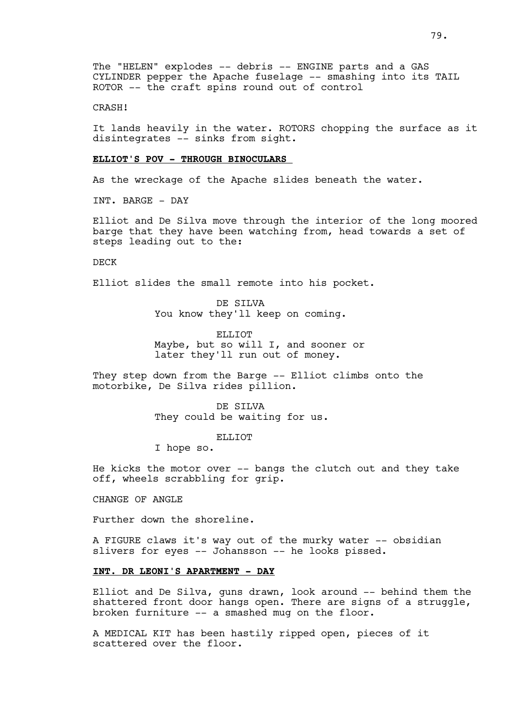# CRASH!

It lands heavily in the water. ROTORS chopping the surface as it disintegrates -- sinks from sight.

### **ELLIOT'S POV - THROUGH BINOCULARS**

As the wreckage of the Apache slides beneath the water.

INT. BARGE - DAY

Elliot and De Silva move through the interior of the long moored barge that they have been watching from, head towards a set of steps leading out to the:

DECK

Elliot slides the small remote into his pocket.

DE SILVA You know they'll keep on coming.

ELLIOT Maybe, but so will I, and sooner or later they'll run out of money.

They step down from the Barge -- Elliot climbs onto the motorbike, De Silva rides pillion.

> DE SILVA They could be waiting for us.

> > ELLIOT

I hope so.

He kicks the motor over -- bangs the clutch out and they take off, wheels scrabbling for grip.

CHANGE OF ANGLE

Further down the shoreline.

A FIGURE claws it's way out of the murky water -- obsidian slivers for eyes -- Johansson -- he looks pissed.

# **INT. DR LEONI'S APARTMENT - DAY**

Elliot and De Silva, guns drawn, look around -- behind them the shattered front door hangs open. There are signs of a struggle, broken furniture -- a smashed mug on the floor.

A MEDICAL KIT has been hastily ripped open, pieces of it scattered over the floor.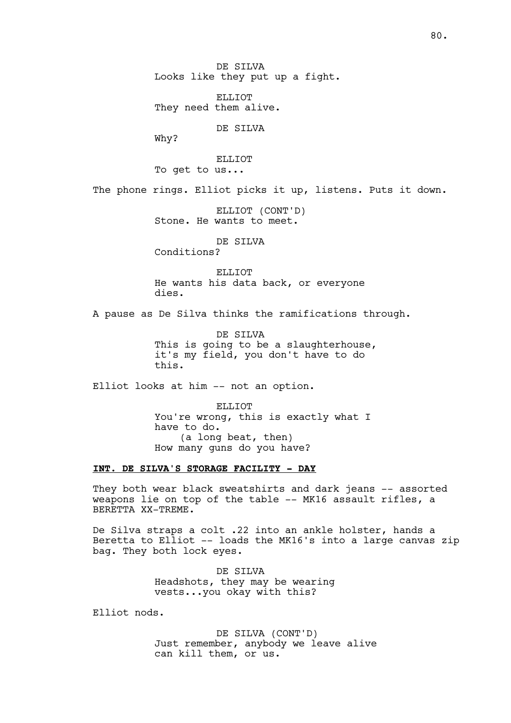DE SILVA Looks like they put up a fight.

ELLIOT They need them alive.

DE SILVA

Why?

ELLIOT To get to us...

The phone rings. Elliot picks it up, listens. Puts it down.

ELLIOT (CONT'D) Stone. He wants to meet.

DE STLVA

Conditions?

ELLIOT He wants his data back, or everyone dies.

A pause as De Silva thinks the ramifications through.

DE SILVA This is going to be a slaughterhouse, it's my field, you don't have to do this.

Elliot looks at him -- not an option.

ELLIOT You're wrong, this is exactly what I have to do. (a long beat, then) How many guns do you have?

# **INT. DE SILVA'S STORAGE FACILITY - DAY**

They both wear black sweatshirts and dark jeans -- assorted weapons lie on top of the table -- MK16 assault rifles, a BERETTA XX-TREME.

De Silva straps a colt .22 into an ankle holster, hands a Beretta to Elliot -- loads the MK16's into a large canvas zip bag. They both lock eyes.

> DE SILVA Headshots, they may be wearing vests...you okay with this?

Elliot nods.

DE SILVA (CONT'D) Just remember, anybody we leave alive can kill them, or us.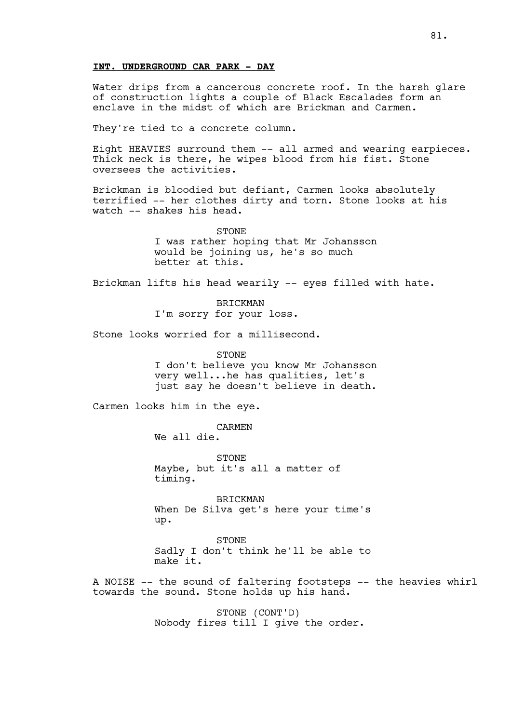# **INT. UNDERGROUND CAR PARK - DAY**

Water drips from a cancerous concrete roof. In the harsh glare of construction lights a couple of Black Escalades form an enclave in the midst of which are Brickman and Carmen.

They're tied to a concrete column.

Eight HEAVIES surround them -- all armed and wearing earpieces. Thick neck is there, he wipes blood from his fist. Stone oversees the activities.

Brickman is bloodied but defiant, Carmen looks absolutely terrified -- her clothes dirty and torn. Stone looks at his watch -- shakes his head.

> STONE I was rather hoping that Mr Johansson would be joining us, he's so much better at this.

Brickman lifts his head wearily -- eyes filled with hate.

BRICKMAN I'm sorry for your loss.

Stone looks worried for a millisecond.

STONE I don't believe you know Mr Johansson very well...he has qualities, let's just say he doesn't believe in death.

Carmen looks him in the eye.

CARMEN

We all die.

STONE Maybe, but it's all a matter of timing.

BRICKMAN When De Silva get's here your time's up.

STONE Sadly I don't think he'll be able to make it.

A NOISE -- the sound of faltering footsteps -- the heavies whirl towards the sound. Stone holds up his hand.

> STONE (CONT'D) Nobody fires till I give the order.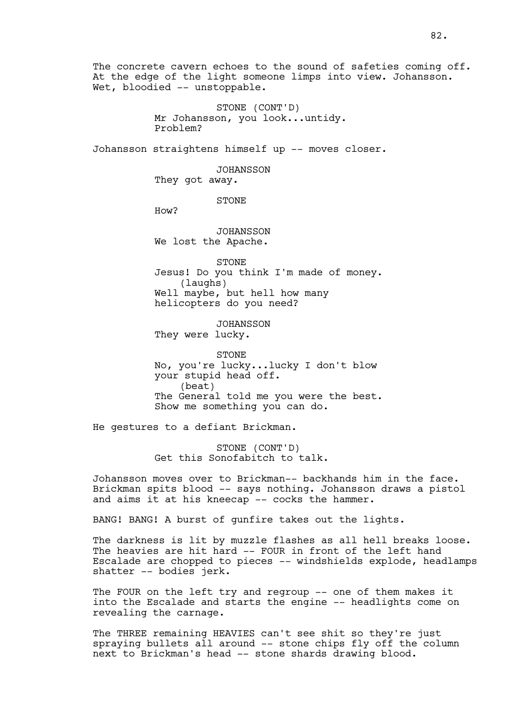The concrete cavern echoes to the sound of safeties coming off. At the edge of the light someone limps into view. Johansson. Wet, bloodied -- unstoppable.

> STONE (CONT'D) Mr Johansson, you look...untidy. Problem?

Johansson straightens himself up -- moves closer.

JOHANSSON

They got away.

STONE

How?

JOHANSSON We lost the Apache.

STONE Jesus! Do you think I'm made of money. (laughs) Well maybe, but hell how many helicopters do you need?

JOHANSSON They were lucky.

STONE No, you're lucky...lucky I don't blow your stupid head off. (beat) The General told me you were the best. Show me something you can do.

He gestures to a defiant Brickman.

STONE (CONT'D) Get this Sonofabitch to talk.

Johansson moves over to Brickman-- backhands him in the face. Brickman spits blood -- says nothing. Johansson draws a pistol and aims it at his kneecap -- cocks the hammer.

BANG! BANG! A burst of gunfire takes out the lights.

The darkness is lit by muzzle flashes as all hell breaks loose. The heavies are hit hard -- FOUR in front of the left hand Escalade are chopped to pieces -- windshields explode, headlamps shatter -- bodies jerk.

The FOUR on the left try and regroup -- one of them makes it into the Escalade and starts the engine -- headlights come on revealing the carnage.

The THREE remaining HEAVIES can't see shit so they're just spraying bullets all around -- stone chips fly off the column next to Brickman's head -- stone shards drawing blood.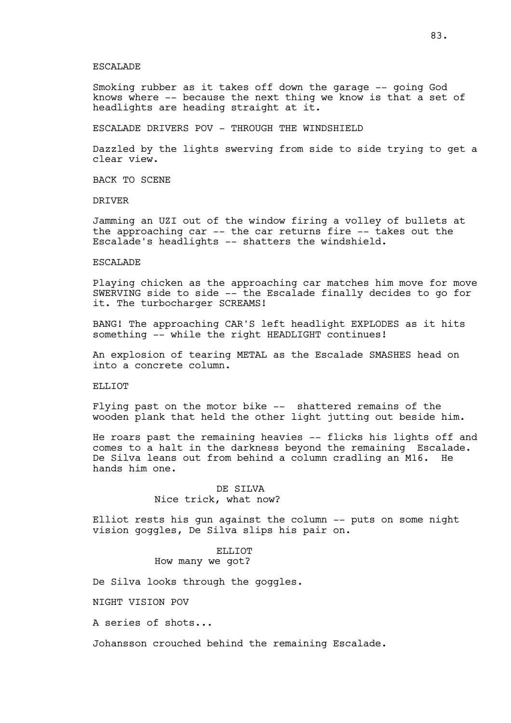#### ESCALADE

Smoking rubber as it takes off down the garage -- going God knows where -- because the next thing we know is that a set of headlights are heading straight at it.

ESCALADE DRIVERS POV - THROUGH THE WINDSHIELD

Dazzled by the lights swerving from side to side trying to get a clear view.

BACK TO SCENE

DRIVER

Jamming an UZI out of the window firing a volley of bullets at the approaching car -- the car returns fire -- takes out the Escalade's headlights -- shatters the windshield.

### ESCALADE

Playing chicken as the approaching car matches him move for move SWERVING side to side -- the Escalade finally decides to go for it. The turbocharger SCREAMS!

BANG! The approaching CAR'S left headlight EXPLODES as it hits something -- while the right HEADLIGHT continues!

An explosion of tearing METAL as the Escalade SMASHES head on into a concrete column.

ELLIOT

Flying past on the motor bike -- shattered remains of the wooden plank that held the other light jutting out beside him.

He roars past the remaining heavies -- flicks his lights off and comes to a halt in the darkness beyond the remaining Escalade. De Silva leans out from behind a column cradling an M16. He hands him one.

# DE SILVA Nice trick, what now?

Elliot rests his gun against the column -- puts on some night vision goggles, De Silva slips his pair on.

# ELLIOT. How many we got?

De Silva looks through the goggles.

NIGHT VISION POV

A series of shots...

Johansson crouched behind the remaining Escalade.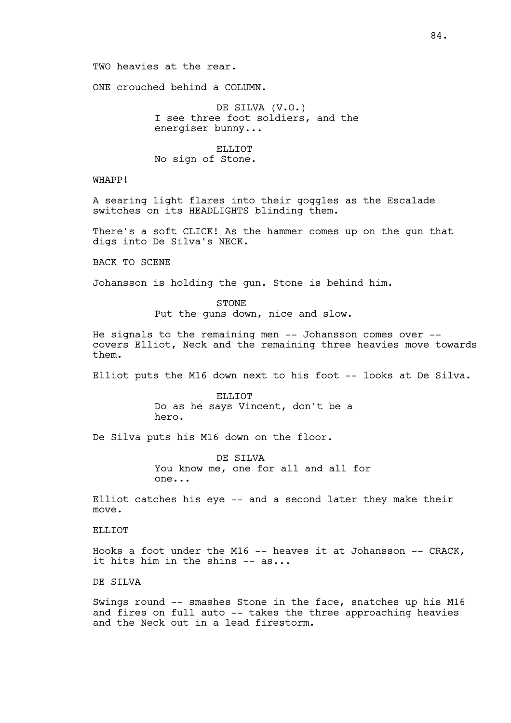ONE crouched behind a COLUMN.

DE SILVA (V.O.) I see three foot soldiers, and the energiser bunny...

ELLIOT No sign of Stone.

WHAPP!

A searing light flares into their goggles as the Escalade switches on its HEADLIGHTS blinding them.

There's a soft CLICK! As the hammer comes up on the gun that digs into De Silva's NECK.

BACK TO SCENE

Johansson is holding the gun. Stone is behind him.

STONE Put the guns down, nice and slow.

He signals to the remaining men -- Johansson comes over - covers Elliot, Neck and the remaining three heavies move towards them.

Elliot puts the M16 down next to his foot -- looks at De Silva.

ELLIOT Do as he says Vincent, don't be a hero.

De Silva puts his M16 down on the floor.

DE SILVA You know me, one for all and all for one...

Elliot catches his eye -- and a second later they make their move.

ELLIOT

Hooks a foot under the M16  $-$ - heaves it at Johansson  $-$ - CRACK, it hits him in the shins -- as...

DE SILVA

Swings round -- smashes Stone in the face, snatches up his M16 and fires on full auto -- takes the three approaching heavies and the Neck out in a lead firestorm.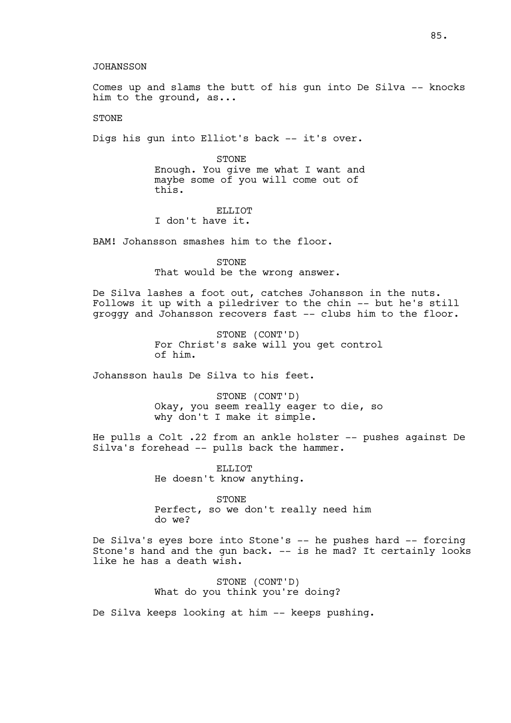### JOHANSSON

Comes up and slams the butt of his gun into De Silva -- knocks him to the ground, as...

STONE

Digs his gun into Elliot's back -- it's over.

STONE Enough. You give me what I want and maybe some of you will come out of this.

ELLIOT I don't have it.

BAM! Johansson smashes him to the floor.

STONE That would be the wrong answer.

De Silva lashes a foot out, catches Johansson in the nuts. Follows it up with a piledriver to the chin -- but he's still groggy and Johansson recovers fast -- clubs him to the floor.

> STONE (CONT'D) For Christ's sake will you get control of him.

Johansson hauls De Silva to his feet.

STONE (CONT'D) Okay, you seem really eager to die, so why don't I make it simple.

He pulls a Colt .22 from an ankle holster -- pushes against De Silva's forehead -- pulls back the hammer.

> ELLIOT He doesn't know anything.

STONE Perfect, so we don't really need him do we?

De Silva's eyes bore into Stone's -- he pushes hard -- forcing Stone's hand and the gun back. -- is he mad? It certainly looks like he has a death wish.

> STONE (CONT'D) What do you think you're doing?

De Silva keeps looking at him -- keeps pushing.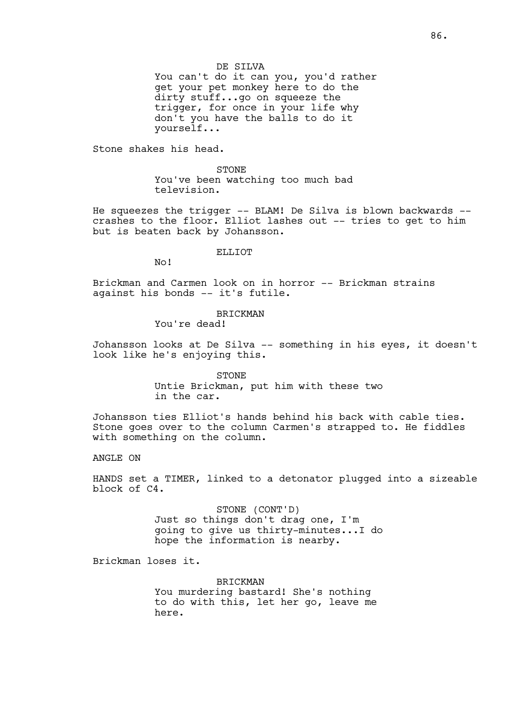### DE SILVA

You can't do it can you, you'd rather get your pet monkey here to do the dirty stuff...go on squeeze the trigger, for once in your life why don't you have the balls to do it yourself...

Stone shakes his head.

STONE You've been watching too much bad television.

He squeezes the trigger -- BLAM! De Silva is blown backwards - crashes to the floor. Elliot lashes out -- tries to get to him but is beaten back by Johansson.

#### ELLIOT

No!

Brickman and Carmen look on in horror -- Brickman strains against his bonds -- it's futile.

# BRICKMAN

You're dead!

Johansson looks at De Silva -- something in his eyes, it doesn't look like he's enjoying this.

STONE

Untie Brickman, put him with these two in the car.

Johansson ties Elliot's hands behind his back with cable ties. Stone goes over to the column Carmen's strapped to. He fiddles with something on the column.

# ANGLE ON

HANDS set a TIMER, linked to a detonator plugged into a sizeable block of C4.

> STONE (CONT'D) Just so things don't drag one, I'm going to give us thirty-minutes...I do hope the information is nearby.

Brickman loses it.

**BRICKMAN** You murdering bastard! She's nothing to do with this, let her go, leave me here.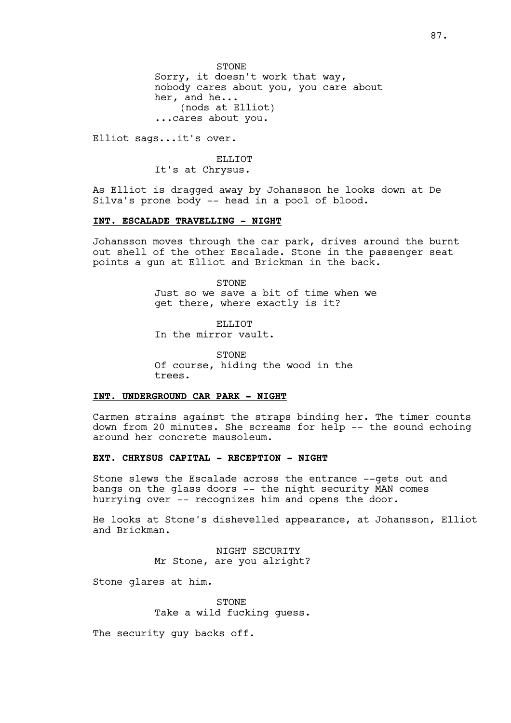STONE Sorry, it doesn't work that way, nobody cares about you, you care about her, and he... (nods at Elliot) ...cares about you.

Elliot sags...it's over.

ELLIOT It's at Chrysus.

As Elliot is dragged away by Johansson he looks down at De Silva's prone body -- head in a pool of blood.

### **INT. ESCALADE TRAVELLING - NIGHT**

Johansson moves through the car park, drives around the burnt out shell of the other Escalade. Stone in the passenger seat points a gun at Elliot and Brickman in the back.

> STONE Just so we save a bit of time when we get there, where exactly is it?

ELLIOT In the mirror vault.

STONE Of course, hiding the wood in the trees.

## **INT. UNDERGROUND CAR PARK - NIGHT**

Carmen strains against the straps binding her. The timer counts down from 20 minutes. She screams for help -- the sound echoing around her concrete mausoleum.

# **EXT. CHRYSUS CAPITAL - RECEPTION - NIGHT**

Stone slews the Escalade across the entrance --gets out and bangs on the glass doors -- the night security MAN comes hurrying over -- recognizes him and opens the door.

He looks at Stone's dishevelled appearance, at Johansson, Elliot and Brickman.

> NIGHT SECURITY Mr Stone, are you alright?

Stone glares at him.

**STONE** Take a wild fucking guess.

The security quy backs off.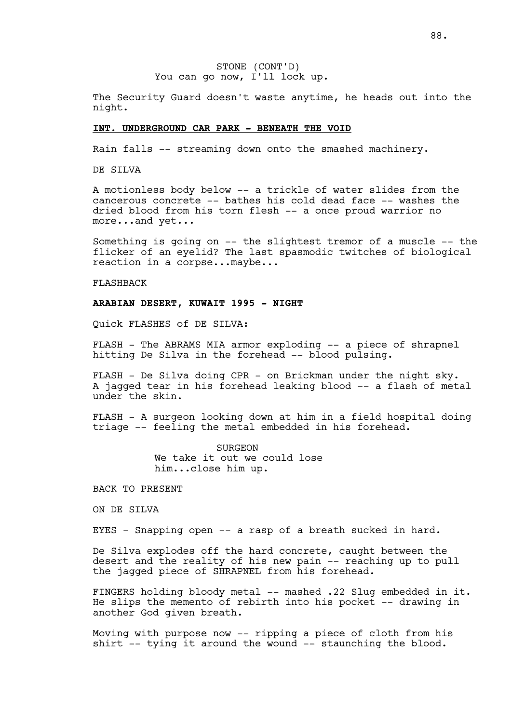The Security Guard doesn't waste anytime, he heads out into the night.

#### **INT. UNDERGROUND CAR PARK - BENEATH THE VOID**

Rain falls -- streaming down onto the smashed machinery.

DE SILVA

A motionless body below -- a trickle of water slides from the cancerous concrete -- bathes his cold dead face -- washes the dried blood from his torn flesh -- a once proud warrior no more...and yet...

Something is going on -- the slightest tremor of a muscle -- the flicker of an eyelid? The last spasmodic twitches of biological reaction in a corpse...maybe...

FLASHBACK

# **ARABIAN DESERT, KUWAIT 1995 - NIGHT**

Quick FLASHES of DE SILVA:

FLASH - The ABRAMS MIA armor exploding -- a piece of shrapnel hitting De Silva in the forehead -- blood pulsing.

FLASH - De Silva doing CPR - on Brickman under the night sky. A jagged tear in his forehead leaking blood -- a flash of metal under the skin.

FLASH - A surgeon looking down at him in a field hospital doing triage -- feeling the metal embedded in his forehead.

> SURGEON We take it out we could lose him...close him up.

BACK TO PRESENT

ON DE SILVA

EYES - Snapping open -- a rasp of a breath sucked in hard.

De Silva explodes off the hard concrete, caught between the desert and the reality of his new pain -- reaching up to pull the jagged piece of SHRAPNEL from his forehead.

FINGERS holding bloody metal -- mashed .22 Slug embedded in it. He slips the memento of rebirth into his pocket -- drawing in another God given breath.

Moving with purpose now -- ripping a piece of cloth from his shirt -- tying it around the wound -- staunching the blood.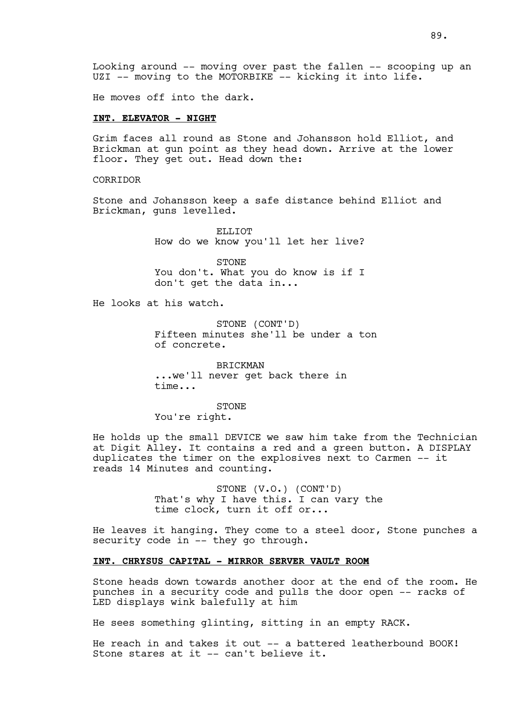Looking around -- moving over past the fallen -- scooping up an UZI -- moving to the MOTORBIKE -- kicking it into life.

He moves off into the dark.

# **INT. ELEVATOR - NIGHT**

Grim faces all round as Stone and Johansson hold Elliot, and Brickman at gun point as they head down. Arrive at the lower floor. They get out. Head down the:

CORRIDOR

Stone and Johansson keep a safe distance behind Elliot and Brickman, guns levelled.

> ELLIOT How do we know you'll let her live?

> STONE You don't. What you do know is if I don't get the data in...

He looks at his watch.

STONE (CONT'D) Fifteen minutes she'll be under a ton of concrete.

BRICKMAN ...we'll never get back there in time...

STONE You're right.

He holds up the small DEVICE we saw him take from the Technician at Digit Alley. It contains a red and a green button. A DISPLAY duplicates the timer on the explosives next to Carmen -- it reads 14 Minutes and counting.

> STONE (V.O.) (CONT'D) That's why I have this. I can vary the time clock, turn it off or...

He leaves it hanging. They come to a steel door, Stone punches a security code in -- they go through.

# **INT. CHRYSUS CAPITAL - MIRROR SERVER VAULT ROOM**

Stone heads down towards another door at the end of the room. He punches in a security code and pulls the door open -- racks of LED displays wink balefully at him

He sees something glinting, sitting in an empty RACK.

He reach in and takes it out -- a battered leatherbound BOOK! Stone stares at it -- can't believe it.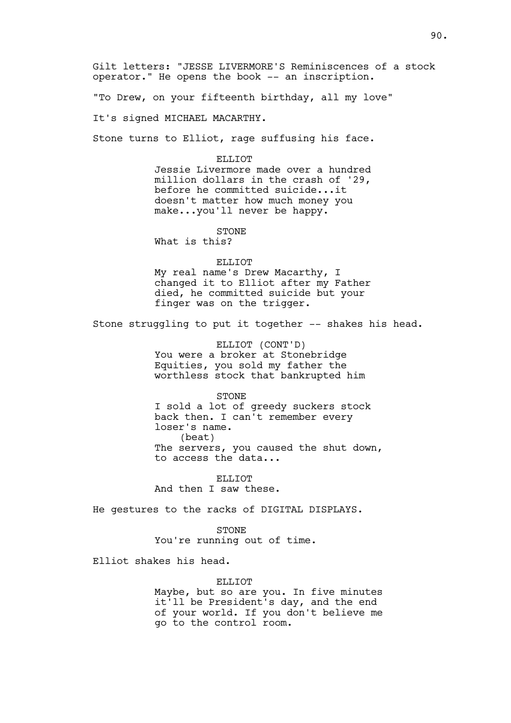Gilt letters: "JESSE LIVERMORE'S Reminiscences of a stock operator." He opens the book -- an inscription.

"To Drew, on your fifteenth birthday, all my love"

It's signed MICHAEL MACARTHY.

Stone turns to Elliot, rage suffusing his face.

#### ELLIOT

Jessie Livermore made over a hundred million dollars in the crash of '29, before he committed suicide...it doesn't matter how much money you make...you'll never be happy.

# STONE

What is this?

### ELLIOT

My real name's Drew Macarthy, I changed it to Elliot after my Father died, he committed suicide but your finger was on the trigger.

Stone struggling to put it together -- shakes his head.

ELLIOT (CONT'D) You were a broker at Stonebridge Equities, you sold my father the worthless stock that bankrupted him

#### STONE

I sold a lot of greedy suckers stock back then. I can't remember every loser's name. (beat) The servers, you caused the shut down, to access the data...

ELLIOT And then I saw these.

He gestures to the racks of DIGITAL DISPLAYS.

STONE You're running out of time.

Elliot shakes his head.

### ELLIOT

Maybe, but so are you. In five minutes it'll be President's day, and the end of your world. If you don't believe me go to the control room.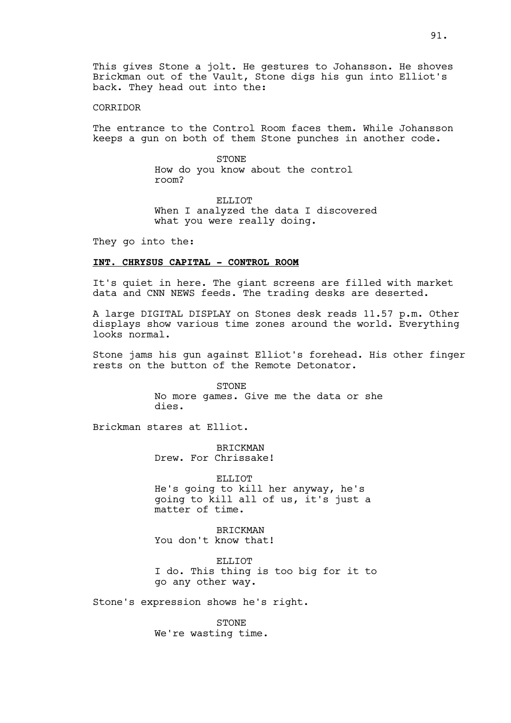# CORRIDOR

The entrance to the Control Room faces them. While Johansson keeps a gun on both of them Stone punches in another code.

> STONE How do you know about the control room?

ELLIOT When I analyzed the data I discovered what you were really doing.

They go into the:

# **INT. CHRYSUS CAPITAL - CONTROL ROOM**

It's quiet in here. The giant screens are filled with market data and CNN NEWS feeds. The trading desks are deserted.

A large DIGITAL DISPLAY on Stones desk reads 11.57 p.m. Other displays show various time zones around the world. Everything looks normal.

Stone jams his gun against Elliot's forehead. His other finger rests on the button of the Remote Detonator.

> STONE No more games. Give me the data or she dies.

Brickman stares at Elliot.

BRICKMAN Drew. For Chrissake!

ELLIOT He's going to kill her anyway, he's going to kill all of us, it's just a matter of time.

BRICKMAN You don't know that!

ELLIOT I do. This thing is too big for it to go any other way.

Stone's expression shows he's right.

STONE We're wasting time.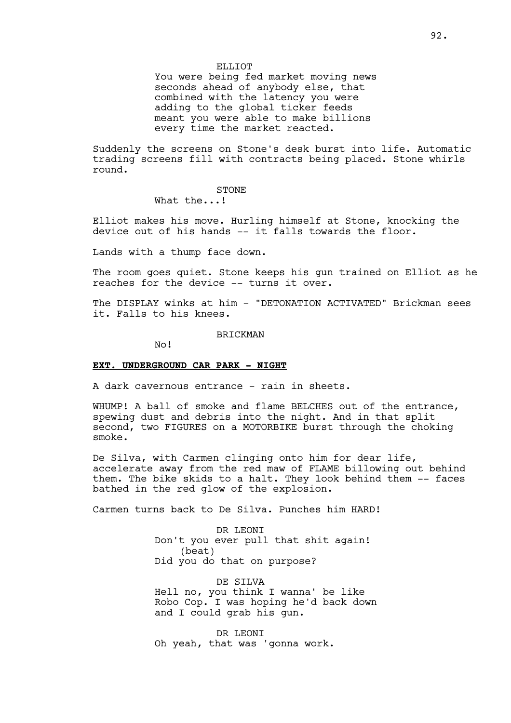### ELLIOT

You were being fed market moving news seconds ahead of anybody else, that combined with the latency you were adding to the global ticker feeds meant you were able to make billions every time the market reacted.

Suddenly the screens on Stone's desk burst into life. Automatic trading screens fill with contracts being placed. Stone whirls round.

### STONE

What the...!

Elliot makes his move. Hurling himself at Stone, knocking the device out of his hands -- it falls towards the floor.

Lands with a thump face down.

The room goes quiet. Stone keeps his gun trained on Elliot as he reaches for the device -- turns it over.

The DISPLAY winks at him - "DETONATION ACTIVATED" Brickman sees it. Falls to his knees.

BRICKMAN

No!

# **EXT. UNDERGROUND CAR PARK - NIGHT**

A dark cavernous entrance - rain in sheets.

WHUMP! A ball of smoke and flame BELCHES out of the entrance, spewing dust and debris into the night. And in that split second, two FIGURES on a MOTORBIKE burst through the choking smoke.

De Silva, with Carmen clinging onto him for dear life, accelerate away from the red maw of FLAME billowing out behind them. The bike skids to a halt. They look behind them -- faces bathed in the red glow of the explosion.

Carmen turns back to De Silva. Punches him HARD!

DR LEONI Don't you ever pull that shit again! (beat) Did you do that on purpose?

DE SILVA Hell no, you think I wanna' be like Robo Cop. I was hoping he'd back down and I could grab his gun.

DR LEONI Oh yeah, that was 'gonna work.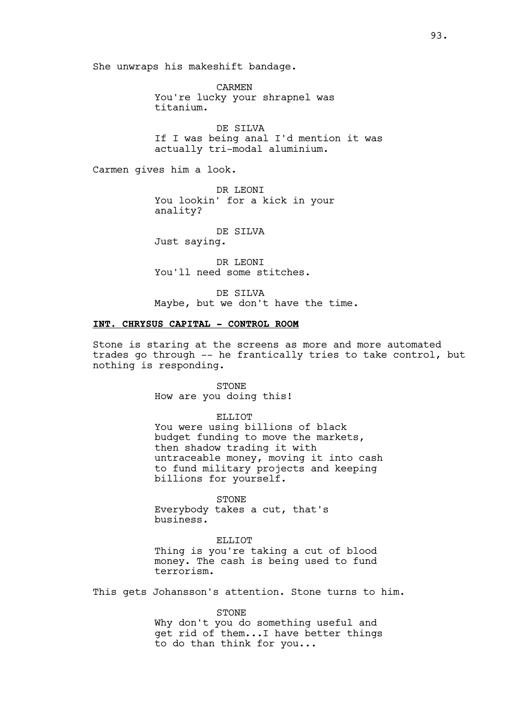She unwraps his makeshift bandage.

CARMEN You're lucky your shrapnel was titanium.

DE SILVA If I was being anal I'd mention it was actually tri-modal aluminium.

Carmen gives him a look.

DR LEONI You lookin' for a kick in your anality?

DE SILVA

Just saying.

DR LEONI You'll need some stitches.

DE SILVA Maybe, but we don't have the time.

# **INT. CHRYSUS CAPITAL - CONTROL ROOM**

Stone is staring at the screens as more and more automated trades go through -- he frantically tries to take control, but nothing is responding.

> STONE How are you doing this!

### ELLIOT

You were using billions of black budget funding to move the markets, then shadow trading it with untraceable money, moving it into cash to fund military projects and keeping billions for yourself.

STONE

Everybody takes a cut, that's business.

ELLIOT Thing is you're taking a cut of blood money. The cash is being used to fund terrorism.

This gets Johansson's attention. Stone turns to him.

STONE

Why don't you do something useful and get rid of them...I have better things to do than think for you...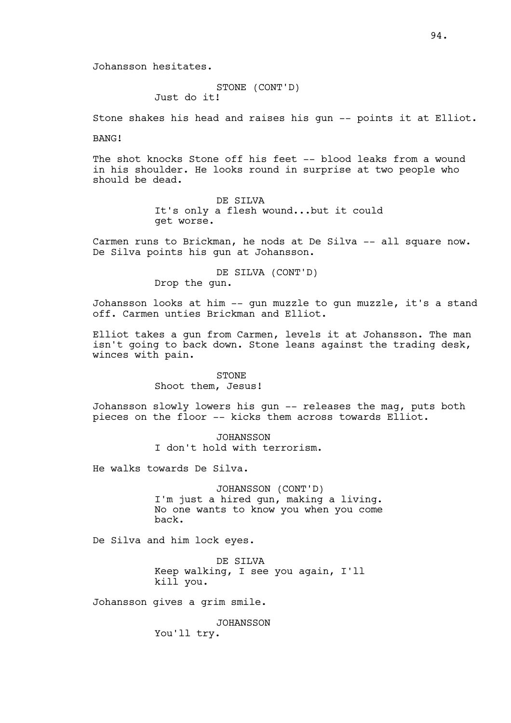Johansson hesitates.

STONE (CONT'D) Just do it!

Stone shakes his head and raises his gun -- points it at Elliot.

BANG!

The shot knocks Stone off his feet -- blood leaks from a wound in his shoulder. He looks round in surprise at two people who should be dead.

> DE SILVA It's only a flesh wound...but it could get worse.

Carmen runs to Brickman, he nods at De Silva -- all square now. De Silva points his gun at Johansson.

> DE SILVA (CONT'D) Drop the gun.

Johansson looks at him -- gun muzzle to gun muzzle, it's a stand off. Carmen unties Brickman and Elliot.

Elliot takes a gun from Carmen, levels it at Johansson. The man isn't going to back down. Stone leans against the trading desk, winces with pain.

> STONE Shoot them, Jesus!

Johansson slowly lowers his gun -- releases the mag, puts both pieces on the floor -- kicks them across towards Elliot.

> JOHANSSON I don't hold with terrorism.

He walks towards De Silva.

JOHANSSON (CONT'D) I'm just a hired gun, making a living. No one wants to know you when you come back.

De Silva and him lock eyes.

DE SILVA Keep walking, I see you again, I'll kill you.

Johansson gives a grim smile.

JOHANSSON You'll try.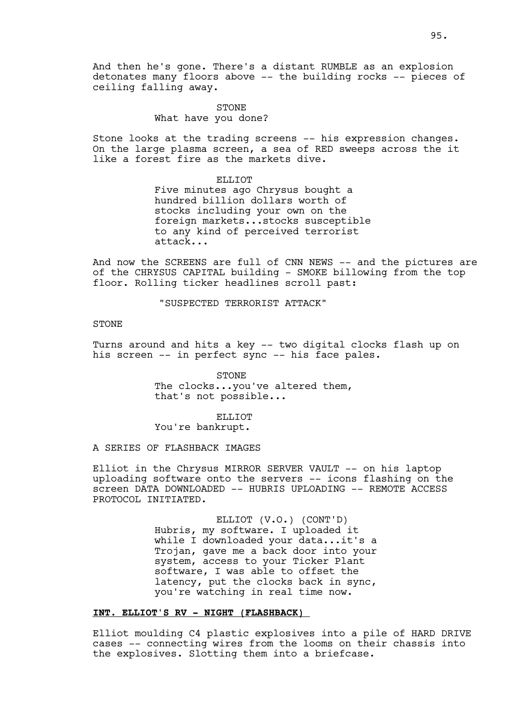And then he's gone. There's a distant RUMBLE as an explosion detonates many floors above -- the building rocks -- pieces of ceiling falling away.

# STONE What have you done?

Stone looks at the trading screens -- his expression changes. On the large plasma screen, a sea of RED sweeps across the it like a forest fire as the markets dive.

#### ELLIOT

Five minutes ago Chrysus bought a hundred billion dollars worth of stocks including your own on the foreign markets...stocks susceptible to any kind of perceived terrorist attack...

And now the SCREENS are full of CNN NEWS -- and the pictures are of the CHRYSUS CAPITAL building - SMOKE billowing from the top floor. Rolling ticker headlines scroll past:

"SUSPECTED TERRORIST ATTACK"

# STONE

Turns around and hits a key -- two digital clocks flash up on his screen -- in perfect sync -- his face pales.

> STONE The clocks...you've altered them, that's not possible...

> > ELLIOT

You're bankrupt.

A SERIES OF FLASHBACK IMAGES

Elliot in the Chrysus MIRROR SERVER VAULT -- on his laptop uploading software onto the servers -- icons flashing on the screen DATA DOWNLOADED -- HUBRIS UPLOADING -- REMOTE ACCESS PROTOCOL INITIATED.

> ELLIOT (V.O.) (CONT'D) Hubris, my software. I uploaded it while I downloaded your data...it's a Trojan, gave me a back door into your system, access to your Ticker Plant software, I was able to offset the latency, put the clocks back in sync, you're watching in real time now.

### **INT. ELLIOT'S RV - NIGHT (FLASHBACK)**

Elliot moulding C4 plastic explosives into a pile of HARD DRIVE cases -- connecting wires from the looms on their chassis into the explosives. Slotting them into a briefcase.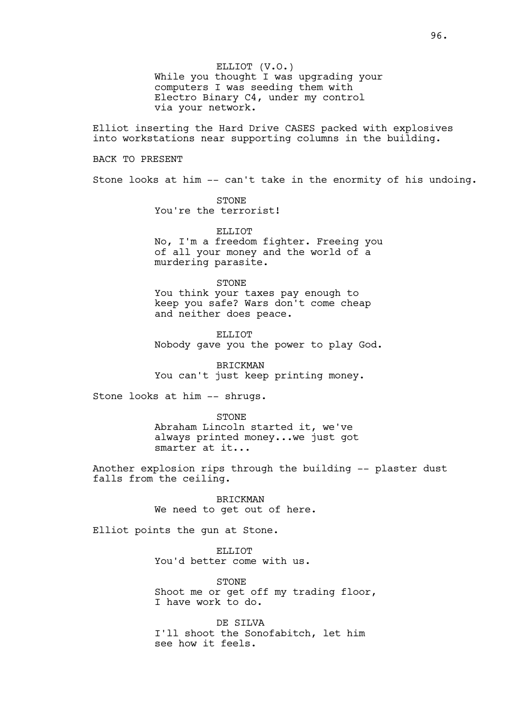ELLIOT (V.O.) While you thought I was upgrading your computers I was seeding them with Electro Binary C4, under my control via your network.

Elliot inserting the Hard Drive CASES packed with explosives into workstations near supporting columns in the building.

### BACK TO PRESENT

Stone looks at him -- can't take in the enormity of his undoing.

STONE You're the terrorist!

ELLIOT No, I'm a freedom fighter. Freeing you of all your money and the world of a murdering parasite.

#### STONE

You think your taxes pay enough to keep you safe? Wars don't come cheap and neither does peace.

ELLIOT Nobody gave you the power to play God.

BRICKMAN You can't just keep printing money.

Stone looks at him -- shrugs.

STONE Abraham Lincoln started it, we've always printed money...we just got smarter at it...

Another explosion rips through the building -- plaster dust falls from the ceiling.

> BRICKMAN We need to get out of here.

Elliot points the gun at Stone.

ELLIOT. You'd better come with us.

STONE Shoot me or get off my trading floor, I have work to do.

DE SILVA I'll shoot the Sonofabitch, let him see how it feels.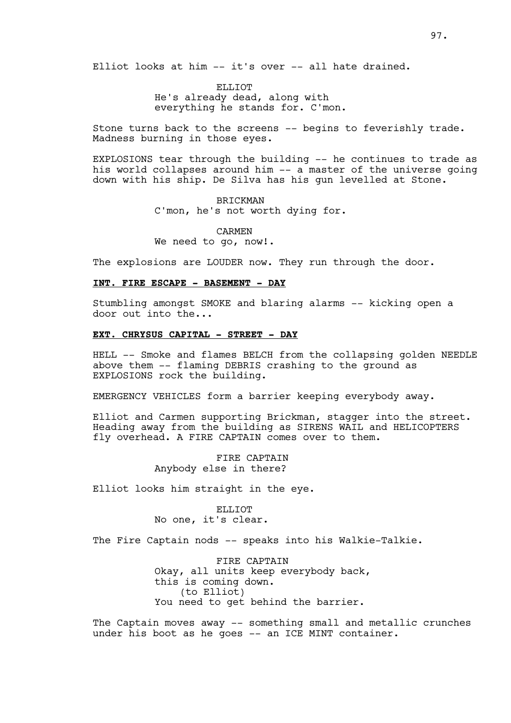Elliot looks at him -- it's over -- all hate drained.

ELLIOT He's already dead, along with everything he stands for. C'mon.

Stone turns back to the screens -- begins to feverishly trade. Madness burning in those eyes.

EXPLOSIONS tear through the building -- he continues to trade as his world collapses around him -- a master of the universe going down with his ship. De Silva has his gun levelled at Stone.

> BRICKMAN C'mon, he's not worth dying for.

CARMEN We need to go, now!.

The explosions are LOUDER now. They run through the door.

### **INT. FIRE ESCAPE - BASEMENT - DAY**

Stumbling amongst SMOKE and blaring alarms -- kicking open a door out into the...

# **EXT. CHRYSUS CAPITAL - STREET - DAY**

HELL -- Smoke and flames BELCH from the collapsing golden NEEDLE above them -- flaming DEBRIS crashing to the ground as EXPLOSIONS rock the building.

EMERGENCY VEHICLES form a barrier keeping everybody away.

Elliot and Carmen supporting Brickman, stagger into the street. Heading away from the building as SIRENS WAIL and HELICOPTERS fly overhead. A FIRE CAPTAIN comes over to them.

> FIRE CAPTAIN Anybody else in there?

Elliot looks him straight in the eye.

ELLIOT No one, it's clear.

The Fire Captain nods -- speaks into his Walkie-Talkie.

FIRE CAPTAIN Okay, all units keep everybody back, this is coming down. (to Elliot) You need to get behind the barrier.

The Captain moves away -- something small and metallic crunches under his boot as he goes -- an ICE MINT container.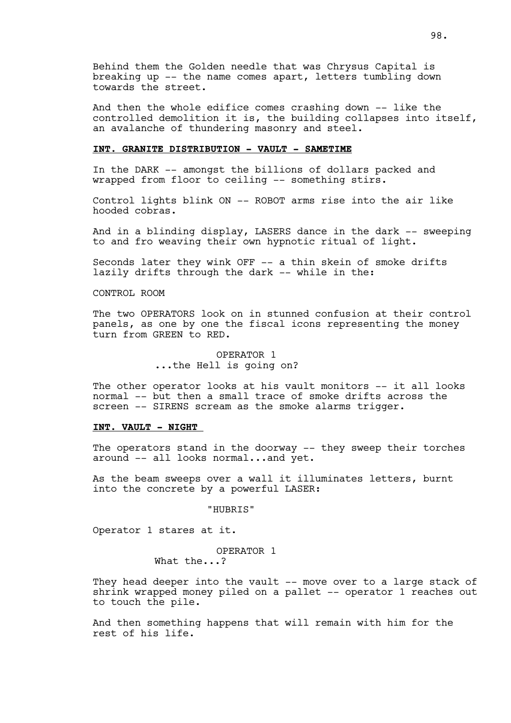Behind them the Golden needle that was Chrysus Capital is breaking up -- the name comes apart, letters tumbling down towards the street.

And then the whole edifice comes crashing down -- like the controlled demolition it is, the building collapses into itself, an avalanche of thundering masonry and steel.

# **INT. GRANITE DISTRIBUTION - VAULT - SAMETIME**

In the DARK -- amongst the billions of dollars packed and wrapped from floor to ceiling -- something stirs.

Control lights blink ON -- ROBOT arms rise into the air like hooded cobras.

And in a blinding display, LASERS dance in the dark -- sweeping to and fro weaving their own hypnotic ritual of light.

Seconds later they wink OFF -- a thin skein of smoke drifts lazily drifts through the dark -- while in the:

### CONTROL ROOM

The two OPERATORS look on in stunned confusion at their control panels, as one by one the fiscal icons representing the money turn from GREEN to RED.

> OPERATOR 1 ...the Hell is going on?

The other operator looks at his vault monitors -- it all looks normal -- but then a small trace of smoke drifts across the screen -- SIRENS scream as the smoke alarms trigger.

# **INT. VAULT - NIGHT**

The operators stand in the doorway -- they sweep their torches around -- all looks normal...and yet.

As the beam sweeps over a wall it illuminates letters, burnt into the concrete by a powerful LASER:

"HUBRIS"

Operator 1 stares at it.

# OPERATOR 1

What the...?

They head deeper into the vault -- move over to a large stack of shrink wrapped money piled on a pallet -- operator 1 reaches out to touch the pile.

And then something happens that will remain with him for the rest of his life.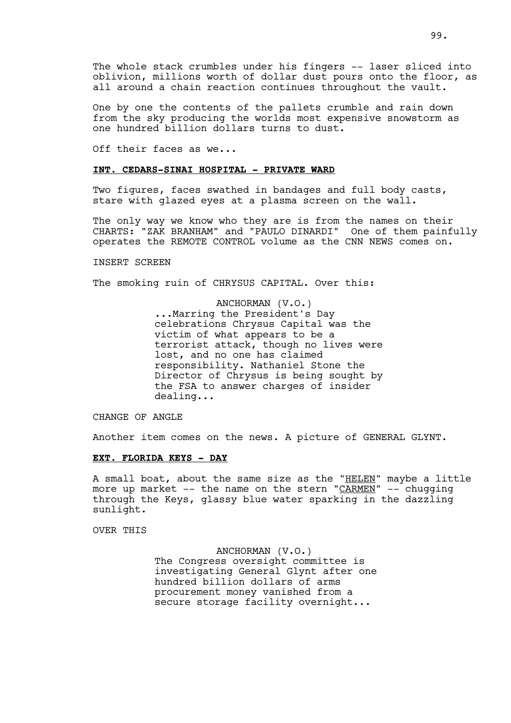99.

One by one the contents of the pallets crumble and rain down from the sky producing the worlds most expensive snowstorm as one hundred billion dollars turns to dust.

all around a chain reaction continues throughout the vault.

Off their faces as we...

### **INT. CEDARS-SINAI HOSPITAL - PRIVATE WARD**

Two figures, faces swathed in bandages and full body casts, stare with glazed eyes at a plasma screen on the wall.

The only way we know who they are is from the names on their CHARTS: "ZAK BRANHAM" and "PAULO DINARDI" One of them painfully operates the REMOTE CONTROL volume as the CNN NEWS comes on.

### INSERT SCREEN

The smoking ruin of CHRYSUS CAPITAL. Over this:

# ANCHORMAN (V.O.) ...Marring the President's Day celebrations Chrysus Capital was the victim of what appears to be a terrorist attack, though no lives were lost, and no one has claimed responsibility. Nathaniel Stone the Director of Chrysus is being sought by the FSA to answer charges of insider dealing...

CHANGE OF ANGLE

Another item comes on the news. A picture of GENERAL GLYNT.

# **EXT. FLORIDA KEYS - DAY**

A small boat, about the same size as the "HELEN" maybe a little more up market  $--$  the name on the stern " $C\overline{ARMEN}$ "  $--$  chugging through the Keys, glassy blue water sparking in the dazzling sunlight.

# OVER THIS

ANCHORMAN (V.O.) The Congress oversight committee is investigating General Glynt after one hundred billion dollars of arms procurement money vanished from a secure storage facility overnight...